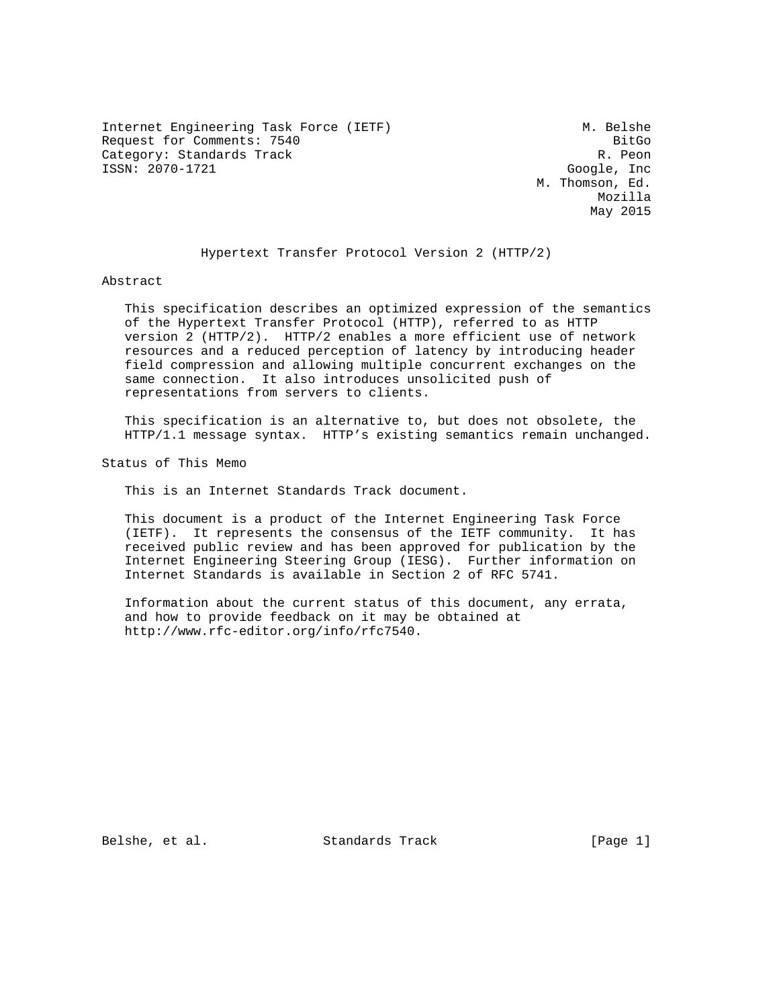Internet Engineering Task Force (IETF) M. Belshe Request for Comments: 7540 BitGo Category: Standards Track Report of the Category: Standards Track ISSN: 2070-1721 Google, Inc

 M. Thomson, Ed. Mozilla May 2015

Hypertext Transfer Protocol Version 2 (HTTP/2)

Abstract

 This specification describes an optimized expression of the semantics of the Hypertext Transfer Protocol (HTTP), referred to as HTTP version 2 (HTTP/2). HTTP/2 enables a more efficient use of network resources and a reduced perception of latency by introducing header field compression and allowing multiple concurrent exchanges on the same connection. It also introduces unsolicited push of representations from servers to clients.

 This specification is an alternative to, but does not obsolete, the HTTP/1.1 message syntax. HTTP's existing semantics remain unchanged.

Status of This Memo

This is an Internet Standards Track document.

 This document is a product of the Internet Engineering Task Force (IETF). It represents the consensus of the IETF community. It has received public review and has been approved for publication by the Internet Engineering Steering Group (IESG). Further information on Internet Standards is available in Section 2 of RFC 5741.

 Information about the current status of this document, any errata, and how to provide feedback on it may be obtained at http://www.rfc-editor.org/info/rfc7540.

Belshe, et al. Standards Track [Page 1]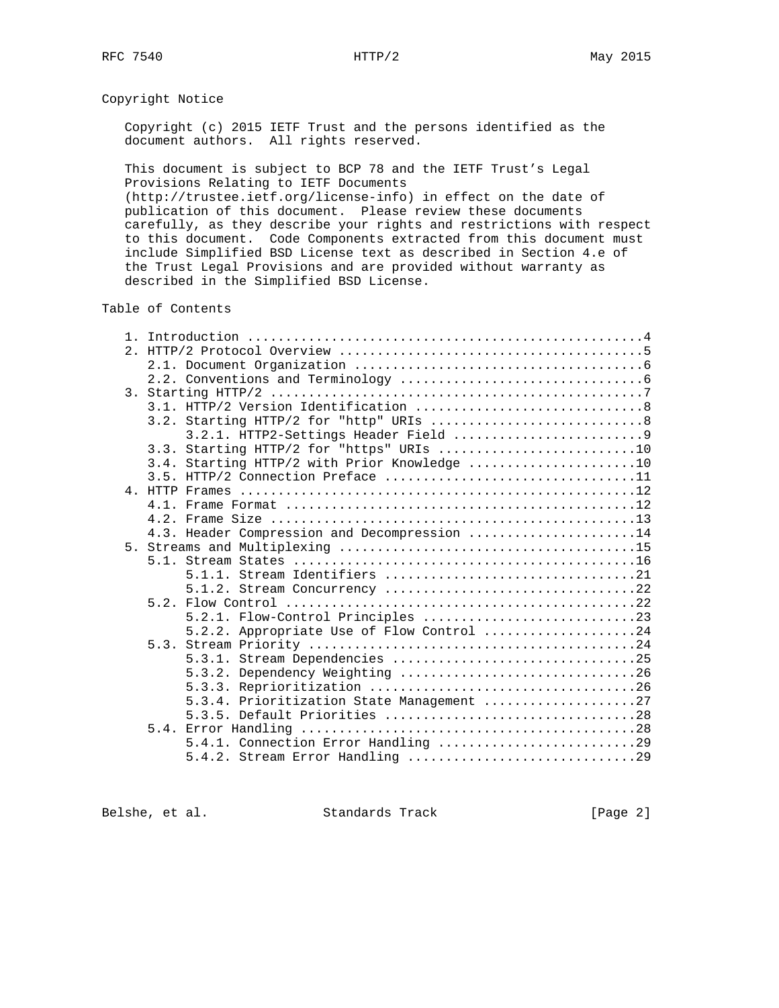# Copyright Notice

 Copyright (c) 2015 IETF Trust and the persons identified as the document authors. All rights reserved.

 This document is subject to BCP 78 and the IETF Trust's Legal Provisions Relating to IETF Documents

 (http://trustee.ietf.org/license-info) in effect on the date of publication of this document. Please review these documents carefully, as they describe your rights and restrictions with respect to this document. Code Components extracted from this document must include Simplified BSD License text as described in Section 4.e of the Trust Legal Provisions and are provided without warranty as described in the Simplified BSD License.

# Table of Contents

|  | 3.3. Starting HTTP/2 for "https" URIs 10     |
|--|----------------------------------------------|
|  | 3.4. Starting HTTP/2 with Prior Knowledge 10 |
|  |                                              |
|  |                                              |
|  |                                              |
|  |                                              |
|  | 4.3. Header Compression and Decompression 14 |
|  |                                              |
|  |                                              |
|  |                                              |
|  | 5.1.2. Stream Concurrency 22                 |
|  |                                              |
|  |                                              |
|  | 5.2.2. Appropriate Use of Flow Control 24    |
|  |                                              |
|  | 5.3.1. Stream Dependencies 25                |
|  | 5.3.2. Dependency Weighting 26               |
|  |                                              |
|  | 5.3.4. Prioritization State Management 27    |
|  |                                              |
|  |                                              |
|  | 5.4.1. Connection Error Handling 29          |
|  |                                              |

Belshe, et al. Standards Track [Page 2]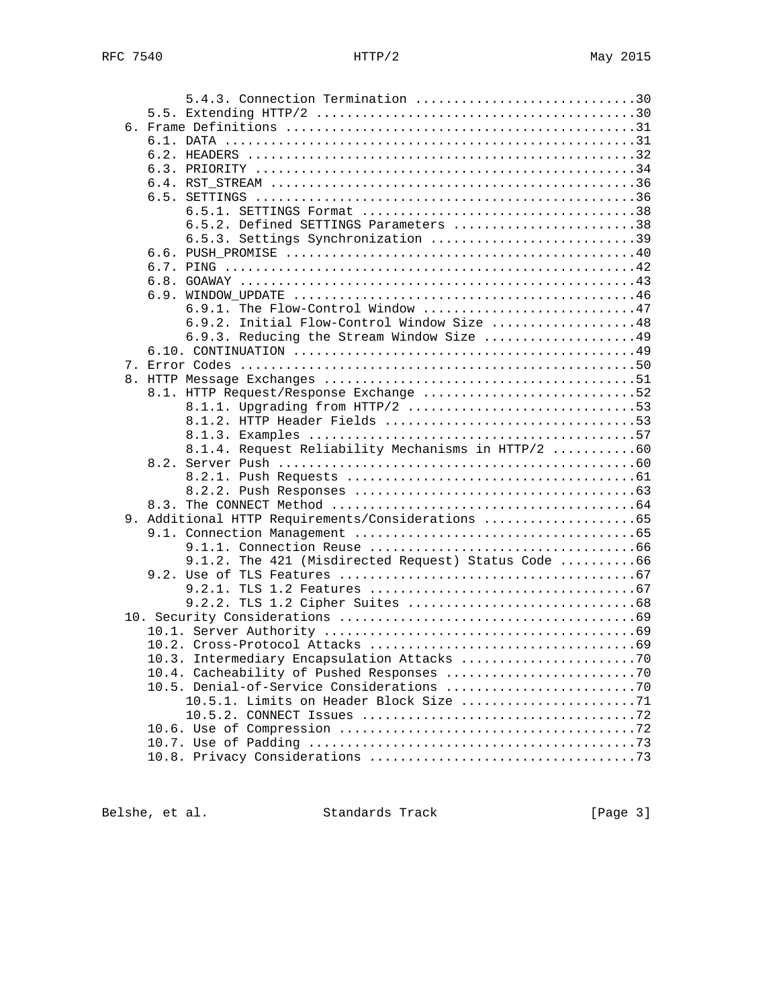| 5.4.3. Connection Termination 30                    |  |
|-----------------------------------------------------|--|
|                                                     |  |
|                                                     |  |
|                                                     |  |
|                                                     |  |
|                                                     |  |
|                                                     |  |
|                                                     |  |
|                                                     |  |
| 6.5.2. Defined SETTINGS Parameters 38               |  |
| 6.5.3. Settings Synchronization 39                  |  |
|                                                     |  |
|                                                     |  |
|                                                     |  |
|                                                     |  |
| 6.9.1. The Flow-Control Window 47                   |  |
| 6.9.2. Initial Flow-Control Window Size 48          |  |
| 6.9.3. Reducing the Stream Window Size 49           |  |
|                                                     |  |
|                                                     |  |
|                                                     |  |
| 8.1. HTTP Request/Response Exchange 52              |  |
| 8.1.1. Upgrading from HTTP/2 53                     |  |
|                                                     |  |
|                                                     |  |
| 8.1.4. Request Reliability Mechanisms in HTTP/2 60  |  |
|                                                     |  |
|                                                     |  |
|                                                     |  |
|                                                     |  |
| 9. Additional HTTP Requirements/Considerations 65   |  |
|                                                     |  |
|                                                     |  |
| 9.1.2. The 421 (Misdirected Request) Status Code 66 |  |
|                                                     |  |
|                                                     |  |
|                                                     |  |
|                                                     |  |
|                                                     |  |
|                                                     |  |
|                                                     |  |
|                                                     |  |
|                                                     |  |
| 10.5.1. Limits on Header Block Size 71              |  |
|                                                     |  |
|                                                     |  |
|                                                     |  |
|                                                     |  |

Belshe, et al. Standards Track [Page 3]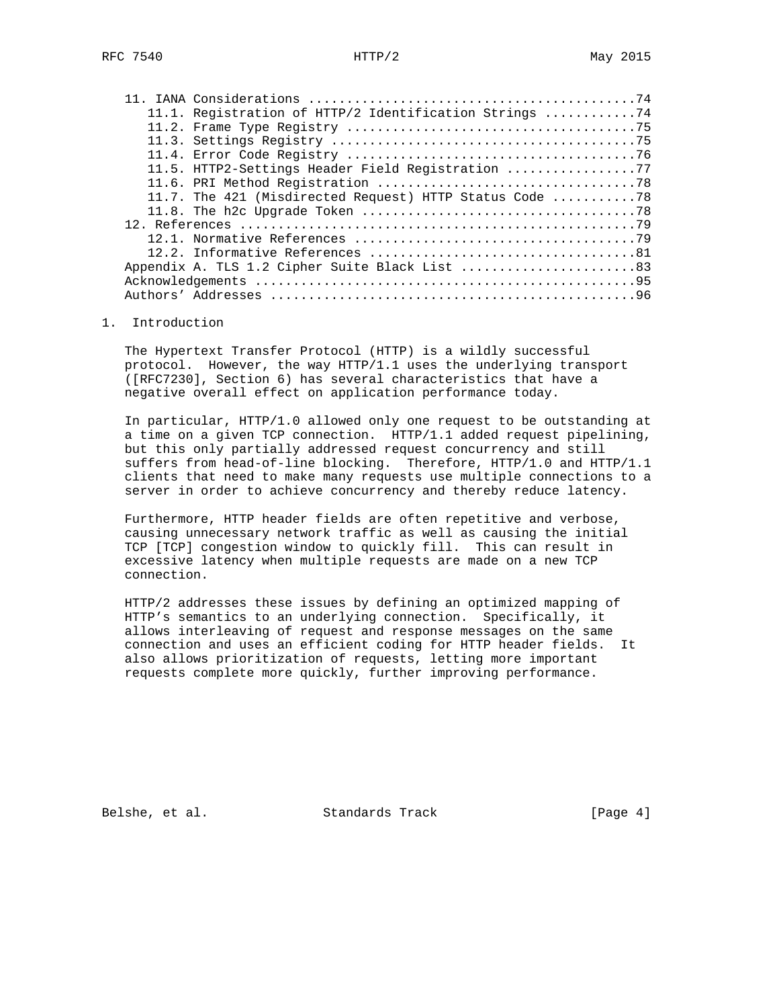|  | 11.1. Registration of HTTP/2 Identification Strings 74  |  |
|--|---------------------------------------------------------|--|
|  |                                                         |  |
|  |                                                         |  |
|  |                                                         |  |
|  | 11.5. HTTP2-Settings Header Field Registration 77       |  |
|  |                                                         |  |
|  | 11.7. The 421 (Misdirected Request) HTTP Status Code 78 |  |
|  |                                                         |  |
|  |                                                         |  |
|  |                                                         |  |
|  |                                                         |  |
|  | Appendix A. TLS 1.2 Cipher Suite Black List 83          |  |
|  |                                                         |  |
|  |                                                         |  |

#### 1. Introduction

 The Hypertext Transfer Protocol (HTTP) is a wildly successful protocol. However, the way HTTP/1.1 uses the underlying transport ([RFC7230], Section 6) has several characteristics that have a negative overall effect on application performance today.

 In particular, HTTP/1.0 allowed only one request to be outstanding at a time on a given TCP connection. HTTP/1.1 added request pipelining, but this only partially addressed request concurrency and still suffers from head-of-line blocking. Therefore, HTTP/1.0 and HTTP/1.1 clients that need to make many requests use multiple connections to a server in order to achieve concurrency and thereby reduce latency.

 Furthermore, HTTP header fields are often repetitive and verbose, causing unnecessary network traffic as well as causing the initial TCP [TCP] congestion window to quickly fill. This can result in excessive latency when multiple requests are made on a new TCP connection.

 HTTP/2 addresses these issues by defining an optimized mapping of HTTP's semantics to an underlying connection. Specifically, it allows interleaving of request and response messages on the same connection and uses an efficient coding for HTTP header fields. It also allows prioritization of requests, letting more important requests complete more quickly, further improving performance.

Belshe, et al. Standards Track [Page 4]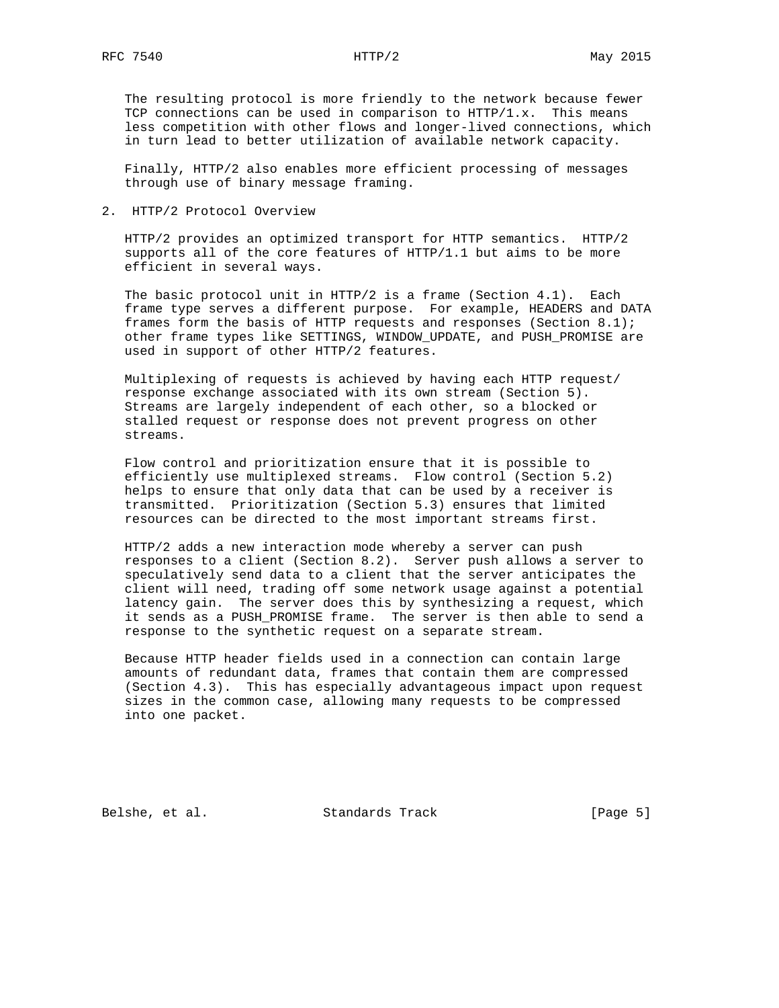The resulting protocol is more friendly to the network because fewer TCP connections can be used in comparison to HTTP/1.x. This means less competition with other flows and longer-lived connections, which in turn lead to better utilization of available network capacity.

 Finally, HTTP/2 also enables more efficient processing of messages through use of binary message framing.

2. HTTP/2 Protocol Overview

 HTTP/2 provides an optimized transport for HTTP semantics. HTTP/2 supports all of the core features of HTTP/1.1 but aims to be more efficient in several ways.

 The basic protocol unit in HTTP/2 is a frame (Section 4.1). Each frame type serves a different purpose. For example, HEADERS and DATA frames form the basis of HTTP requests and responses (Section 8.1); other frame types like SETTINGS, WINDOW\_UPDATE, and PUSH\_PROMISE are used in support of other HTTP/2 features.

 Multiplexing of requests is achieved by having each HTTP request/ response exchange associated with its own stream (Section 5). Streams are largely independent of each other, so a blocked or stalled request or response does not prevent progress on other streams.

 Flow control and prioritization ensure that it is possible to efficiently use multiplexed streams. Flow control (Section 5.2) helps to ensure that only data that can be used by a receiver is transmitted. Prioritization (Section 5.3) ensures that limited resources can be directed to the most important streams first.

 HTTP/2 adds a new interaction mode whereby a server can push responses to a client (Section 8.2). Server push allows a server to speculatively send data to a client that the server anticipates the client will need, trading off some network usage against a potential latency gain. The server does this by synthesizing a request, which it sends as a PUSH\_PROMISE frame. The server is then able to send a response to the synthetic request on a separate stream.

 Because HTTP header fields used in a connection can contain large amounts of redundant data, frames that contain them are compressed (Section 4.3). This has especially advantageous impact upon request sizes in the common case, allowing many requests to be compressed into one packet.

Belshe, et al. Standards Track [Page 5]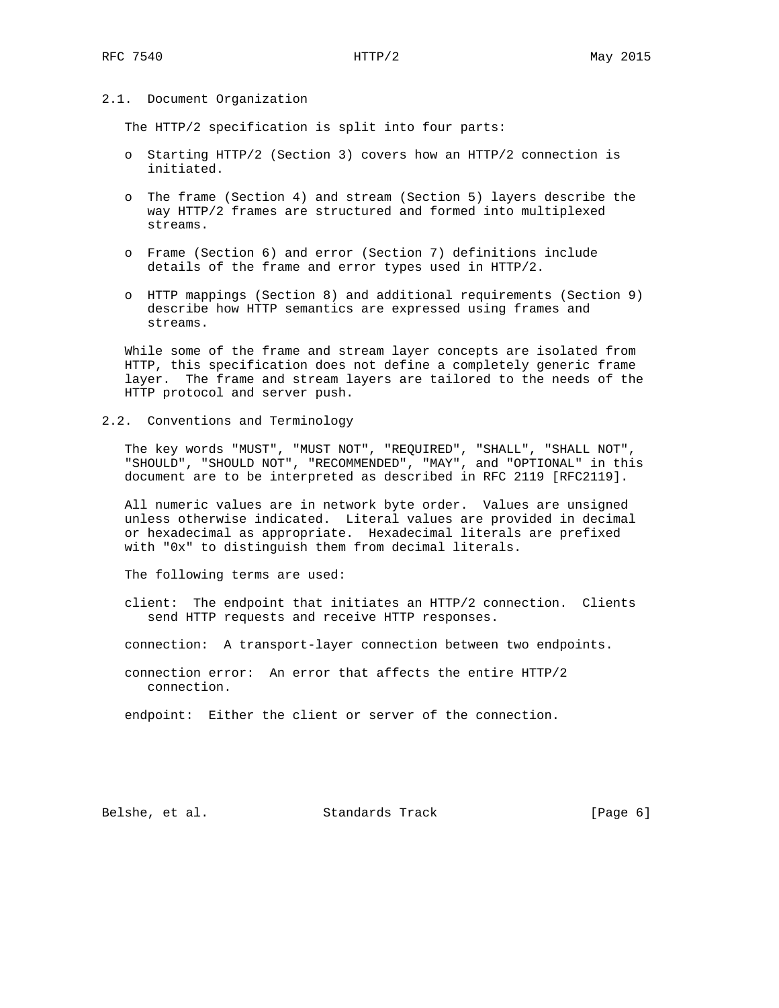### 2.1. Document Organization

The HTTP/2 specification is split into four parts:

- o Starting HTTP/2 (Section 3) covers how an HTTP/2 connection is initiated.
- o The frame (Section 4) and stream (Section 5) layers describe the way HTTP/2 frames are structured and formed into multiplexed streams.
- o Frame (Section 6) and error (Section 7) definitions include details of the frame and error types used in HTTP/2.
- o HTTP mappings (Section 8) and additional requirements (Section 9) describe how HTTP semantics are expressed using frames and streams.

 While some of the frame and stream layer concepts are isolated from HTTP, this specification does not define a completely generic frame layer. The frame and stream layers are tailored to the needs of the HTTP protocol and server push.

2.2. Conventions and Terminology

 The key words "MUST", "MUST NOT", "REQUIRED", "SHALL", "SHALL NOT", "SHOULD", "SHOULD NOT", "RECOMMENDED", "MAY", and "OPTIONAL" in this document are to be interpreted as described in RFC 2119 [RFC2119].

 All numeric values are in network byte order. Values are unsigned unless otherwise indicated. Literal values are provided in decimal or hexadecimal as appropriate. Hexadecimal literals are prefixed with "0x" to distinguish them from decimal literals.

The following terms are used:

 client: The endpoint that initiates an HTTP/2 connection. Clients send HTTP requests and receive HTTP responses.

connection: A transport-layer connection between two endpoints.

 connection error: An error that affects the entire HTTP/2 connection.

endpoint: Either the client or server of the connection.

Belshe, et al. Standards Track [Page 6]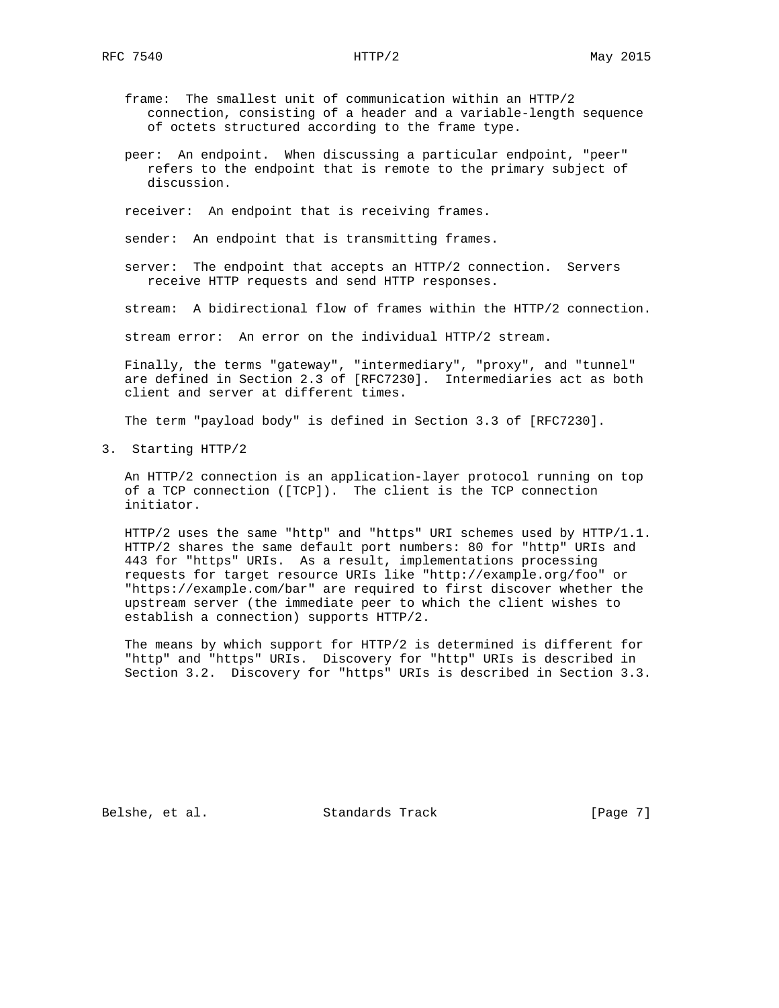- frame: The smallest unit of communication within an HTTP/2 connection, consisting of a header and a variable-length sequence of octets structured according to the frame type.
- peer: An endpoint. When discussing a particular endpoint, "peer" refers to the endpoint that is remote to the primary subject of discussion.

receiver: An endpoint that is receiving frames.

sender: An endpoint that is transmitting frames.

 server: The endpoint that accepts an HTTP/2 connection. Servers receive HTTP requests and send HTTP responses.

stream: A bidirectional flow of frames within the HTTP/2 connection.

stream error: An error on the individual HTTP/2 stream.

 Finally, the terms "gateway", "intermediary", "proxy", and "tunnel" are defined in Section 2.3 of [RFC7230]. Intermediaries act as both client and server at different times.

The term "payload body" is defined in Section 3.3 of [RFC7230].

3. Starting HTTP/2

 An HTTP/2 connection is an application-layer protocol running on top of a TCP connection ([TCP]). The client is the TCP connection initiator.

 HTTP/2 uses the same "http" and "https" URI schemes used by HTTP/1.1. HTTP/2 shares the same default port numbers: 80 for "http" URIs and 443 for "https" URIs. As a result, implementations processing requests for target resource URIs like "http://example.org/foo" or "https://example.com/bar" are required to first discover whether the upstream server (the immediate peer to which the client wishes to establish a connection) supports HTTP/2.

 The means by which support for HTTP/2 is determined is different for "http" and "https" URIs. Discovery for "http" URIs is described in Section 3.2. Discovery for "https" URIs is described in Section 3.3.

Belshe, et al. Standards Track [Page 7]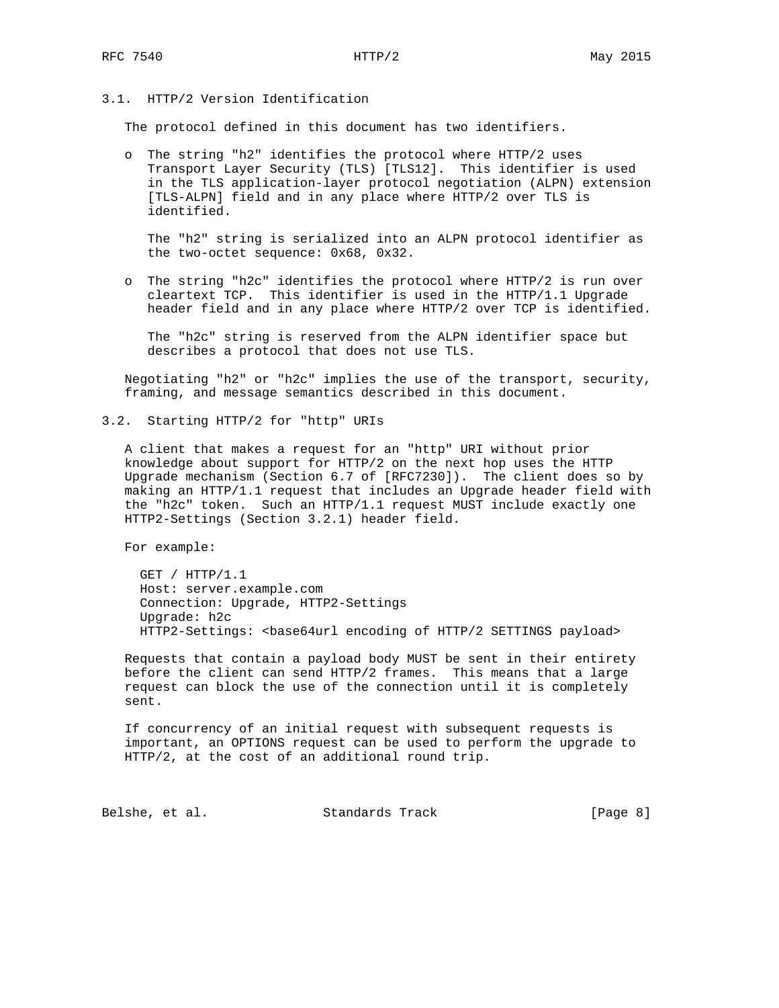# 3.1. HTTP/2 Version Identification

The protocol defined in this document has two identifiers.

 o The string "h2" identifies the protocol where HTTP/2 uses Transport Layer Security (TLS) [TLS12]. This identifier is used in the TLS application-layer protocol negotiation (ALPN) extension [TLS-ALPN] field and in any place where HTTP/2 over TLS is identified.

 The "h2" string is serialized into an ALPN protocol identifier as the two-octet sequence: 0x68, 0x32.

 o The string "h2c" identifies the protocol where HTTP/2 is run over cleartext TCP. This identifier is used in the HTTP/1.1 Upgrade header field and in any place where HTTP/2 over TCP is identified.

 The "h2c" string is reserved from the ALPN identifier space but describes a protocol that does not use TLS.

 Negotiating "h2" or "h2c" implies the use of the transport, security, framing, and message semantics described in this document.

3.2. Starting HTTP/2 for "http" URIs

 A client that makes a request for an "http" URI without prior knowledge about support for HTTP/2 on the next hop uses the HTTP Upgrade mechanism (Section 6.7 of [RFC7230]). The client does so by making an HTTP/1.1 request that includes an Upgrade header field with the "h2c" token. Such an HTTP/1.1 request MUST include exactly one HTTP2-Settings (Section 3.2.1) header field.

For example:

 GET / HTTP/1.1 Host: server.example.com Connection: Upgrade, HTTP2-Settings Upgrade: h2c HTTP2-Settings: <br/>base64url encoding of HTTP/2 SETTINGS payload>

 Requests that contain a payload body MUST be sent in their entirety before the client can send HTTP/2 frames. This means that a large request can block the use of the connection until it is completely sent.

 If concurrency of an initial request with subsequent requests is important, an OPTIONS request can be used to perform the upgrade to HTTP/2, at the cost of an additional round trip.

Belshe, et al. Standards Track [Page 8]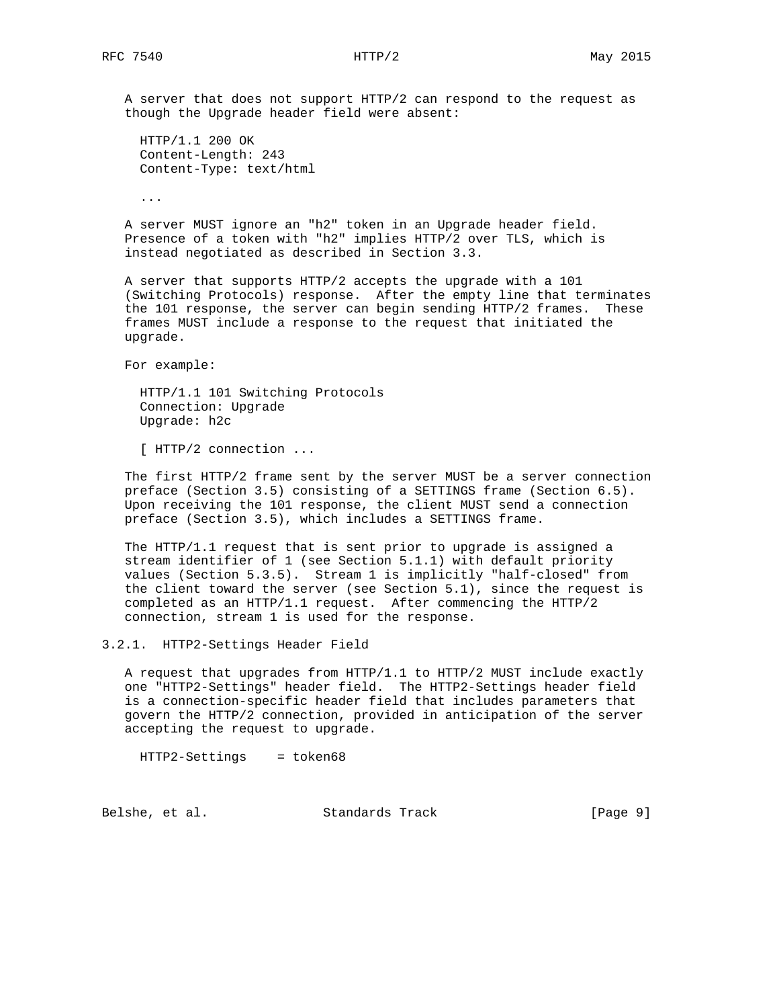A server that does not support HTTP/2 can respond to the request as though the Upgrade header field were absent:

 HTTP/1.1 200 OK Content-Length: 243 Content-Type: text/html

...

 A server MUST ignore an "h2" token in an Upgrade header field. Presence of a token with "h2" implies HTTP/2 over TLS, which is instead negotiated as described in Section 3.3.

 A server that supports HTTP/2 accepts the upgrade with a 101 (Switching Protocols) response. After the empty line that terminates the 101 response, the server can begin sending HTTP/2 frames. These frames MUST include a response to the request that initiated the upgrade.

For example:

 HTTP/1.1 101 Switching Protocols Connection: Upgrade Upgrade: h2c

[ HTTP/2 connection ...

 The first HTTP/2 frame sent by the server MUST be a server connection preface (Section 3.5) consisting of a SETTINGS frame (Section 6.5). Upon receiving the 101 response, the client MUST send a connection preface (Section 3.5), which includes a SETTINGS frame.

 The HTTP/1.1 request that is sent prior to upgrade is assigned a stream identifier of 1 (see Section 5.1.1) with default priority values (Section 5.3.5). Stream 1 is implicitly "half-closed" from the client toward the server (see Section 5.1), since the request is completed as an HTTP/1.1 request. After commencing the HTTP/2 connection, stream 1 is used for the response.

3.2.1. HTTP2-Settings Header Field

 A request that upgrades from HTTP/1.1 to HTTP/2 MUST include exactly one "HTTP2-Settings" header field. The HTTP2-Settings header field is a connection-specific header field that includes parameters that govern the HTTP/2 connection, provided in anticipation of the server accepting the request to upgrade.

HTTP2-Settings = token68

Belshe, et al. Standards Track [Page 9]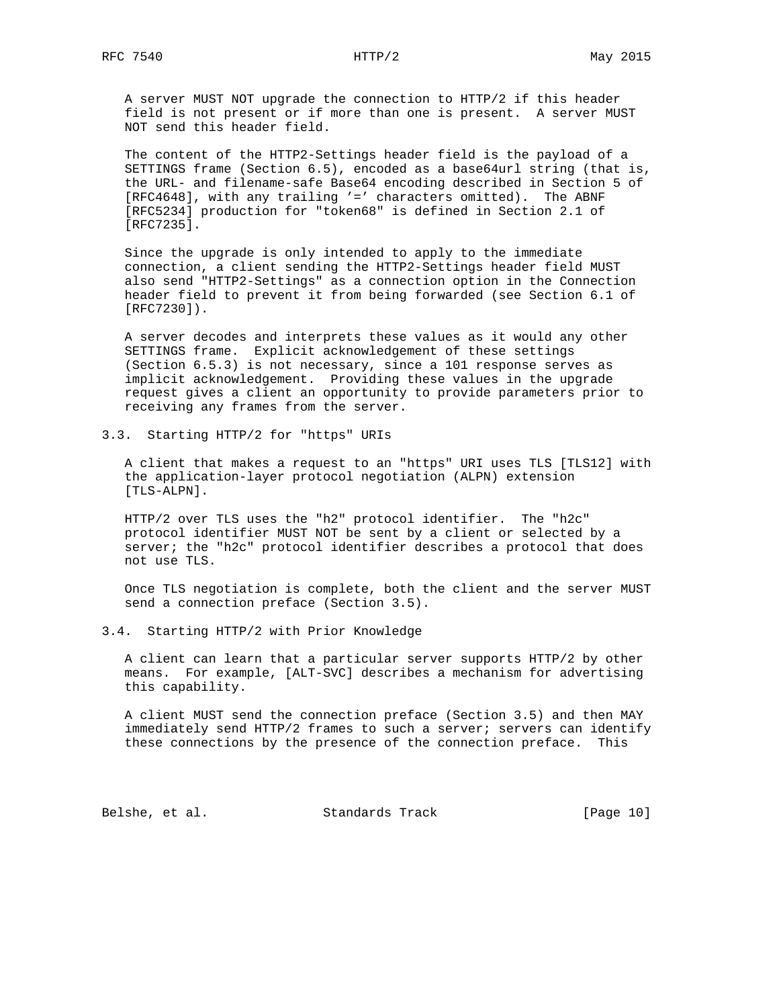A server MUST NOT upgrade the connection to HTTP/2 if this header field is not present or if more than one is present. A server MUST NOT send this header field.

 The content of the HTTP2-Settings header field is the payload of a SETTINGS frame (Section 6.5), encoded as a base64url string (that is, the URL- and filename-safe Base64 encoding described in Section 5 of [RFC4648], with any trailing '=' characters omitted). The ABNF [RFC5234] production for "token68" is defined in Section 2.1 of [RFC7235].

 Since the upgrade is only intended to apply to the immediate connection, a client sending the HTTP2-Settings header field MUST also send "HTTP2-Settings" as a connection option in the Connection header field to prevent it from being forwarded (see Section 6.1 of [RFC7230]).

 A server decodes and interprets these values as it would any other SETTINGS frame. Explicit acknowledgement of these settings (Section 6.5.3) is not necessary, since a 101 response serves as implicit acknowledgement. Providing these values in the upgrade request gives a client an opportunity to provide parameters prior to receiving any frames from the server.

3.3. Starting HTTP/2 for "https" URIs

 A client that makes a request to an "https" URI uses TLS [TLS12] with the application-layer protocol negotiation (ALPN) extension [TLS-ALPN].

 HTTP/2 over TLS uses the "h2" protocol identifier. The "h2c" protocol identifier MUST NOT be sent by a client or selected by a server; the "h2c" protocol identifier describes a protocol that does not use TLS.

 Once TLS negotiation is complete, both the client and the server MUST send a connection preface (Section 3.5).

3.4. Starting HTTP/2 with Prior Knowledge

 A client can learn that a particular server supports HTTP/2 by other means. For example, [ALT-SVC] describes a mechanism for advertising this capability.

 A client MUST send the connection preface (Section 3.5) and then MAY immediately send HTTP/2 frames to such a server; servers can identify these connections by the presence of the connection preface. This

Belshe, et al. Standards Track [Page 10]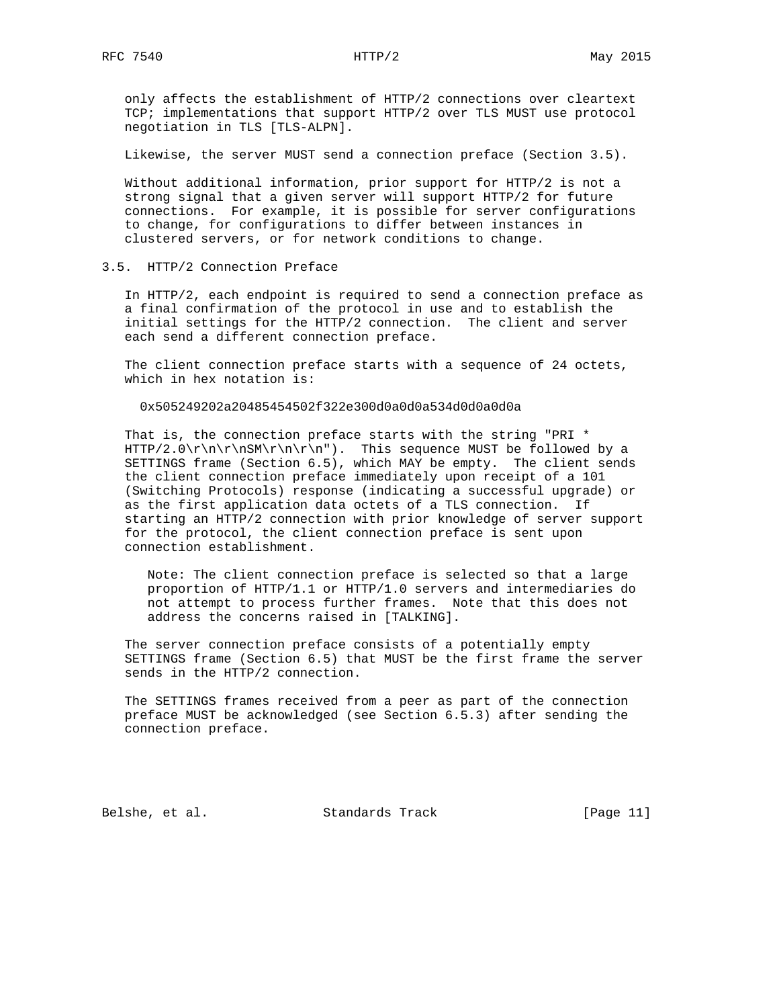only affects the establishment of HTTP/2 connections over cleartext TCP; implementations that support HTTP/2 over TLS MUST use protocol negotiation in TLS [TLS-ALPN].

Likewise, the server MUST send a connection preface (Section 3.5).

 Without additional information, prior support for HTTP/2 is not a strong signal that a given server will support HTTP/2 for future connections. For example, it is possible for server configurations to change, for configurations to differ between instances in clustered servers, or for network conditions to change.

3.5. HTTP/2 Connection Preface

 In HTTP/2, each endpoint is required to send a connection preface as a final confirmation of the protocol in use and to establish the initial settings for the HTTP/2 connection. The client and server each send a different connection preface.

 The client connection preface starts with a sequence of 24 octets, which in hex notation is:

0x505249202a20485454502f322e300d0a0d0a534d0d0a0d0a

 That is, the connection preface starts with the string "PRI \* HTTP/2.0\r\n\r\nSM\r\n\r\n"). This sequence MUST be followed by a SETTINGS frame (Section 6.5), which MAY be empty. The client sends the client connection preface immediately upon receipt of a 101 (Switching Protocols) response (indicating a successful upgrade) or as the first application data octets of a TLS connection. If starting an HTTP/2 connection with prior knowledge of server support for the protocol, the client connection preface is sent upon connection establishment.

 Note: The client connection preface is selected so that a large proportion of HTTP/1.1 or HTTP/1.0 servers and intermediaries do not attempt to process further frames. Note that this does not address the concerns raised in [TALKING].

 The server connection preface consists of a potentially empty SETTINGS frame (Section 6.5) that MUST be the first frame the server sends in the HTTP/2 connection.

 The SETTINGS frames received from a peer as part of the connection preface MUST be acknowledged (see Section 6.5.3) after sending the connection preface.

Belshe, et al. Standards Track [Page 11]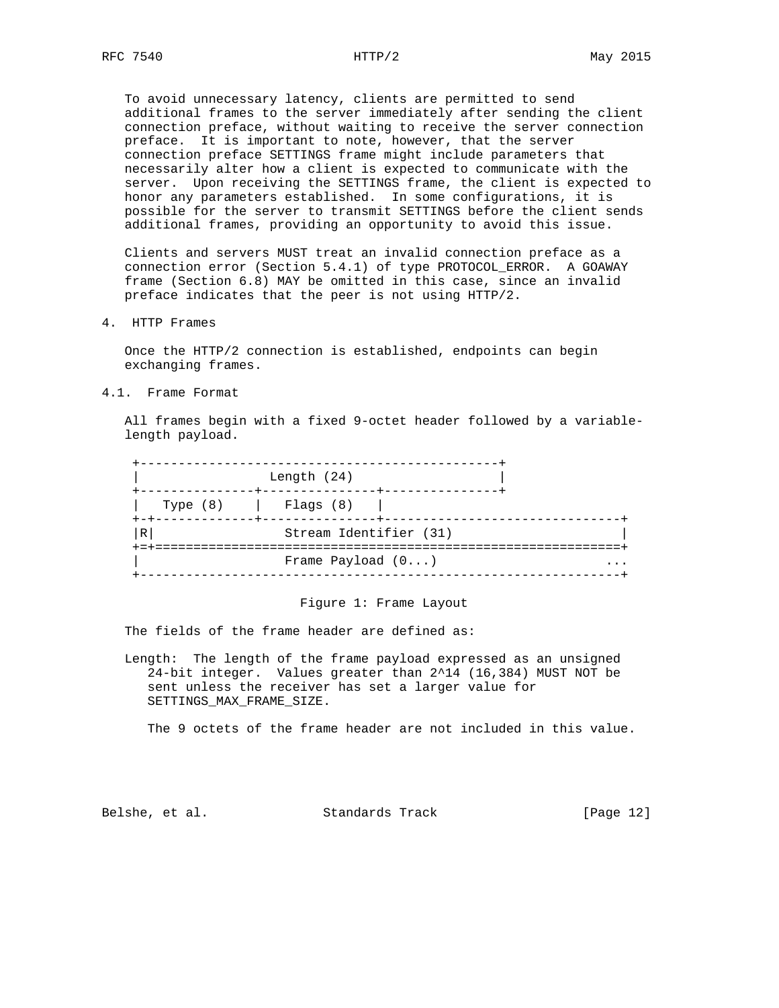To avoid unnecessary latency, clients are permitted to send additional frames to the server immediately after sending the client connection preface, without waiting to receive the server connection preface. It is important to note, however, that the server connection preface SETTINGS frame might include parameters that necessarily alter how a client is expected to communicate with the server. Upon receiving the SETTINGS frame, the client is expected to honor any parameters established. In some configurations, it is possible for the server to transmit SETTINGS before the client sends additional frames, providing an opportunity to avoid this issue.

 Clients and servers MUST treat an invalid connection preface as a connection error (Section 5.4.1) of type PROTOCOL\_ERROR. A GOAWAY frame (Section 6.8) MAY be omitted in this case, since an invalid preface indicates that the peer is not using HTTP/2.

4. HTTP Frames

 Once the HTTP/2 connection is established, endpoints can begin exchanging frames.

4.1. Frame Format

 All frames begin with a fixed 9-octet header followed by a variable length payload.

| Type $(8)$ | Flaqs (8)                                |  |
|------------|------------------------------------------|--|
| R          | Stream Identifier (31)                   |  |
|            | =================<br>Frame Payload $(0)$ |  |

#### Figure 1: Frame Layout

The fields of the frame header are defined as:

 Length: The length of the frame payload expressed as an unsigned 24-bit integer. Values greater than 2^14 (16,384) MUST NOT be sent unless the receiver has set a larger value for SETTINGS\_MAX\_FRAME\_SIZE.

The 9 octets of the frame header are not included in this value.

Belshe, et al. Standards Track [Page 12]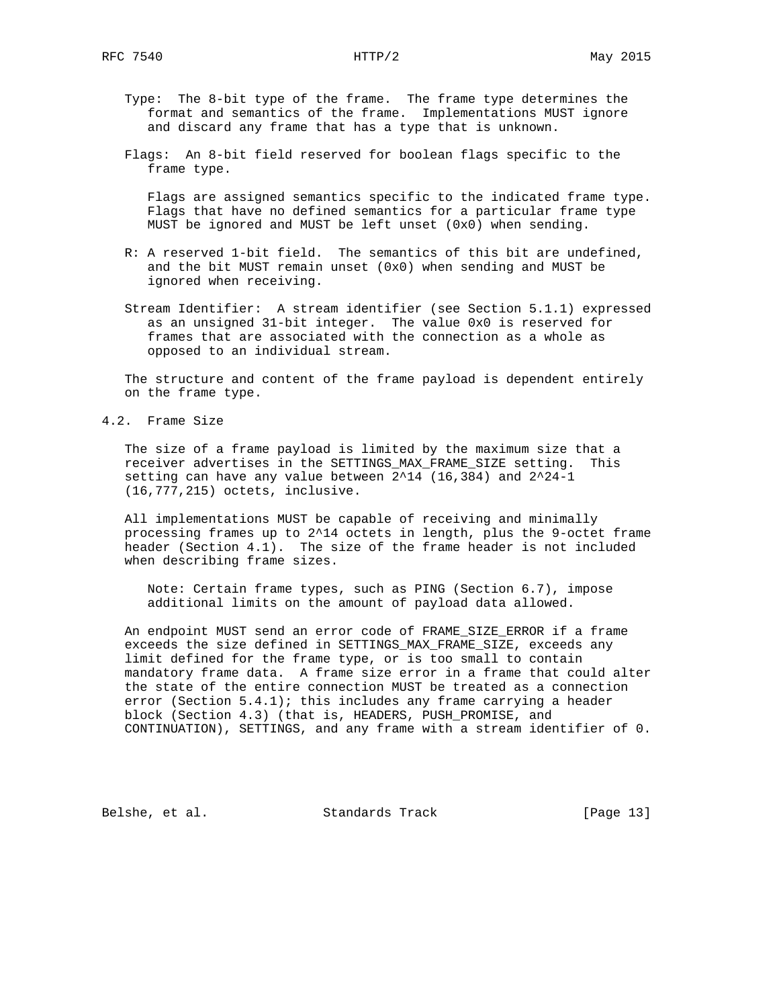- Type: The 8-bit type of the frame. The frame type determines the format and semantics of the frame. Implementations MUST ignore and discard any frame that has a type that is unknown.
- Flags: An 8-bit field reserved for boolean flags specific to the frame type.

 Flags are assigned semantics specific to the indicated frame type. Flags that have no defined semantics for a particular frame type MUST be ignored and MUST be left unset (0x0) when sending.

- R: A reserved 1-bit field. The semantics of this bit are undefined, and the bit MUST remain unset (0x0) when sending and MUST be ignored when receiving.
- Stream Identifier: A stream identifier (see Section 5.1.1) expressed as an unsigned 31-bit integer. The value 0x0 is reserved for frames that are associated with the connection as a whole as opposed to an individual stream.

 The structure and content of the frame payload is dependent entirely on the frame type.

4.2. Frame Size

 The size of a frame payload is limited by the maximum size that a receiver advertises in the SETTINGS\_MAX\_FRAME\_SIZE setting. This setting can have any value between 2^14 (16,384) and 2^24-1 (16,777,215) octets, inclusive.

 All implementations MUST be capable of receiving and minimally processing frames up to 2^14 octets in length, plus the 9-octet frame header (Section 4.1). The size of the frame header is not included when describing frame sizes.

 Note: Certain frame types, such as PING (Section 6.7), impose additional limits on the amount of payload data allowed.

 An endpoint MUST send an error code of FRAME\_SIZE\_ERROR if a frame exceeds the size defined in SETTINGS\_MAX\_FRAME\_SIZE, exceeds any limit defined for the frame type, or is too small to contain mandatory frame data. A frame size error in a frame that could alter the state of the entire connection MUST be treated as a connection error (Section  $5.4.1$ ); this includes any frame carrying a header block (Section 4.3) (that is, HEADERS, PUSH\_PROMISE, and CONTINUATION), SETTINGS, and any frame with a stream identifier of 0.

Belshe, et al. Standards Track [Page 13]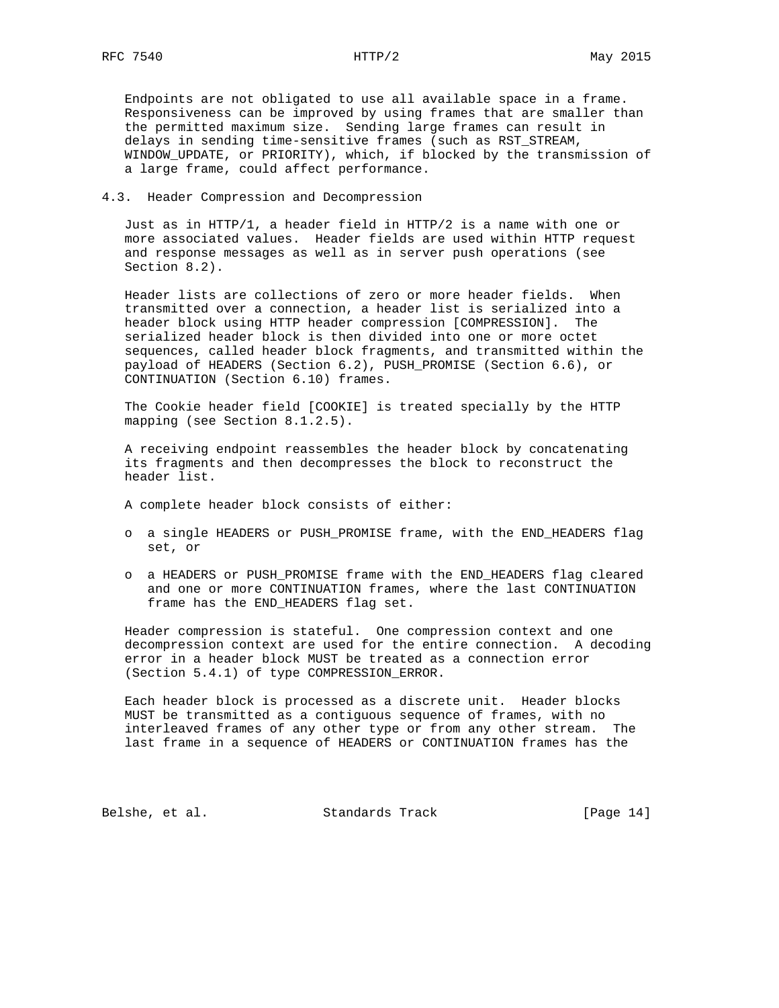Endpoints are not obligated to use all available space in a frame. Responsiveness can be improved by using frames that are smaller than the permitted maximum size. Sending large frames can result in delays in sending time-sensitive frames (such as RST\_STREAM, WINDOW\_UPDATE, or PRIORITY), which, if blocked by the transmission of a large frame, could affect performance.

# 4.3. Header Compression and Decompression

 Just as in HTTP/1, a header field in HTTP/2 is a name with one or more associated values. Header fields are used within HTTP request and response messages as well as in server push operations (see Section 8.2).

 Header lists are collections of zero or more header fields. When transmitted over a connection, a header list is serialized into a header block using HTTP header compression [COMPRESSION]. The serialized header block is then divided into one or more octet sequences, called header block fragments, and transmitted within the payload of HEADERS (Section 6.2), PUSH\_PROMISE (Section 6.6), or CONTINUATION (Section 6.10) frames.

 The Cookie header field [COOKIE] is treated specially by the HTTP mapping (see Section 8.1.2.5).

 A receiving endpoint reassembles the header block by concatenating its fragments and then decompresses the block to reconstruct the header list.

A complete header block consists of either:

- o a single HEADERS or PUSH\_PROMISE frame, with the END\_HEADERS flag set, or
- o a HEADERS or PUSH\_PROMISE frame with the END\_HEADERS flag cleared and one or more CONTINUATION frames, where the last CONTINUATION frame has the END\_HEADERS flag set.

 Header compression is stateful. One compression context and one decompression context are used for the entire connection. A decoding error in a header block MUST be treated as a connection error (Section 5.4.1) of type COMPRESSION\_ERROR.

 Each header block is processed as a discrete unit. Header blocks MUST be transmitted as a contiguous sequence of frames, with no interleaved frames of any other type or from any other stream. The last frame in a sequence of HEADERS or CONTINUATION frames has the

Belshe, et al. Standards Track [Page 14]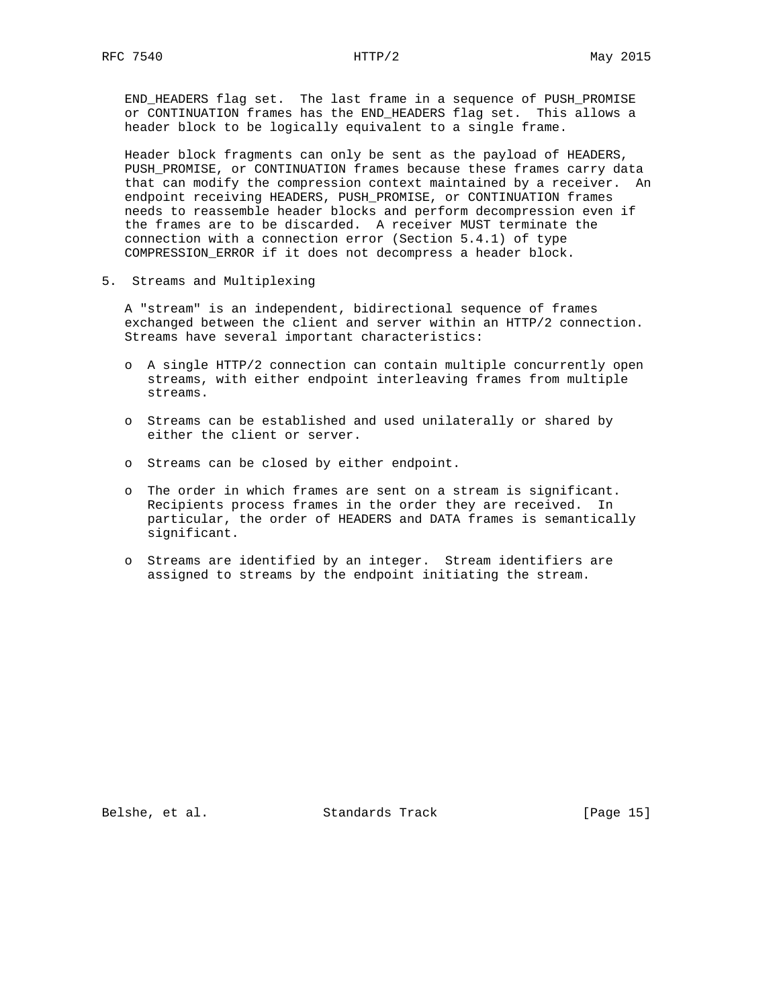END\_HEADERS flag set. The last frame in a sequence of PUSH\_PROMISE or CONTINUATION frames has the END\_HEADERS flag set. This allows a header block to be logically equivalent to a single frame.

 Header block fragments can only be sent as the payload of HEADERS, PUSH\_PROMISE, or CONTINUATION frames because these frames carry data that can modify the compression context maintained by a receiver. An endpoint receiving HEADERS, PUSH\_PROMISE, or CONTINUATION frames needs to reassemble header blocks and perform decompression even if the frames are to be discarded. A receiver MUST terminate the connection with a connection error (Section 5.4.1) of type COMPRESSION\_ERROR if it does not decompress a header block.

5. Streams and Multiplexing

 A "stream" is an independent, bidirectional sequence of frames exchanged between the client and server within an HTTP/2 connection. Streams have several important characteristics:

- o A single HTTP/2 connection can contain multiple concurrently open streams, with either endpoint interleaving frames from multiple streams.
- o Streams can be established and used unilaterally or shared by either the client or server.
- o Streams can be closed by either endpoint.
- o The order in which frames are sent on a stream is significant. Recipients process frames in the order they are received. In particular, the order of HEADERS and DATA frames is semantically significant.
- o Streams are identified by an integer. Stream identifiers are assigned to streams by the endpoint initiating the stream.

Belshe, et al. Standards Track [Page 15]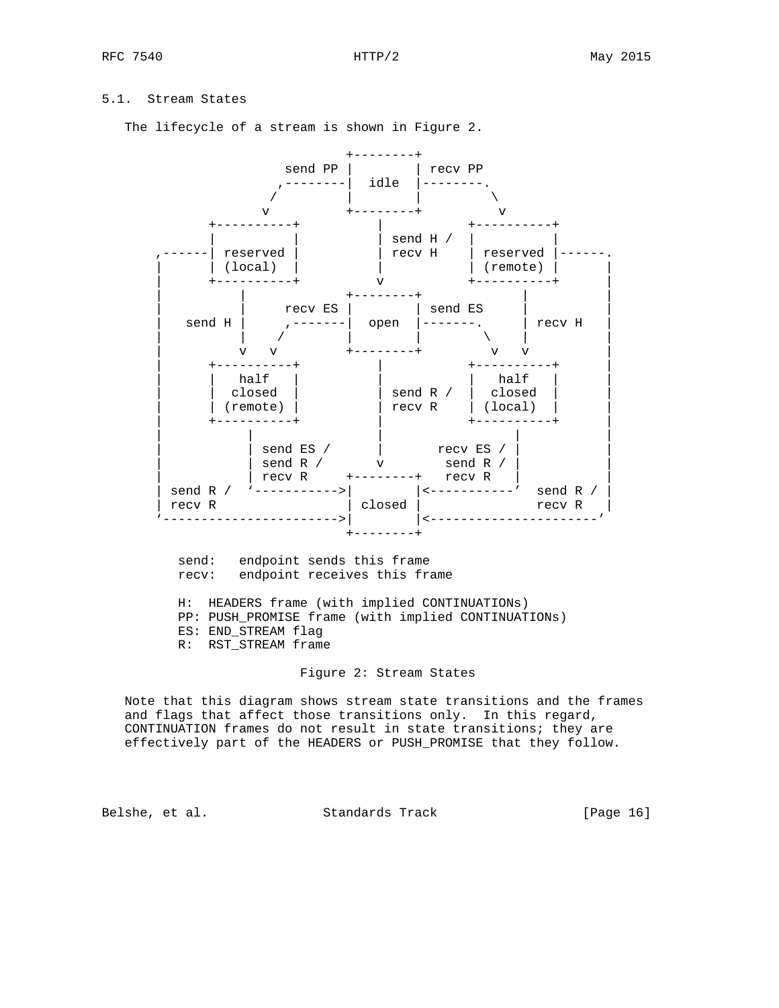# 5.1. Stream States

The lifecycle of a stream is shown in Figure 2.



 send: endpoint sends this frame recv: endpoint receives this frame

 H: HEADERS frame (with implied CONTINUATIONs) PP: PUSH\_PROMISE frame (with implied CONTINUATIONs) ES: END\_STREAM flag R: RST\_STREAM frame

#### Figure 2: Stream States

 Note that this diagram shows stream state transitions and the frames and flags that affect those transitions only. In this regard, CONTINUATION frames do not result in state transitions; they are effectively part of the HEADERS or PUSH\_PROMISE that they follow.

Belshe, et al. Standards Track [Page 16]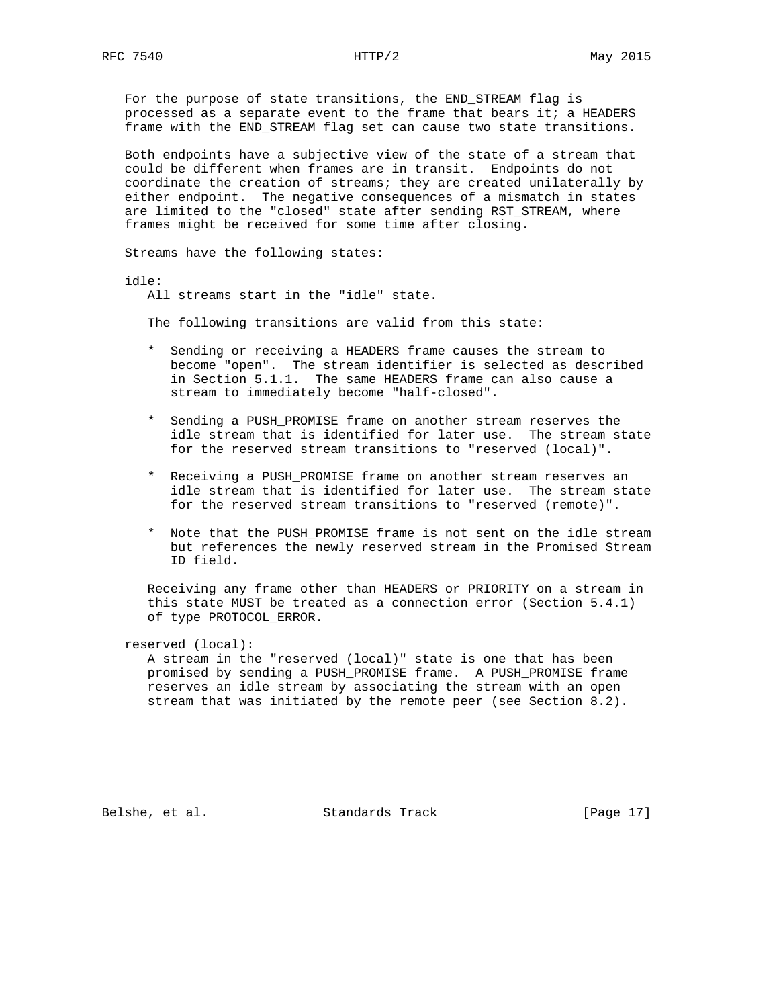For the purpose of state transitions, the END\_STREAM flag is processed as a separate event to the frame that bears it; a HEADERS frame with the END\_STREAM flag set can cause two state transitions.

 Both endpoints have a subjective view of the state of a stream that could be different when frames are in transit. Endpoints do not coordinate the creation of streams; they are created unilaterally by either endpoint. The negative consequences of a mismatch in states are limited to the "closed" state after sending RST\_STREAM, where frames might be received for some time after closing.

Streams have the following states:

idle:

All streams start in the "idle" state.

The following transitions are valid from this state:

- \* Sending or receiving a HEADERS frame causes the stream to become "open". The stream identifier is selected as described in Section 5.1.1. The same HEADERS frame can also cause a stream to immediately become "half-closed".
- \* Sending a PUSH\_PROMISE frame on another stream reserves the idle stream that is identified for later use. The stream state for the reserved stream transitions to "reserved (local)".
- \* Receiving a PUSH\_PROMISE frame on another stream reserves an idle stream that is identified for later use. The stream state for the reserved stream transitions to "reserved (remote)".
- \* Note that the PUSH\_PROMISE frame is not sent on the idle stream but references the newly reserved stream in the Promised Stream ID field.

 Receiving any frame other than HEADERS or PRIORITY on a stream in this state MUST be treated as a connection error (Section 5.4.1) of type PROTOCOL\_ERROR.

reserved (local):

 A stream in the "reserved (local)" state is one that has been promised by sending a PUSH\_PROMISE frame. A PUSH\_PROMISE frame reserves an idle stream by associating the stream with an open stream that was initiated by the remote peer (see Section 8.2).

Belshe, et al. Standards Track [Page 17]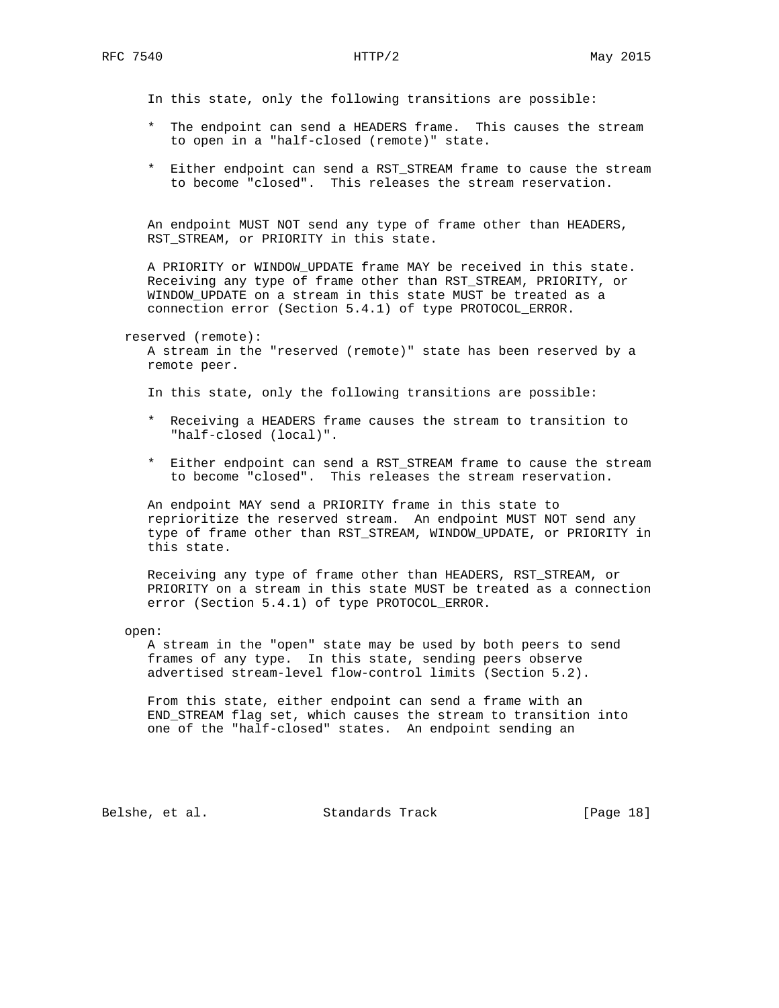In this state, only the following transitions are possible:

- \* The endpoint can send a HEADERS frame. This causes the stream to open in a "half-closed (remote)" state.
- \* Either endpoint can send a RST\_STREAM frame to cause the stream to become "closed". This releases the stream reservation.

 An endpoint MUST NOT send any type of frame other than HEADERS, RST\_STREAM, or PRIORITY in this state.

 A PRIORITY or WINDOW\_UPDATE frame MAY be received in this state. Receiving any type of frame other than RST\_STREAM, PRIORITY, or WINDOW\_UPDATE on a stream in this state MUST be treated as a connection error (Section 5.4.1) of type PROTOCOL\_ERROR.

reserved (remote):

 A stream in the "reserved (remote)" state has been reserved by a remote peer.

In this state, only the following transitions are possible:

- \* Receiving a HEADERS frame causes the stream to transition to "half-closed (local)".
- \* Either endpoint can send a RST\_STREAM frame to cause the stream to become "closed". This releases the stream reservation.

 An endpoint MAY send a PRIORITY frame in this state to reprioritize the reserved stream. An endpoint MUST NOT send any type of frame other than RST\_STREAM, WINDOW\_UPDATE, or PRIORITY in this state.

 Receiving any type of frame other than HEADERS, RST\_STREAM, or PRIORITY on a stream in this state MUST be treated as a connection error (Section 5.4.1) of type PROTOCOL\_ERROR.

open:

 A stream in the "open" state may be used by both peers to send frames of any type. In this state, sending peers observe advertised stream-level flow-control limits (Section 5.2).

 From this state, either endpoint can send a frame with an END\_STREAM flag set, which causes the stream to transition into one of the "half-closed" states. An endpoint sending an

Belshe, et al. Standards Track [Page 18]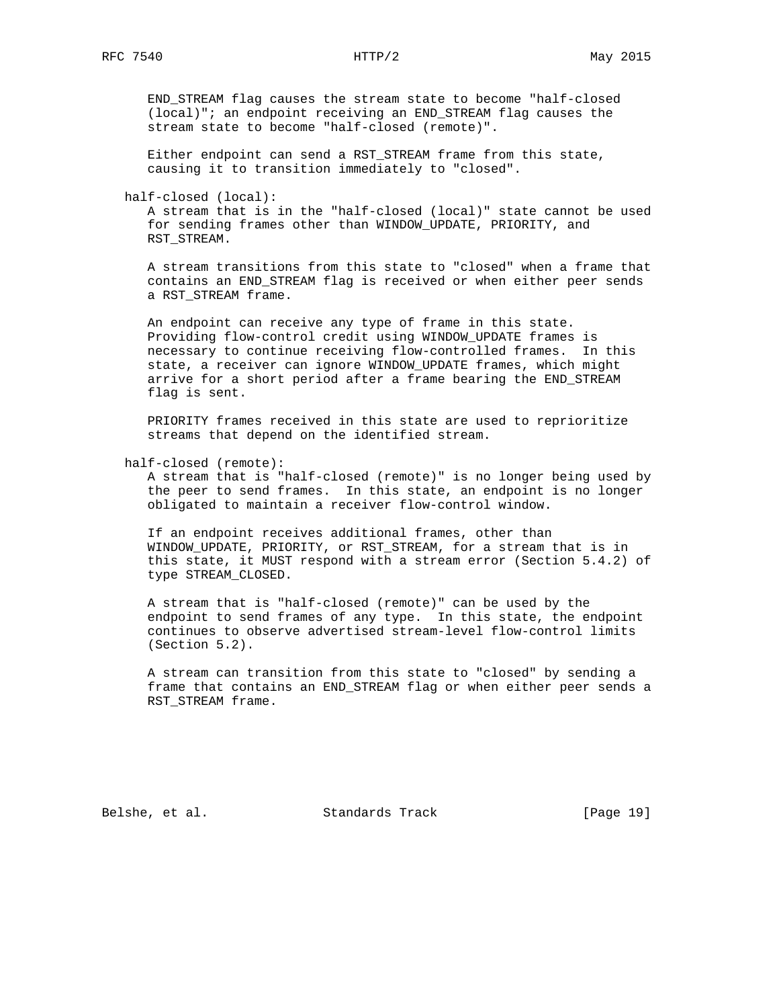END\_STREAM flag causes the stream state to become "half-closed (local)"; an endpoint receiving an END\_STREAM flag causes the stream state to become "half-closed (remote)".

 Either endpoint can send a RST\_STREAM frame from this state, causing it to transition immediately to "closed".

half-closed (local):

 A stream that is in the "half-closed (local)" state cannot be used for sending frames other than WINDOW\_UPDATE, PRIORITY, and RST\_STREAM.

 A stream transitions from this state to "closed" when a frame that contains an END\_STREAM flag is received or when either peer sends a RST\_STREAM frame.

 An endpoint can receive any type of frame in this state. Providing flow-control credit using WINDOW\_UPDATE frames is necessary to continue receiving flow-controlled frames. In this state, a receiver can ignore WINDOW\_UPDATE frames, which might arrive for a short period after a frame bearing the END\_STREAM flag is sent.

 PRIORITY frames received in this state are used to reprioritize streams that depend on the identified stream.

half-closed (remote):

 A stream that is "half-closed (remote)" is no longer being used by the peer to send frames. In this state, an endpoint is no longer obligated to maintain a receiver flow-control window.

 If an endpoint receives additional frames, other than WINDOW\_UPDATE, PRIORITY, or RST\_STREAM, for a stream that is in this state, it MUST respond with a stream error (Section 5.4.2) of type STREAM\_CLOSED.

 A stream that is "half-closed (remote)" can be used by the endpoint to send frames of any type. In this state, the endpoint continues to observe advertised stream-level flow-control limits (Section 5.2).

 A stream can transition from this state to "closed" by sending a frame that contains an END\_STREAM flag or when either peer sends a RST\_STREAM frame.

Belshe, et al. Standards Track [Page 19]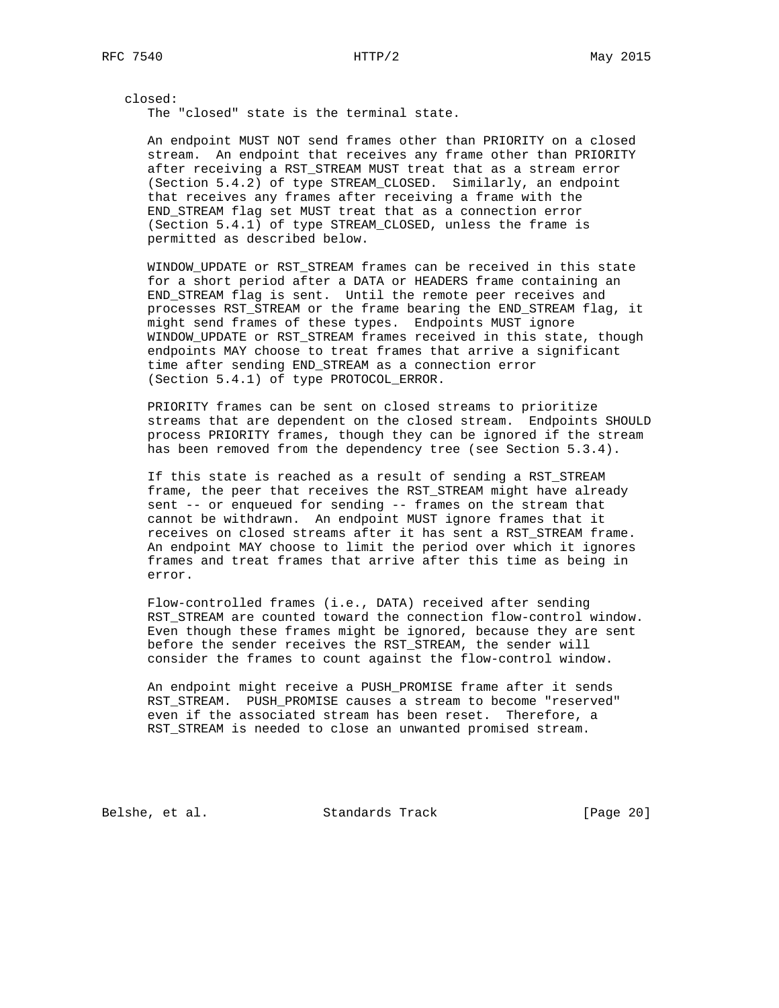closed: The "closed" state is the terminal state.

 An endpoint MUST NOT send frames other than PRIORITY on a closed stream. An endpoint that receives any frame other than PRIORITY after receiving a RST\_STREAM MUST treat that as a stream error (Section 5.4.2) of type STREAM\_CLOSED. Similarly, an endpoint that receives any frames after receiving a frame with the END\_STREAM flag set MUST treat that as a connection error (Section 5.4.1) of type STREAM\_CLOSED, unless the frame is permitted as described below.

 WINDOW\_UPDATE or RST\_STREAM frames can be received in this state for a short period after a DATA or HEADERS frame containing an END\_STREAM flag is sent. Until the remote peer receives and processes RST\_STREAM or the frame bearing the END\_STREAM flag, it might send frames of these types. Endpoints MUST ignore WINDOW\_UPDATE or RST\_STREAM frames received in this state, though endpoints MAY choose to treat frames that arrive a significant time after sending END\_STREAM as a connection error (Section 5.4.1) of type PROTOCOL\_ERROR.

 PRIORITY frames can be sent on closed streams to prioritize streams that are dependent on the closed stream. Endpoints SHOULD process PRIORITY frames, though they can be ignored if the stream has been removed from the dependency tree (see Section 5.3.4).

If this state is reached as a result of sending a RST STREAM frame, the peer that receives the RST\_STREAM might have already sent -- or enqueued for sending -- frames on the stream that cannot be withdrawn. An endpoint MUST ignore frames that it receives on closed streams after it has sent a RST\_STREAM frame. An endpoint MAY choose to limit the period over which it ignores frames and treat frames that arrive after this time as being in error.

 Flow-controlled frames (i.e., DATA) received after sending RST\_STREAM are counted toward the connection flow-control window. Even though these frames might be ignored, because they are sent before the sender receives the RST\_STREAM, the sender will consider the frames to count against the flow-control window.

 An endpoint might receive a PUSH\_PROMISE frame after it sends RST\_STREAM. PUSH\_PROMISE causes a stream to become "reserved" even if the associated stream has been reset. Therefore, a RST\_STREAM is needed to close an unwanted promised stream.

Belshe, et al. Standards Track [Page 20]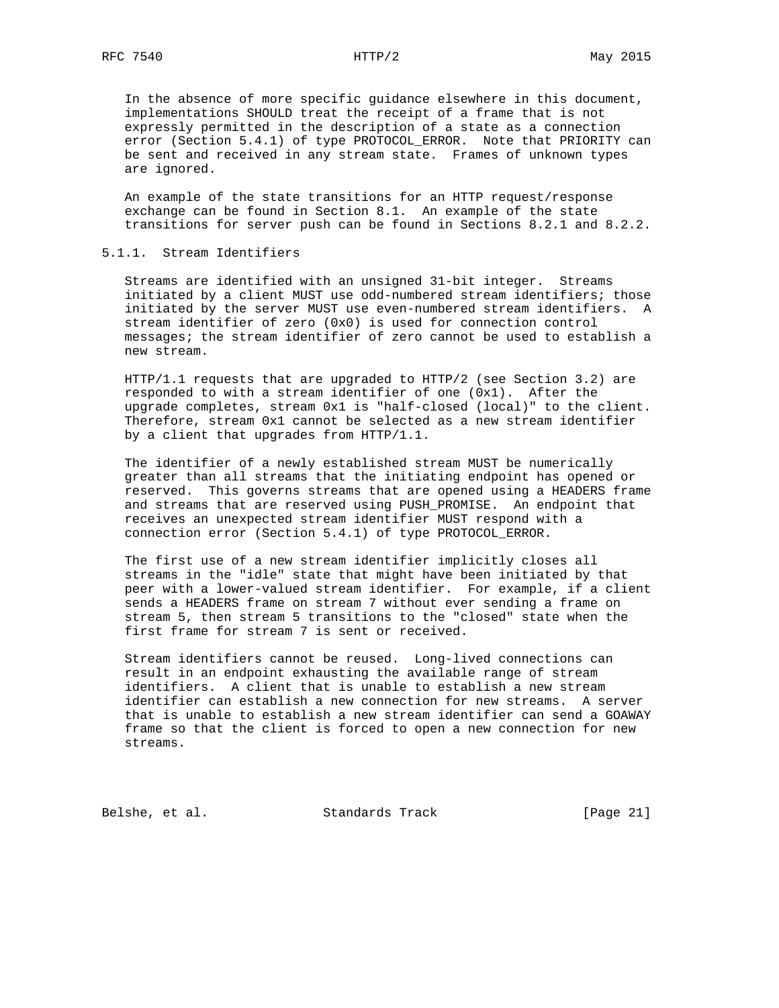In the absence of more specific guidance elsewhere in this document, implementations SHOULD treat the receipt of a frame that is not expressly permitted in the description of a state as a connection error (Section 5.4.1) of type PROTOCOL\_ERROR. Note that PRIORITY can be sent and received in any stream state. Frames of unknown types are ignored.

 An example of the state transitions for an HTTP request/response exchange can be found in Section 8.1. An example of the state transitions for server push can be found in Sections 8.2.1 and 8.2.2.

### 5.1.1. Stream Identifiers

 Streams are identified with an unsigned 31-bit integer. Streams initiated by a client MUST use odd-numbered stream identifiers; those initiated by the server MUST use even-numbered stream identifiers. A stream identifier of zero (0x0) is used for connection control messages; the stream identifier of zero cannot be used to establish a new stream.

 $HTTP/1.1$  requests that are upgraded to HTTP/2 (see Section 3.2) are responded to with a stream identifier of one (0x1). After the upgrade completes, stream 0x1 is "half-closed (local)" to the client. Therefore, stream 0x1 cannot be selected as a new stream identifier by a client that upgrades from HTTP/1.1.

 The identifier of a newly established stream MUST be numerically greater than all streams that the initiating endpoint has opened or reserved. This governs streams that are opened using a HEADERS frame and streams that are reserved using PUSH\_PROMISE. An endpoint that receives an unexpected stream identifier MUST respond with a connection error (Section 5.4.1) of type PROTOCOL\_ERROR.

 The first use of a new stream identifier implicitly closes all streams in the "idle" state that might have been initiated by that peer with a lower-valued stream identifier. For example, if a client sends a HEADERS frame on stream 7 without ever sending a frame on stream 5, then stream 5 transitions to the "closed" state when the first frame for stream 7 is sent or received.

 Stream identifiers cannot be reused. Long-lived connections can result in an endpoint exhausting the available range of stream identifiers. A client that is unable to establish a new stream identifier can establish a new connection for new streams. A server that is unable to establish a new stream identifier can send a GOAWAY frame so that the client is forced to open a new connection for new streams.

Belshe, et al. Standards Track [Page 21]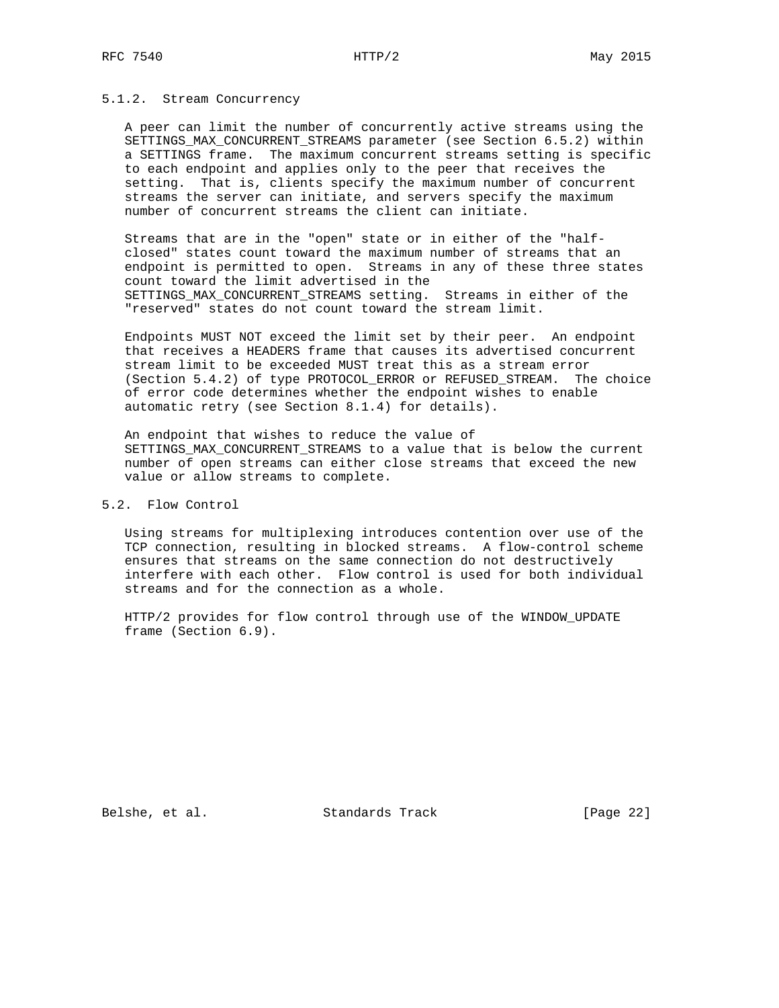### 5.1.2. Stream Concurrency

 A peer can limit the number of concurrently active streams using the SETTINGS\_MAX\_CONCURRENT\_STREAMS parameter (see Section 6.5.2) within a SETTINGS frame. The maximum concurrent streams setting is specific to each endpoint and applies only to the peer that receives the setting. That is, clients specify the maximum number of concurrent streams the server can initiate, and servers specify the maximum number of concurrent streams the client can initiate.

 Streams that are in the "open" state or in either of the "half closed" states count toward the maximum number of streams that an endpoint is permitted to open. Streams in any of these three states count toward the limit advertised in the SETTINGS\_MAX\_CONCURRENT\_STREAMS setting. Streams in either of the "reserved" states do not count toward the stream limit.

 Endpoints MUST NOT exceed the limit set by their peer. An endpoint that receives a HEADERS frame that causes its advertised concurrent stream limit to be exceeded MUST treat this as a stream error (Section 5.4.2) of type PROTOCOL\_ERROR or REFUSED\_STREAM. The choice of error code determines whether the endpoint wishes to enable automatic retry (see Section 8.1.4) for details).

 An endpoint that wishes to reduce the value of SETTINGS\_MAX\_CONCURRENT\_STREAMS to a value that is below the current number of open streams can either close streams that exceed the new value or allow streams to complete.

# 5.2. Flow Control

 Using streams for multiplexing introduces contention over use of the TCP connection, resulting in blocked streams. A flow-control scheme ensures that streams on the same connection do not destructively interfere with each other. Flow control is used for both individual streams and for the connection as a whole.

 HTTP/2 provides for flow control through use of the WINDOW\_UPDATE frame (Section 6.9).

Belshe, et al. Standards Track [Page 22]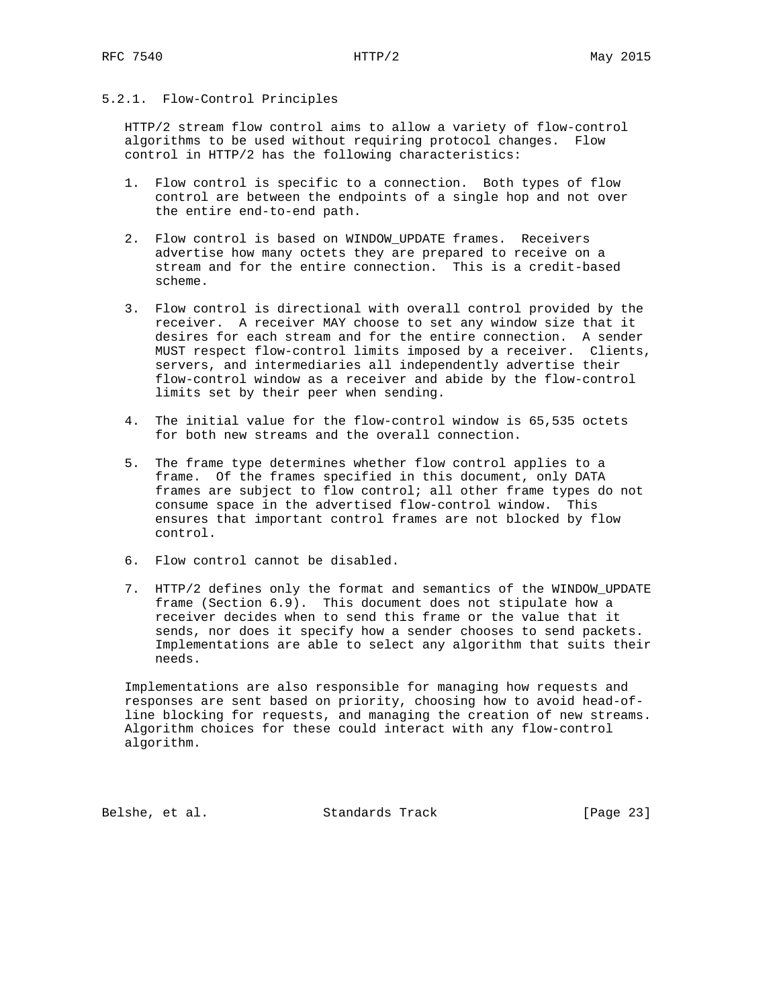# 5.2.1. Flow-Control Principles

 HTTP/2 stream flow control aims to allow a variety of flow-control algorithms to be used without requiring protocol changes. Flow control in HTTP/2 has the following characteristics:

- 1. Flow control is specific to a connection. Both types of flow control are between the endpoints of a single hop and not over the entire end-to-end path.
- 2. Flow control is based on WINDOW\_UPDATE frames. Receivers advertise how many octets they are prepared to receive on a stream and for the entire connection. This is a credit-based scheme.
- 3. Flow control is directional with overall control provided by the receiver. A receiver MAY choose to set any window size that it desires for each stream and for the entire connection. A sender MUST respect flow-control limits imposed by a receiver. Clients, servers, and intermediaries all independently advertise their flow-control window as a receiver and abide by the flow-control limits set by their peer when sending.
- 4. The initial value for the flow-control window is 65,535 octets for both new streams and the overall connection.
- 5. The frame type determines whether flow control applies to a frame. Of the frames specified in this document, only DATA frames are subject to flow control; all other frame types do not consume space in the advertised flow-control window. This ensures that important control frames are not blocked by flow control.
- 6. Flow control cannot be disabled.
- 7. HTTP/2 defines only the format and semantics of the WINDOW\_UPDATE frame (Section 6.9). This document does not stipulate how a receiver decides when to send this frame or the value that it sends, nor does it specify how a sender chooses to send packets. Implementations are able to select any algorithm that suits their needs.

 Implementations are also responsible for managing how requests and responses are sent based on priority, choosing how to avoid head-of line blocking for requests, and managing the creation of new streams. Algorithm choices for these could interact with any flow-control algorithm.

Belshe, et al. Standards Track [Page 23]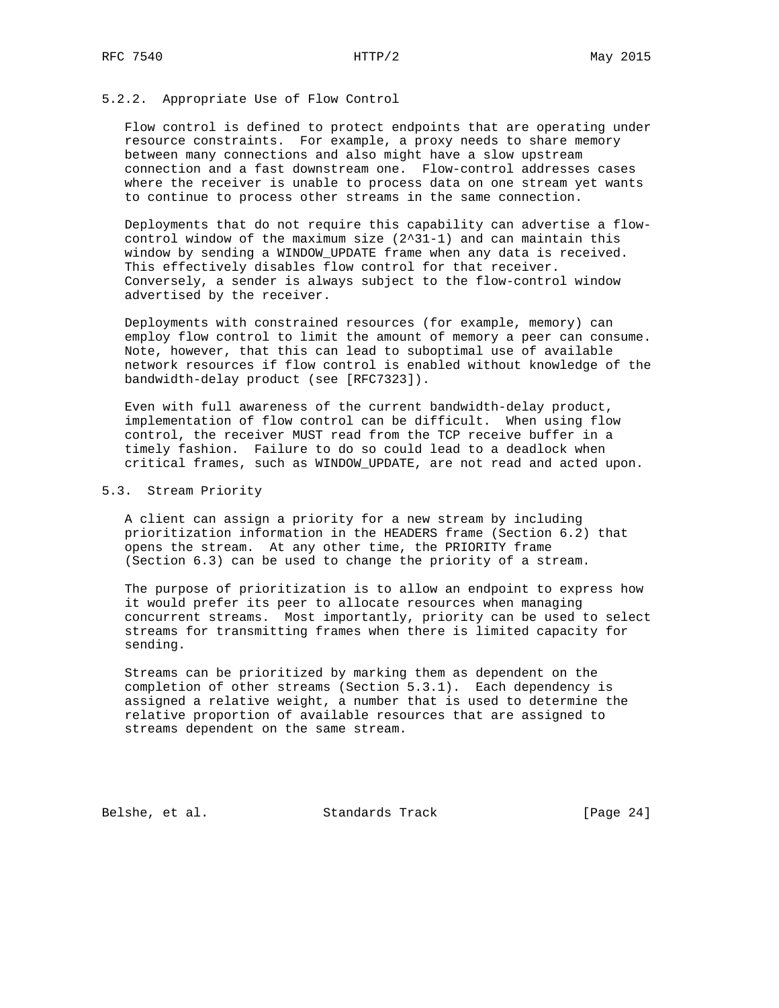### 5.2.2. Appropriate Use of Flow Control

 Flow control is defined to protect endpoints that are operating under resource constraints. For example, a proxy needs to share memory between many connections and also might have a slow upstream connection and a fast downstream one. Flow-control addresses cases where the receiver is unable to process data on one stream yet wants to continue to process other streams in the same connection.

 Deployments that do not require this capability can advertise a flow control window of the maximum size  $(2^31-1)$  and can maintain this window by sending a WINDOW\_UPDATE frame when any data is received. This effectively disables flow control for that receiver. Conversely, a sender is always subject to the flow-control window advertised by the receiver.

 Deployments with constrained resources (for example, memory) can employ flow control to limit the amount of memory a peer can consume. Note, however, that this can lead to suboptimal use of available network resources if flow control is enabled without knowledge of the bandwidth-delay product (see [RFC7323]).

 Even with full awareness of the current bandwidth-delay product, implementation of flow control can be difficult. When using flow control, the receiver MUST read from the TCP receive buffer in a timely fashion. Failure to do so could lead to a deadlock when critical frames, such as WINDOW\_UPDATE, are not read and acted upon.

#### 5.3. Stream Priority

 A client can assign a priority for a new stream by including prioritization information in the HEADERS frame (Section 6.2) that opens the stream. At any other time, the PRIORITY frame (Section 6.3) can be used to change the priority of a stream.

 The purpose of prioritization is to allow an endpoint to express how it would prefer its peer to allocate resources when managing concurrent streams. Most importantly, priority can be used to select streams for transmitting frames when there is limited capacity for sending.

 Streams can be prioritized by marking them as dependent on the completion of other streams (Section 5.3.1). Each dependency is assigned a relative weight, a number that is used to determine the relative proportion of available resources that are assigned to streams dependent on the same stream.

Belshe, et al. Standards Track [Page 24]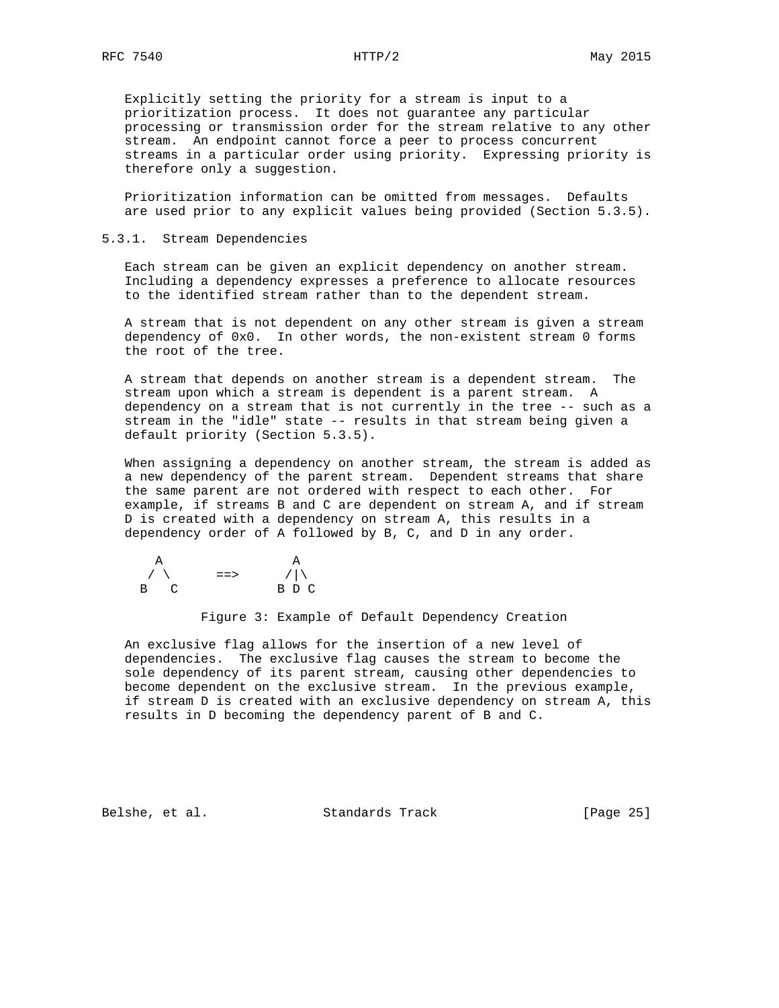Explicitly setting the priority for a stream is input to a prioritization process. It does not guarantee any particular processing or transmission order for the stream relative to any other stream. An endpoint cannot force a peer to process concurrent streams in a particular order using priority. Expressing priority is therefore only a suggestion.

 Prioritization information can be omitted from messages. Defaults are used prior to any explicit values being provided (Section 5.3.5).

#### 5.3.1. Stream Dependencies

 Each stream can be given an explicit dependency on another stream. Including a dependency expresses a preference to allocate resources to the identified stream rather than to the dependent stream.

 A stream that is not dependent on any other stream is given a stream dependency of 0x0. In other words, the non-existent stream 0 forms the root of the tree.

 A stream that depends on another stream is a dependent stream. The stream upon which a stream is dependent is a parent stream. A dependency on a stream that is not currently in the tree -- such as a stream in the "idle" state -- results in that stream being given a default priority (Section 5.3.5).

 When assigning a dependency on another stream, the stream is added as a new dependency of the parent stream. Dependent streams that share the same parent are not ordered with respect to each other. For example, if streams B and C are dependent on stream A, and if stream D is created with a dependency on stream A, this results in a dependency order of A followed by B, C, and D in any order.

$$
\begin{array}{ccc}\n & A & A \\
\nearrow & & \text{=} & & \nearrow \\
\text{B} & C & & \text{B} & D & C\n \end{array}
$$

Figure 3: Example of Default Dependency Creation

 An exclusive flag allows for the insertion of a new level of dependencies. The exclusive flag causes the stream to become the sole dependency of its parent stream, causing other dependencies to become dependent on the exclusive stream. In the previous example, if stream D is created with an exclusive dependency on stream A, this results in D becoming the dependency parent of B and C.

Belshe, et al. Standards Track [Page 25]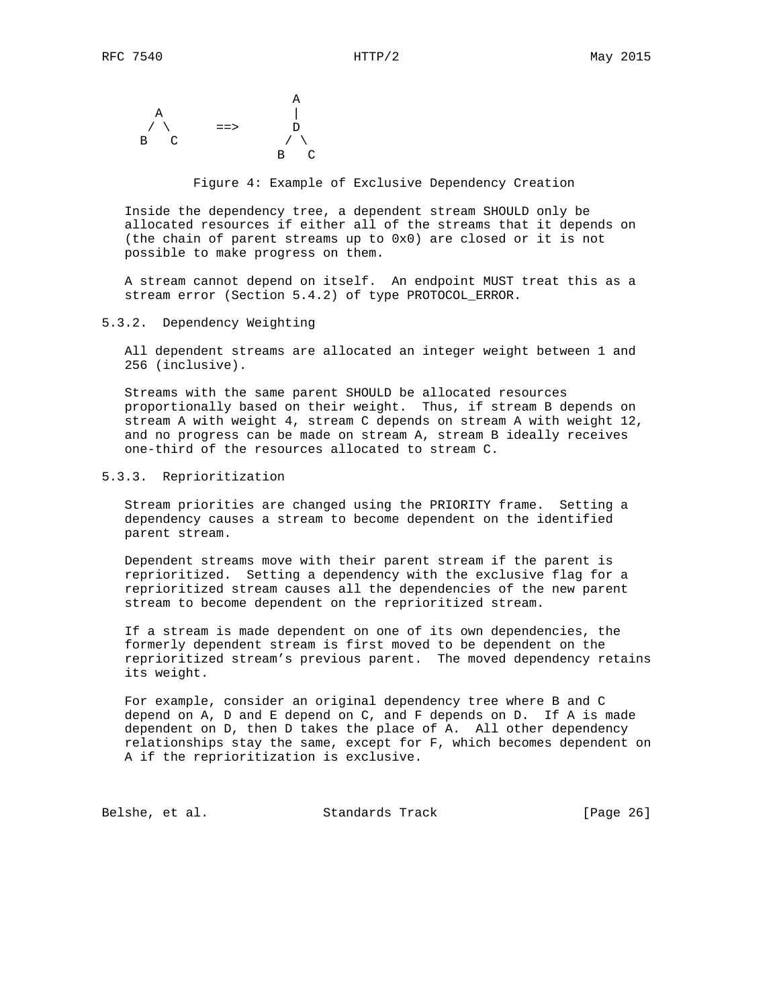

Figure 4: Example of Exclusive Dependency Creation

 Inside the dependency tree, a dependent stream SHOULD only be allocated resources if either all of the streams that it depends on (the chain of parent streams up to 0x0) are closed or it is not possible to make progress on them.

 A stream cannot depend on itself. An endpoint MUST treat this as a stream error (Section 5.4.2) of type PROTOCOL\_ERROR.

#### 5.3.2. Dependency Weighting

 All dependent streams are allocated an integer weight between 1 and 256 (inclusive).

 Streams with the same parent SHOULD be allocated resources proportionally based on their weight. Thus, if stream B depends on stream A with weight 4, stream C depends on stream A with weight 12, and no progress can be made on stream A, stream B ideally receives one-third of the resources allocated to stream C.

### 5.3.3. Reprioritization

 Stream priorities are changed using the PRIORITY frame. Setting a dependency causes a stream to become dependent on the identified parent stream.

 Dependent streams move with their parent stream if the parent is reprioritized. Setting a dependency with the exclusive flag for a reprioritized stream causes all the dependencies of the new parent stream to become dependent on the reprioritized stream.

 If a stream is made dependent on one of its own dependencies, the formerly dependent stream is first moved to be dependent on the reprioritized stream's previous parent. The moved dependency retains its weight.

 For example, consider an original dependency tree where B and C depend on A, D and E depend on C, and F depends on D. If A is made dependent on D, then D takes the place of A. All other dependency relationships stay the same, except for F, which becomes dependent on A if the reprioritization is exclusive.

Belshe, et al. Standards Track [Page 26]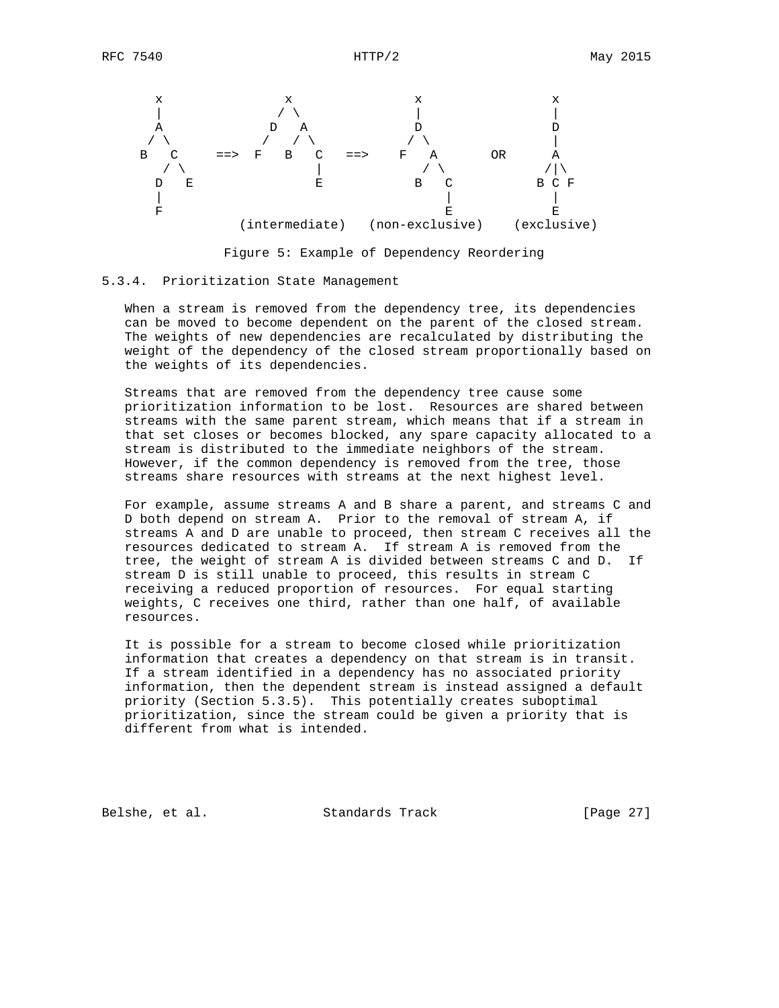

Figure 5: Example of Dependency Reordering

#### 5.3.4. Prioritization State Management

 When a stream is removed from the dependency tree, its dependencies can be moved to become dependent on the parent of the closed stream. The weights of new dependencies are recalculated by distributing the weight of the dependency of the closed stream proportionally based on the weights of its dependencies.

 Streams that are removed from the dependency tree cause some prioritization information to be lost. Resources are shared between streams with the same parent stream, which means that if a stream in that set closes or becomes blocked, any spare capacity allocated to a stream is distributed to the immediate neighbors of the stream. However, if the common dependency is removed from the tree, those streams share resources with streams at the next highest level.

 For example, assume streams A and B share a parent, and streams C and D both depend on stream A. Prior to the removal of stream A, if streams A and D are unable to proceed, then stream C receives all the resources dedicated to stream A. If stream A is removed from the tree, the weight of stream A is divided between streams C and D. If stream D is still unable to proceed, this results in stream C receiving a reduced proportion of resources. For equal starting weights, C receives one third, rather than one half, of available resources.

 It is possible for a stream to become closed while prioritization information that creates a dependency on that stream is in transit. If a stream identified in a dependency has no associated priority information, then the dependent stream is instead assigned a default priority (Section 5.3.5). This potentially creates suboptimal prioritization, since the stream could be given a priority that is different from what is intended.

Belshe, et al. Standards Track [Page 27]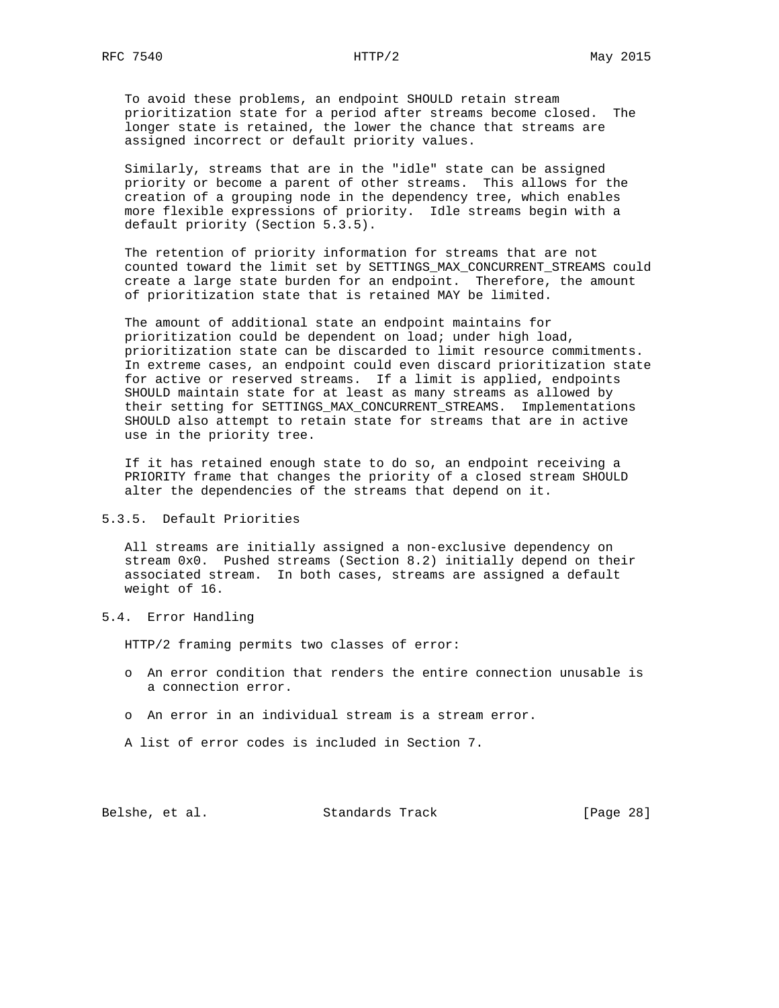To avoid these problems, an endpoint SHOULD retain stream prioritization state for a period after streams become closed. The longer state is retained, the lower the chance that streams are assigned incorrect or default priority values.

 Similarly, streams that are in the "idle" state can be assigned priority or become a parent of other streams. This allows for the creation of a grouping node in the dependency tree, which enables more flexible expressions of priority. Idle streams begin with a default priority (Section 5.3.5).

 The retention of priority information for streams that are not counted toward the limit set by SETTINGS\_MAX\_CONCURRENT\_STREAMS could create a large state burden for an endpoint. Therefore, the amount of prioritization state that is retained MAY be limited.

 The amount of additional state an endpoint maintains for prioritization could be dependent on load; under high load, prioritization state can be discarded to limit resource commitments. In extreme cases, an endpoint could even discard prioritization state for active or reserved streams. If a limit is applied, endpoints SHOULD maintain state for at least as many streams as allowed by their setting for SETTINGS\_MAX\_CONCURRENT\_STREAMS. Implementations SHOULD also attempt to retain state for streams that are in active use in the priority tree.

 If it has retained enough state to do so, an endpoint receiving a PRIORITY frame that changes the priority of a closed stream SHOULD alter the dependencies of the streams that depend on it.

# 5.3.5. Default Priorities

 All streams are initially assigned a non-exclusive dependency on stream 0x0. Pushed streams (Section 8.2) initially depend on their associated stream. In both cases, streams are assigned a default weight of 16.

### 5.4. Error Handling

HTTP/2 framing permits two classes of error:

- o An error condition that renders the entire connection unusable is a connection error.
- o An error in an individual stream is a stream error.
- A list of error codes is included in Section 7.

Belshe, et al. Standards Track [Page 28]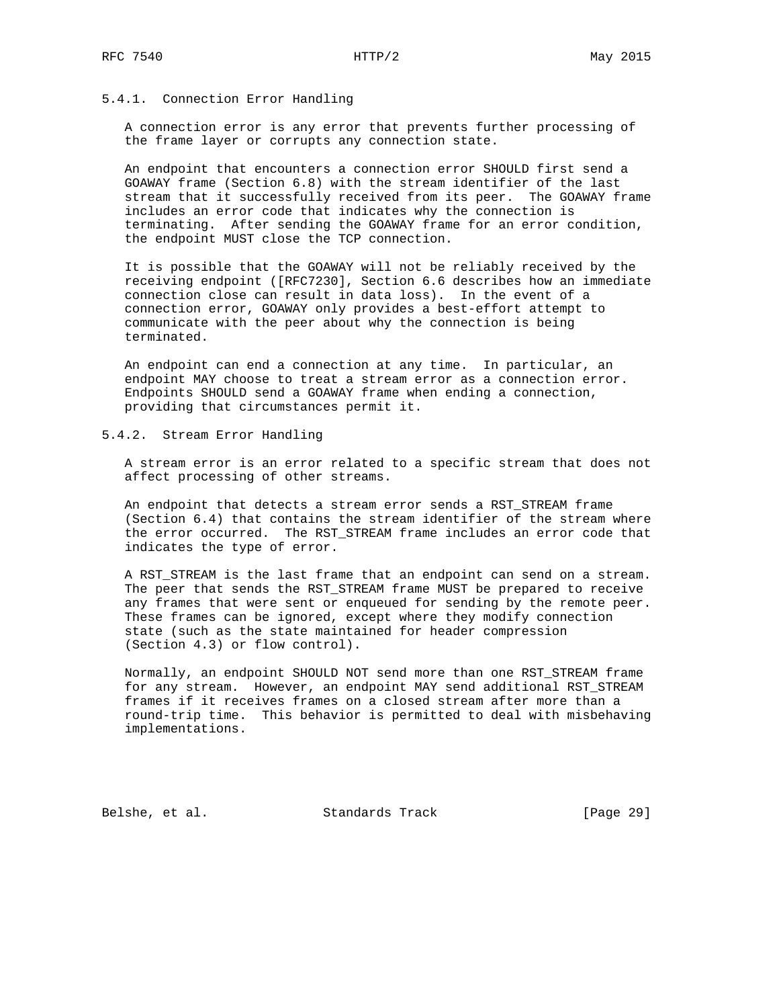## 5.4.1. Connection Error Handling

 A connection error is any error that prevents further processing of the frame layer or corrupts any connection state.

 An endpoint that encounters a connection error SHOULD first send a GOAWAY frame (Section 6.8) with the stream identifier of the last stream that it successfully received from its peer. The GOAWAY frame includes an error code that indicates why the connection is terminating. After sending the GOAWAY frame for an error condition, the endpoint MUST close the TCP connection.

 It is possible that the GOAWAY will not be reliably received by the receiving endpoint ([RFC7230], Section 6.6 describes how an immediate connection close can result in data loss). In the event of a connection error, GOAWAY only provides a best-effort attempt to communicate with the peer about why the connection is being terminated.

 An endpoint can end a connection at any time. In particular, an endpoint MAY choose to treat a stream error as a connection error. Endpoints SHOULD send a GOAWAY frame when ending a connection, providing that circumstances permit it.

# 5.4.2. Stream Error Handling

 A stream error is an error related to a specific stream that does not affect processing of other streams.

 An endpoint that detects a stream error sends a RST\_STREAM frame (Section 6.4) that contains the stream identifier of the stream where the error occurred. The RST\_STREAM frame includes an error code that indicates the type of error.

 A RST\_STREAM is the last frame that an endpoint can send on a stream. The peer that sends the RST\_STREAM frame MUST be prepared to receive any frames that were sent or enqueued for sending by the remote peer. These frames can be ignored, except where they modify connection state (such as the state maintained for header compression (Section 4.3) or flow control).

 Normally, an endpoint SHOULD NOT send more than one RST\_STREAM frame for any stream. However, an endpoint MAY send additional RST\_STREAM frames if it receives frames on a closed stream after more than a round-trip time. This behavior is permitted to deal with misbehaving implementations.

Belshe, et al. Standards Track [Page 29]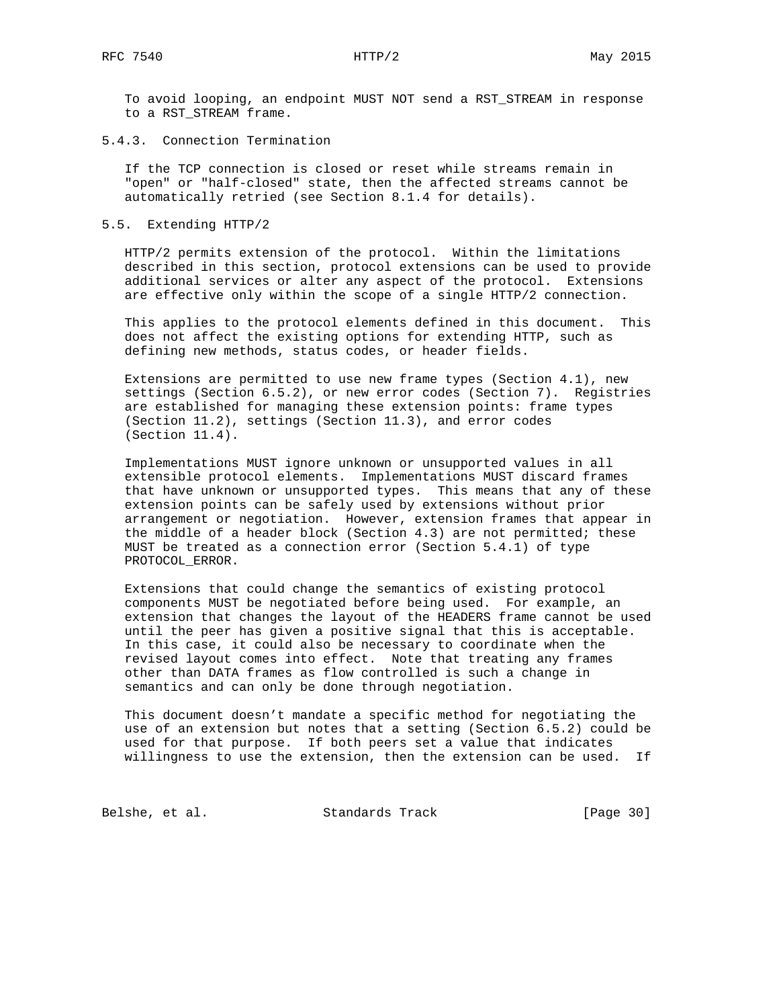To avoid looping, an endpoint MUST NOT send a RST\_STREAM in response to a RST\_STREAM frame.

### 5.4.3. Connection Termination

 If the TCP connection is closed or reset while streams remain in "open" or "half-closed" state, then the affected streams cannot be automatically retried (see Section 8.1.4 for details).

#### 5.5. Extending HTTP/2

 HTTP/2 permits extension of the protocol. Within the limitations described in this section, protocol extensions can be used to provide additional services or alter any aspect of the protocol. Extensions are effective only within the scope of a single HTTP/2 connection.

 This applies to the protocol elements defined in this document. This does not affect the existing options for extending HTTP, such as defining new methods, status codes, or header fields.

 Extensions are permitted to use new frame types (Section 4.1), new settings (Section 6.5.2), or new error codes (Section 7). Registries are established for managing these extension points: frame types (Section 11.2), settings (Section 11.3), and error codes (Section 11.4).

 Implementations MUST ignore unknown or unsupported values in all extensible protocol elements. Implementations MUST discard frames that have unknown or unsupported types. This means that any of these extension points can be safely used by extensions without prior arrangement or negotiation. However, extension frames that appear in the middle of a header block (Section 4.3) are not permitted; these MUST be treated as a connection error (Section 5.4.1) of type PROTOCOL\_ERROR.

 Extensions that could change the semantics of existing protocol components MUST be negotiated before being used. For example, an extension that changes the layout of the HEADERS frame cannot be used until the peer has given a positive signal that this is acceptable. In this case, it could also be necessary to coordinate when the revised layout comes into effect. Note that treating any frames other than DATA frames as flow controlled is such a change in semantics and can only be done through negotiation.

 This document doesn't mandate a specific method for negotiating the use of an extension but notes that a setting (Section 6.5.2) could be used for that purpose. If both peers set a value that indicates willingness to use the extension, then the extension can be used. If

Belshe, et al. Standards Track [Page 30]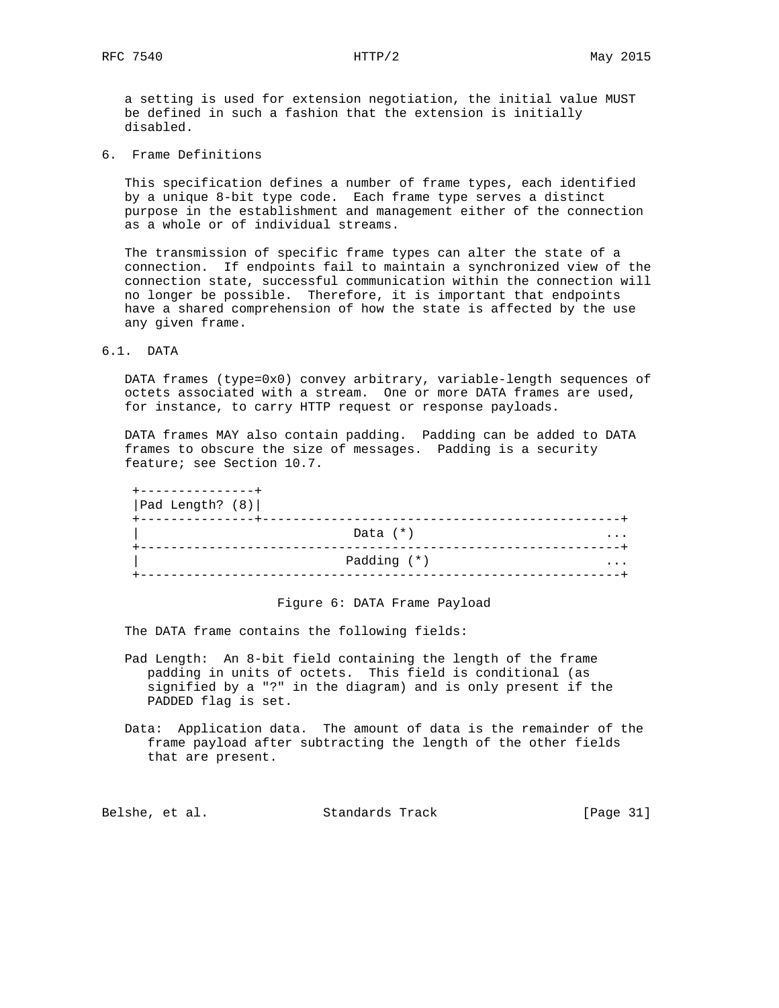a setting is used for extension negotiation, the initial value MUST be defined in such a fashion that the extension is initially disabled.

6. Frame Definitions

 This specification defines a number of frame types, each identified by a unique 8-bit type code. Each frame type serves a distinct purpose in the establishment and management either of the connection as a whole or of individual streams.

 The transmission of specific frame types can alter the state of a connection. If endpoints fail to maintain a synchronized view of the connection state, successful communication within the connection will no longer be possible. Therefore, it is important that endpoints have a shared comprehension of how the state is affected by the use any given frame.

# 6.1. DATA

 DATA frames (type=0x0) convey arbitrary, variable-length sequences of octets associated with a stream. One or more DATA frames are used, for instance, to carry HTTP request or response payloads.

 DATA frames MAY also contain padding. Padding can be added to DATA frames to obscure the size of messages. Padding is a security feature; see Section 10.7.

| - - - - - - - - - - - - - |             |   |
|---------------------------|-------------|---|
| Pad Length? (8)           |             |   |
|                           | Data $(*)$  | . |
|                           | Padding (*) | . |
|                           |             |   |

## Figure 6: DATA Frame Payload

The DATA frame contains the following fields:

- Pad Length: An 8-bit field containing the length of the frame padding in units of octets. This field is conditional (as signified by a "?" in the diagram) and is only present if the PADDED flag is set.
- Data: Application data. The amount of data is the remainder of the frame payload after subtracting the length of the other fields that are present.

Belshe, et al. Standards Track [Page 31]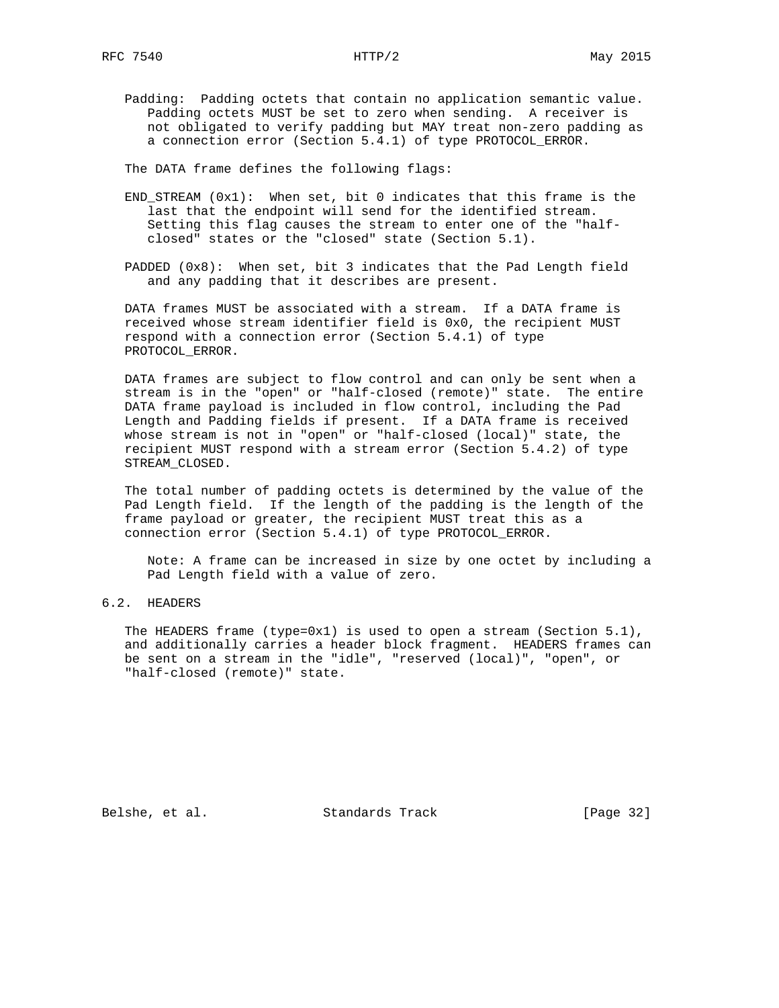Padding: Padding octets that contain no application semantic value. Padding octets MUST be set to zero when sending. A receiver is not obligated to verify padding but MAY treat non-zero padding as a connection error (Section 5.4.1) of type PROTOCOL\_ERROR.

The DATA frame defines the following flags:

- $END\_STEREAM$   $(0x1)$ : When set, bit 0 indicates that this frame is the last that the endpoint will send for the identified stream. Setting this flag causes the stream to enter one of the "half closed" states or the "closed" state (Section 5.1).
- PADDED (0x8): When set, bit 3 indicates that the Pad Length field and any padding that it describes are present.

 DATA frames MUST be associated with a stream. If a DATA frame is received whose stream identifier field is 0x0, the recipient MUST respond with a connection error (Section 5.4.1) of type PROTOCOL\_ERROR.

 DATA frames are subject to flow control and can only be sent when a stream is in the "open" or "half-closed (remote)" state. The entire DATA frame payload is included in flow control, including the Pad Length and Padding fields if present. If a DATA frame is received whose stream is not in "open" or "half-closed (local)" state, the recipient MUST respond with a stream error (Section 5.4.2) of type STREAM\_CLOSED.

 The total number of padding octets is determined by the value of the Pad Length field. If the length of the padding is the length of the frame payload or greater, the recipient MUST treat this as a connection error (Section 5.4.1) of type PROTOCOL\_ERROR.

 Note: A frame can be increased in size by one octet by including a Pad Length field with a value of zero.

# 6.2. HEADERS

The HEADERS frame (type=0x1) is used to open a stream (Section  $5.1$ ), and additionally carries a header block fragment. HEADERS frames can be sent on a stream in the "idle", "reserved (local)", "open", or "half-closed (remote)" state.

Belshe, et al. Standards Track [Page 32]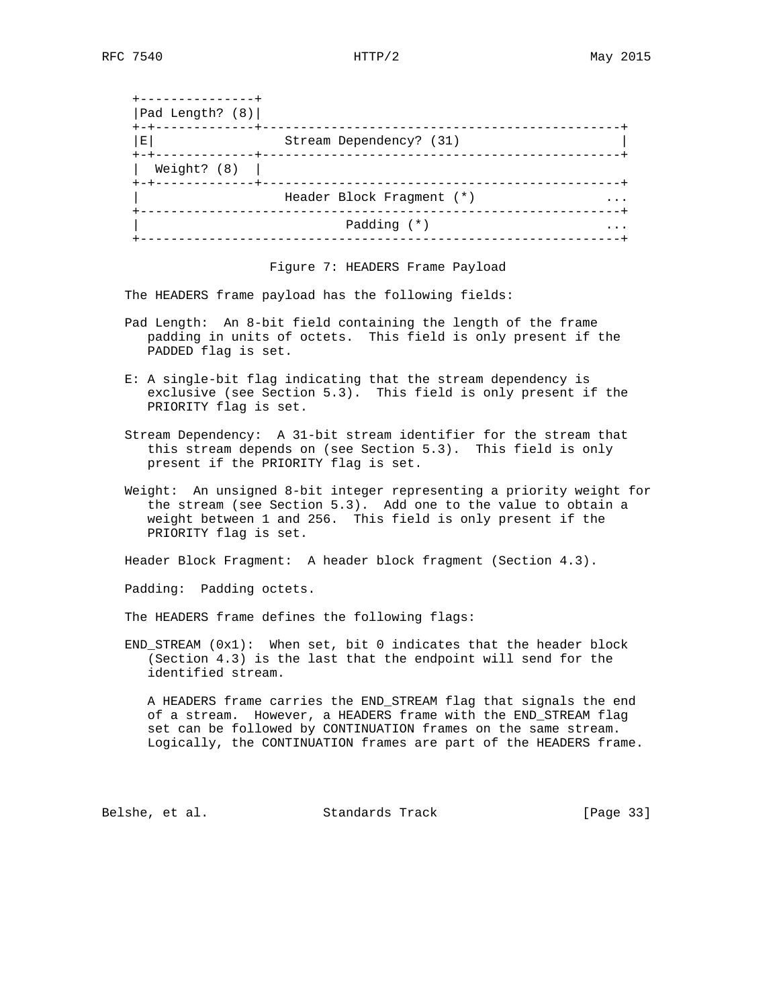| .<br>Pad Length? (8)                |                           |  |
|-------------------------------------|---------------------------|--|
| - - + - - - - - - -<br>$\mathbf{E}$ | Stream Dependency? (31)   |  |
| Weight? $(8)$<br>+-+------------+   | ----------------          |  |
|                                     | Header Block Fragment (*) |  |
|                                     | Padding $(*)$             |  |
|                                     |                           |  |

Figure 7: HEADERS Frame Payload

The HEADERS frame payload has the following fields:

- Pad Length: An 8-bit field containing the length of the frame padding in units of octets. This field is only present if the PADDED flag is set.
- E: A single-bit flag indicating that the stream dependency is exclusive (see Section 5.3). This field is only present if the PRIORITY flag is set.
- Stream Dependency: A 31-bit stream identifier for the stream that this stream depends on (see Section 5.3). This field is only present if the PRIORITY flag is set.
- Weight: An unsigned 8-bit integer representing a priority weight for the stream (see Section 5.3). Add one to the value to obtain a weight between 1 and 256. This field is only present if the PRIORITY flag is set.

Header Block Fragment: A header block fragment (Section 4.3).

Padding: Padding octets.

The HEADERS frame defines the following flags:

 END\_STREAM (0x1): When set, bit 0 indicates that the header block (Section 4.3) is the last that the endpoint will send for the identified stream.

 A HEADERS frame carries the END\_STREAM flag that signals the end of a stream. However, a HEADERS frame with the END\_STREAM flag set can be followed by CONTINUATION frames on the same stream. Logically, the CONTINUATION frames are part of the HEADERS frame.

Belshe, et al. Standards Track [Page 33]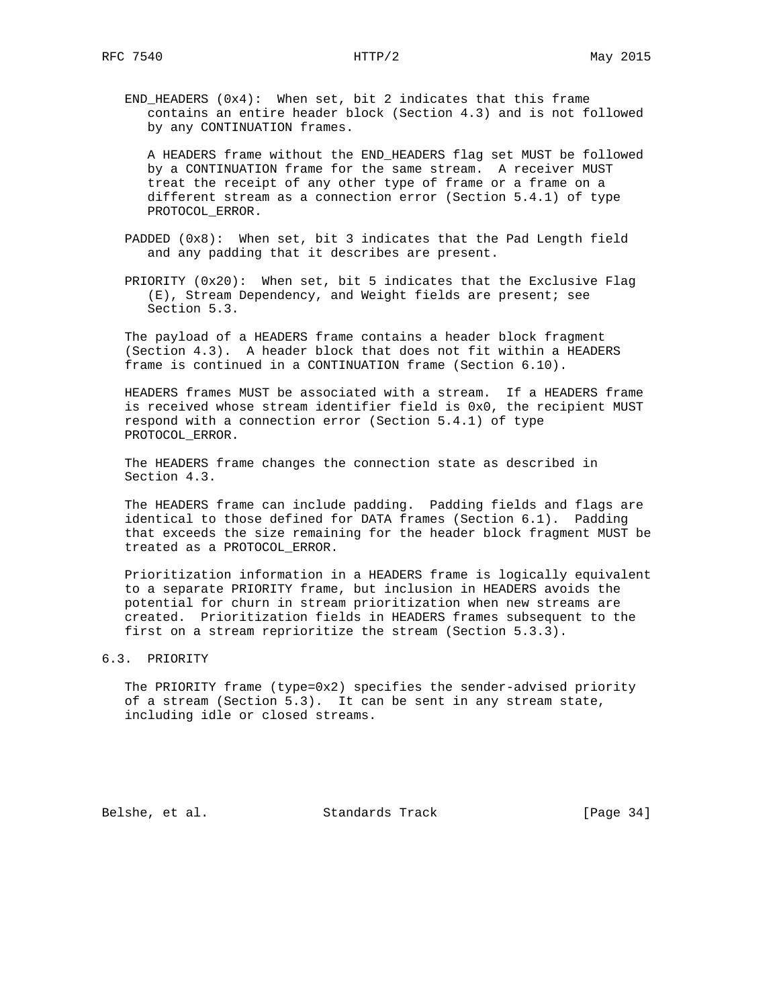END\_HEADERS (0x4): When set, bit 2 indicates that this frame contains an entire header block (Section 4.3) and is not followed by any CONTINUATION frames.

 A HEADERS frame without the END\_HEADERS flag set MUST be followed by a CONTINUATION frame for the same stream. A receiver MUST treat the receipt of any other type of frame or a frame on a different stream as a connection error (Section 5.4.1) of type PROTOCOL\_ERROR.

- PADDED (0x8): When set, bit 3 indicates that the Pad Length field and any padding that it describes are present.
- PRIORITY (0x20): When set, bit 5 indicates that the Exclusive Flag (E), Stream Dependency, and Weight fields are present; see Section 5.3.

 The payload of a HEADERS frame contains a header block fragment (Section 4.3). A header block that does not fit within a HEADERS frame is continued in a CONTINUATION frame (Section 6.10).

 HEADERS frames MUST be associated with a stream. If a HEADERS frame is received whose stream identifier field is 0x0, the recipient MUST respond with a connection error (Section 5.4.1) of type PROTOCOL\_ERROR.

 The HEADERS frame changes the connection state as described in Section 4.3.

 The HEADERS frame can include padding. Padding fields and flags are identical to those defined for DATA frames (Section 6.1). Padding that exceeds the size remaining for the header block fragment MUST be treated as a PROTOCOL\_ERROR.

 Prioritization information in a HEADERS frame is logically equivalent to a separate PRIORITY frame, but inclusion in HEADERS avoids the potential for churn in stream prioritization when new streams are created. Prioritization fields in HEADERS frames subsequent to the first on a stream reprioritize the stream (Section 5.3.3).

### 6.3. PRIORITY

 The PRIORITY frame (type=0x2) specifies the sender-advised priority of a stream (Section 5.3). It can be sent in any stream state, including idle or closed streams.

Belshe, et al. Standards Track [Page 34]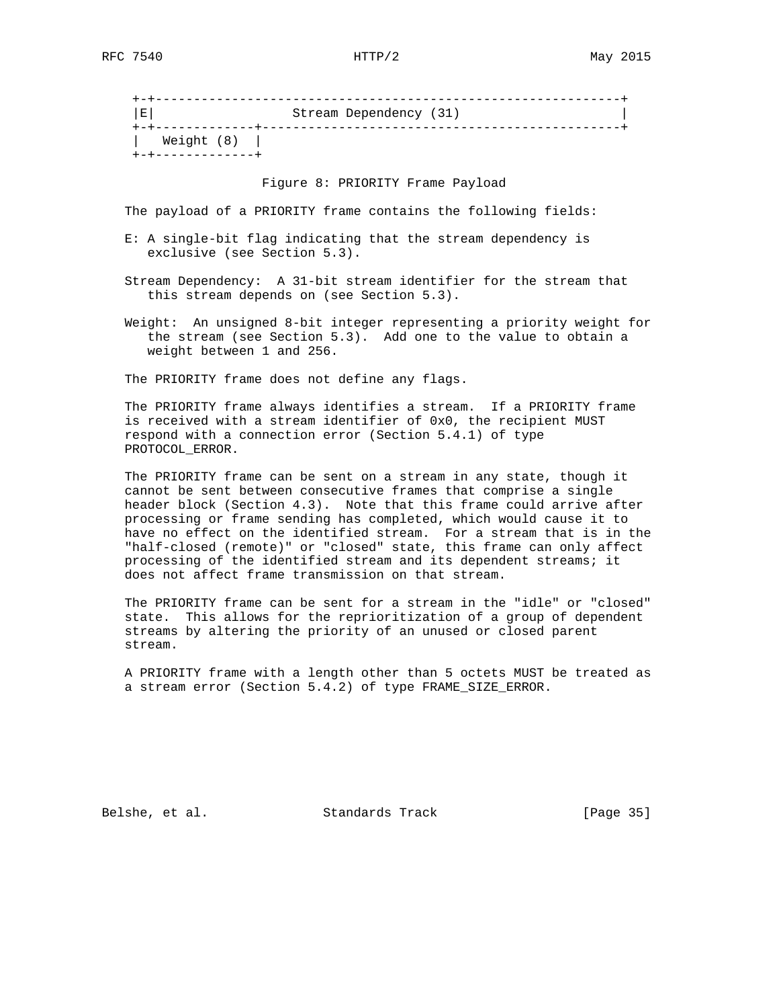+-+-------------------------------------------------------------+ |E| Stream Dependency (31) | +-+-------------+-----------------------------------------------+ | Weight (8) | +-+-------------+

Figure 8: PRIORITY Frame Payload

The payload of a PRIORITY frame contains the following fields:

- E: A single-bit flag indicating that the stream dependency is exclusive (see Section 5.3).
- Stream Dependency: A 31-bit stream identifier for the stream that this stream depends on (see Section 5.3).
- Weight: An unsigned 8-bit integer representing a priority weight for the stream (see Section 5.3). Add one to the value to obtain a weight between 1 and 256.

The PRIORITY frame does not define any flags.

 The PRIORITY frame always identifies a stream. If a PRIORITY frame is received with a stream identifier of 0x0, the recipient MUST respond with a connection error (Section 5.4.1) of type PROTOCOL\_ERROR.

 The PRIORITY frame can be sent on a stream in any state, though it cannot be sent between consecutive frames that comprise a single header block (Section 4.3). Note that this frame could arrive after processing or frame sending has completed, which would cause it to have no effect on the identified stream. For a stream that is in the "half-closed (remote)" or "closed" state, this frame can only affect processing of the identified stream and its dependent streams; it does not affect frame transmission on that stream.

 The PRIORITY frame can be sent for a stream in the "idle" or "closed" state. This allows for the reprioritization of a group of dependent streams by altering the priority of an unused or closed parent stream.

 A PRIORITY frame with a length other than 5 octets MUST be treated as a stream error (Section 5.4.2) of type FRAME\_SIZE\_ERROR.

Belshe, et al. Standards Track [Page 35]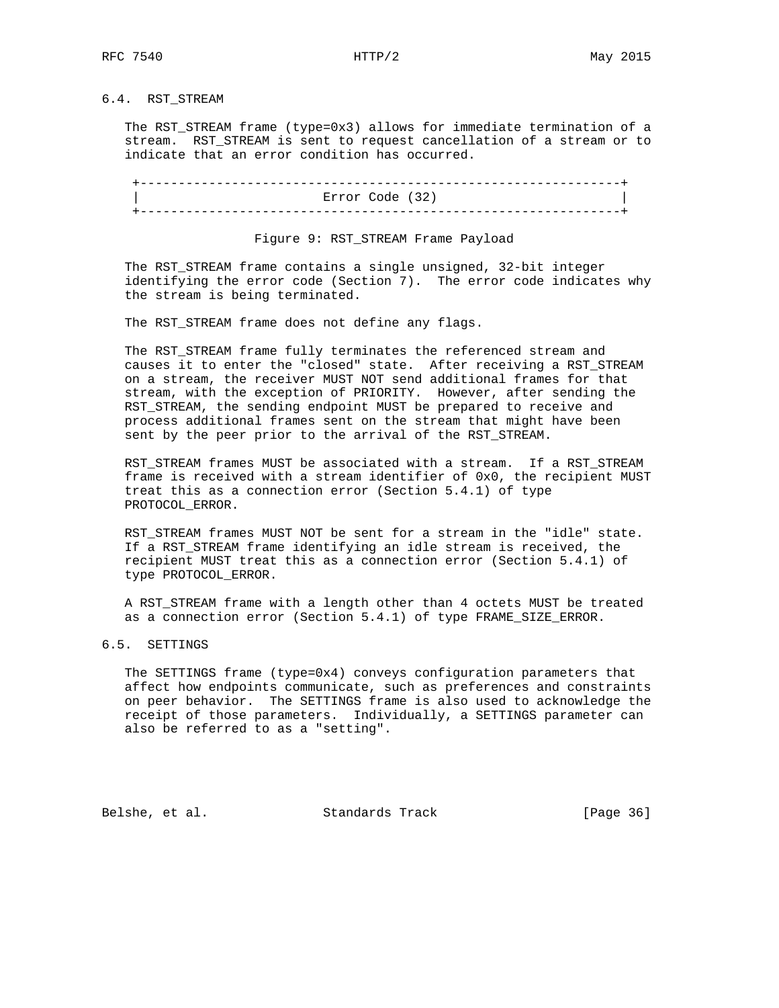# 6.4. RST\_STREAM

 The RST\_STREAM frame (type=0x3) allows for immediate termination of a stream. RST\_STREAM is sent to request cancellation of a stream or to indicate that an error condition has occurred.

| Error Code (32) |  |
|-----------------|--|

# Figure 9: RST\_STREAM Frame Payload

 The RST\_STREAM frame contains a single unsigned, 32-bit integer identifying the error code (Section 7). The error code indicates why the stream is being terminated.

The RST\_STREAM frame does not define any flags.

 The RST\_STREAM frame fully terminates the referenced stream and causes it to enter the "closed" state. After receiving a RST\_STREAM on a stream, the receiver MUST NOT send additional frames for that stream, with the exception of PRIORITY. However, after sending the RST\_STREAM, the sending endpoint MUST be prepared to receive and process additional frames sent on the stream that might have been sent by the peer prior to the arrival of the RST\_STREAM.

 RST\_STREAM frames MUST be associated with a stream. If a RST\_STREAM frame is received with a stream identifier of 0x0, the recipient MUST treat this as a connection error (Section 5.4.1) of type PROTOCOL\_ERROR.

 RST\_STREAM frames MUST NOT be sent for a stream in the "idle" state. If a RST\_STREAM frame identifying an idle stream is received, the recipient MUST treat this as a connection error (Section 5.4.1) of type PROTOCOL\_ERROR.

 A RST\_STREAM frame with a length other than 4 octets MUST be treated as a connection error (Section 5.4.1) of type FRAME\_SIZE\_ERROR.

### 6.5. SETTINGS

 The SETTINGS frame (type=0x4) conveys configuration parameters that affect how endpoints communicate, such as preferences and constraints on peer behavior. The SETTINGS frame is also used to acknowledge the receipt of those parameters. Individually, a SETTINGS parameter can also be referred to as a "setting".

Belshe, et al. Standards Track [Page 36]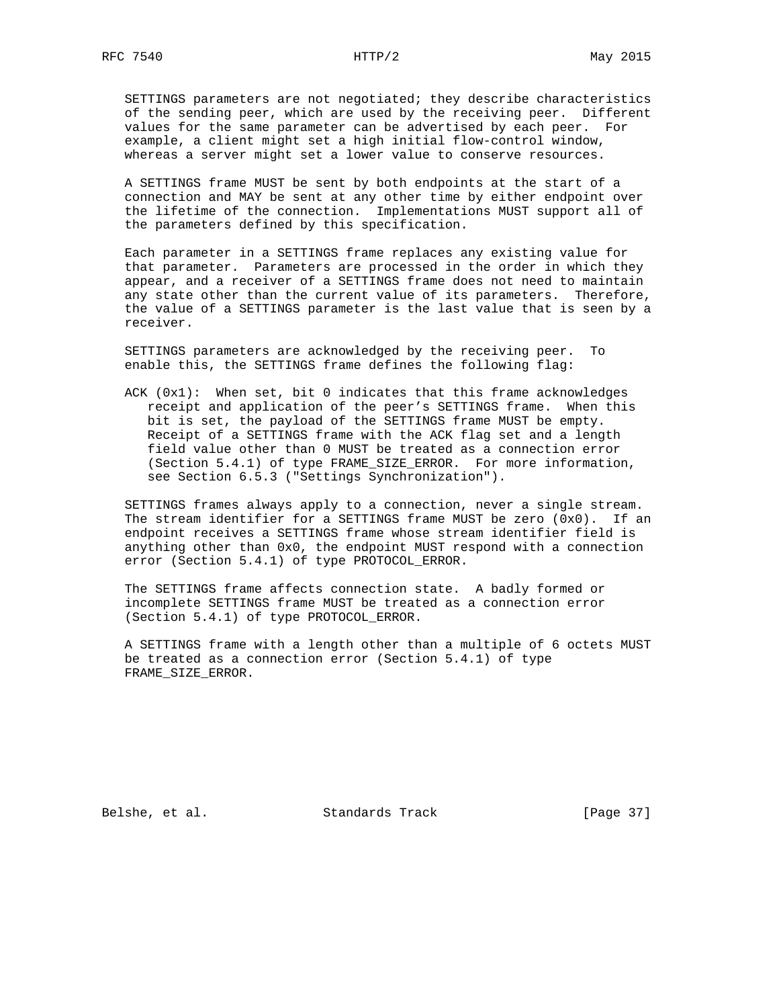SETTINGS parameters are not negotiated; they describe characteristics of the sending peer, which are used by the receiving peer. Different values for the same parameter can be advertised by each peer. For example, a client might set a high initial flow-control window, whereas a server might set a lower value to conserve resources.

 A SETTINGS frame MUST be sent by both endpoints at the start of a connection and MAY be sent at any other time by either endpoint over the lifetime of the connection. Implementations MUST support all of the parameters defined by this specification.

 Each parameter in a SETTINGS frame replaces any existing value for that parameter. Parameters are processed in the order in which they appear, and a receiver of a SETTINGS frame does not need to maintain any state other than the current value of its parameters. Therefore, the value of a SETTINGS parameter is the last value that is seen by a receiver.

 SETTINGS parameters are acknowledged by the receiving peer. To enable this, the SETTINGS frame defines the following flag:

 ACK (0x1): When set, bit 0 indicates that this frame acknowledges receipt and application of the peer's SETTINGS frame. When this bit is set, the payload of the SETTINGS frame MUST be empty. Receipt of a SETTINGS frame with the ACK flag set and a length field value other than 0 MUST be treated as a connection error (Section 5.4.1) of type FRAME\_SIZE\_ERROR. For more information, see Section 6.5.3 ("Settings Synchronization").

 SETTINGS frames always apply to a connection, never a single stream. The stream identifier for a SETTINGS frame MUST be zero (0x0). If an endpoint receives a SETTINGS frame whose stream identifier field is anything other than 0x0, the endpoint MUST respond with a connection error (Section 5.4.1) of type PROTOCOL\_ERROR.

 The SETTINGS frame affects connection state. A badly formed or incomplete SETTINGS frame MUST be treated as a connection error (Section 5.4.1) of type PROTOCOL\_ERROR.

 A SETTINGS frame with a length other than a multiple of 6 octets MUST be treated as a connection error (Section 5.4.1) of type FRAME\_SIZE\_ERROR.

Belshe, et al. Standards Track [Page 37]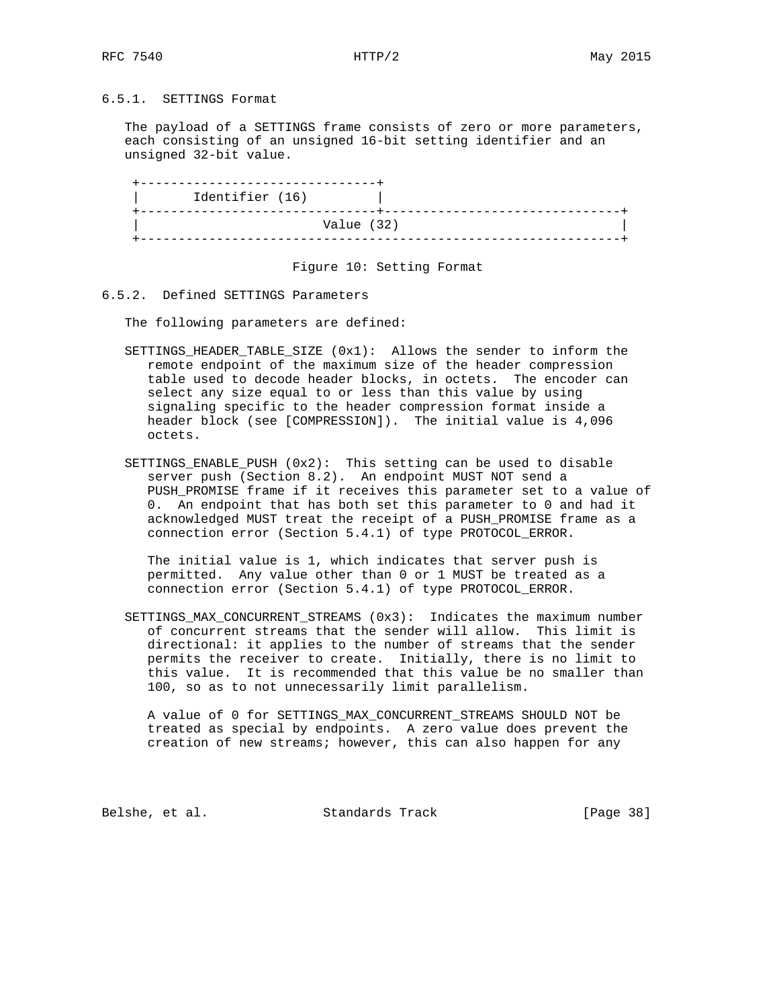## 6.5.1. SETTINGS Format

 The payload of a SETTINGS frame consists of zero or more parameters, each consisting of an unsigned 16-bit setting identifier and an unsigned 32-bit value.

| Value (32) | Identifier (16) |  |  |
|------------|-----------------|--|--|
|            |                 |  |  |

Figure 10: Setting Format

#### 6.5.2. Defined SETTINGS Parameters

The following parameters are defined:

- SETTINGS\_HEADER\_TABLE\_SIZE (0x1): Allows the sender to inform the remote endpoint of the maximum size of the header compression table used to decode header blocks, in octets. The encoder can select any size equal to or less than this value by using signaling specific to the header compression format inside a header block (see [COMPRESSION]). The initial value is 4,096 octets.
- SETTINGS\_ENABLE\_PUSH (0x2): This setting can be used to disable server push (Section 8.2). An endpoint MUST NOT send a PUSH\_PROMISE frame if it receives this parameter set to a value of 0. An endpoint that has both set this parameter to 0 and had it acknowledged MUST treat the receipt of a PUSH\_PROMISE frame as a connection error (Section 5.4.1) of type PROTOCOL\_ERROR.

 The initial value is 1, which indicates that server push is permitted. Any value other than 0 or 1 MUST be treated as a connection error (Section 5.4.1) of type PROTOCOL\_ERROR.

 SETTINGS\_MAX\_CONCURRENT\_STREAMS (0x3): Indicates the maximum number of concurrent streams that the sender will allow. This limit is directional: it applies to the number of streams that the sender permits the receiver to create. Initially, there is no limit to this value. It is recommended that this value be no smaller than 100, so as to not unnecessarily limit parallelism.

 A value of 0 for SETTINGS\_MAX\_CONCURRENT\_STREAMS SHOULD NOT be treated as special by endpoints. A zero value does prevent the creation of new streams; however, this can also happen for any

Belshe, et al. Standards Track [Page 38]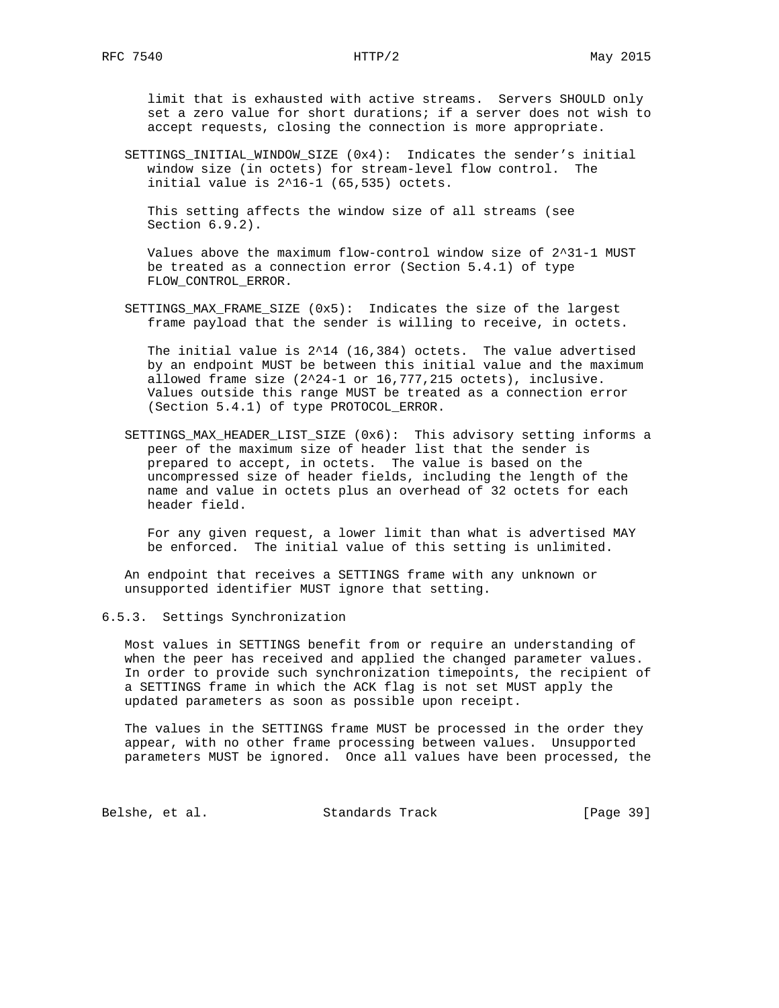limit that is exhausted with active streams. Servers SHOULD only set a zero value for short durations; if a server does not wish to accept requests, closing the connection is more appropriate.

 SETTINGS\_INITIAL\_WINDOW\_SIZE (0x4): Indicates the sender's initial window size (in octets) for stream-level flow control. The initial value is 2^16-1 (65,535) octets.

 This setting affects the window size of all streams (see Section 6.9.2).

 Values above the maximum flow-control window size of 2^31-1 MUST be treated as a connection error (Section 5.4.1) of type FLOW\_CONTROL\_ERROR.

 SETTINGS\_MAX\_FRAME\_SIZE (0x5): Indicates the size of the largest frame payload that the sender is willing to receive, in octets.

 The initial value is 2^14 (16,384) octets. The value advertised by an endpoint MUST be between this initial value and the maximum allowed frame size  $(2^24-1)$  or  $16,777,215$  octets), inclusive. Values outside this range MUST be treated as a connection error (Section 5.4.1) of type PROTOCOL\_ERROR.

 SETTINGS\_MAX\_HEADER\_LIST\_SIZE (0x6): This advisory setting informs a peer of the maximum size of header list that the sender is prepared to accept, in octets. The value is based on the uncompressed size of header fields, including the length of the name and value in octets plus an overhead of 32 octets for each header field.

 For any given request, a lower limit than what is advertised MAY be enforced. The initial value of this setting is unlimited.

 An endpoint that receives a SETTINGS frame with any unknown or unsupported identifier MUST ignore that setting.

## 6.5.3. Settings Synchronization

 Most values in SETTINGS benefit from or require an understanding of when the peer has received and applied the changed parameter values. In order to provide such synchronization timepoints, the recipient of a SETTINGS frame in which the ACK flag is not set MUST apply the updated parameters as soon as possible upon receipt.

 The values in the SETTINGS frame MUST be processed in the order they appear, with no other frame processing between values. Unsupported parameters MUST be ignored. Once all values have been processed, the

Belshe, et al. Standards Track [Page 39]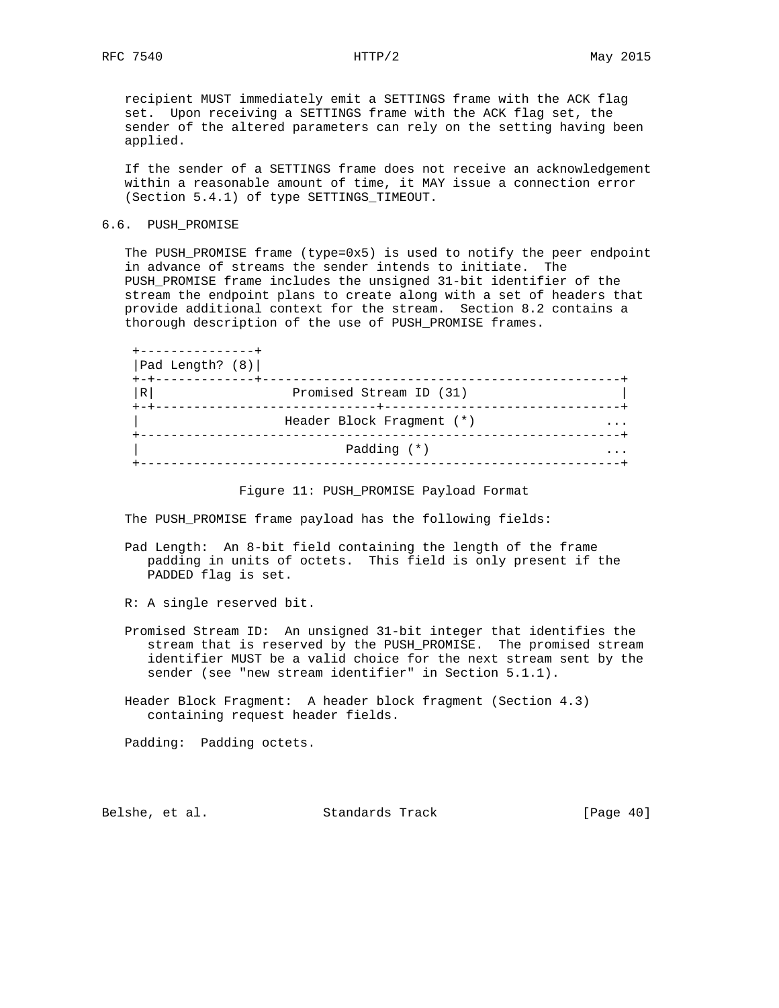recipient MUST immediately emit a SETTINGS frame with the ACK flag set. Upon receiving a SETTINGS frame with the ACK flag set, the sender of the altered parameters can rely on the setting having been applied.

 If the sender of a SETTINGS frame does not receive an acknowledgement within a reasonable amount of time, it MAY issue a connection error (Section 5.4.1) of type SETTINGS\_TIMEOUT.

### 6.6. PUSH\_PROMISE

 The PUSH\_PROMISE frame (type=0x5) is used to notify the peer endpoint in advance of streams the sender intends to initiate. The PUSH\_PROMISE frame includes the unsigned 31-bit identifier of the stream the endpoint plans to create along with a set of headers that provide additional context for the stream. Section 8.2 contains a thorough description of the use of PUSH\_PROMISE frames.

| Pad Length? (8) |                           |  |
|-----------------|---------------------------|--|
| R               | Promised Stream ID (31)   |  |
|                 | Header Block Fragment (*) |  |
|                 | Padding (*)               |  |

### Figure 11: PUSH\_PROMISE Payload Format

The PUSH\_PROMISE frame payload has the following fields:

- Pad Length: An 8-bit field containing the length of the frame padding in units of octets. This field is only present if the PADDED flag is set.
- R: A single reserved bit.
- Promised Stream ID: An unsigned 31-bit integer that identifies the stream that is reserved by the PUSH\_PROMISE. The promised stream identifier MUST be a valid choice for the next stream sent by the sender (see "new stream identifier" in Section 5.1.1).
- Header Block Fragment: A header block fragment (Section 4.3) containing request header fields.

Padding: Padding octets.

Belshe, et al. Standards Track [Page 40]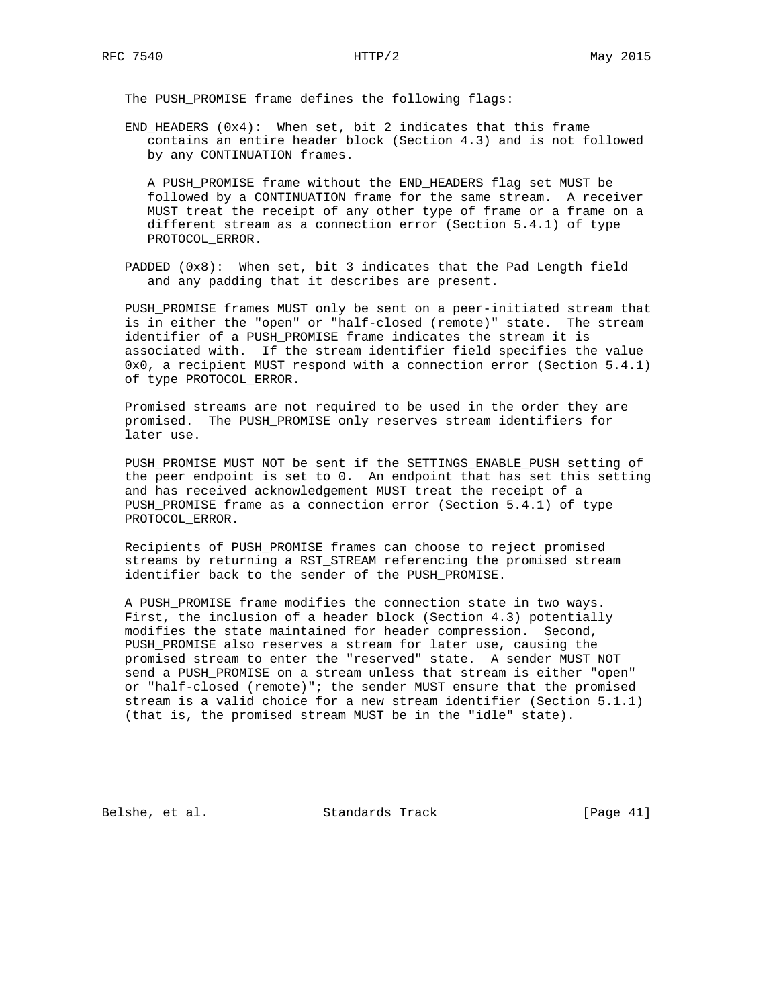The PUSH\_PROMISE frame defines the following flags:

END\_HEADERS  $(0x4)$ : When set, bit 2 indicates that this frame contains an entire header block (Section 4.3) and is not followed by any CONTINUATION frames.

 A PUSH\_PROMISE frame without the END\_HEADERS flag set MUST be followed by a CONTINUATION frame for the same stream. A receiver MUST treat the receipt of any other type of frame or a frame on a different stream as a connection error (Section 5.4.1) of type PROTOCOL\_ERROR.

 PADDED (0x8): When set, bit 3 indicates that the Pad Length field and any padding that it describes are present.

 PUSH\_PROMISE frames MUST only be sent on a peer-initiated stream that is in either the "open" or "half-closed (remote)" state. The stream identifier of a PUSH\_PROMISE frame indicates the stream it is associated with. If the stream identifier field specifies the value 0x0, a recipient MUST respond with a connection error (Section 5.4.1) of type PROTOCOL\_ERROR.

 Promised streams are not required to be used in the order they are promised. The PUSH\_PROMISE only reserves stream identifiers for later use.

 PUSH\_PROMISE MUST NOT be sent if the SETTINGS\_ENABLE\_PUSH setting of the peer endpoint is set to 0. An endpoint that has set this setting and has received acknowledgement MUST treat the receipt of a PUSH\_PROMISE frame as a connection error (Section 5.4.1) of type PROTOCOL\_ERROR.

 Recipients of PUSH\_PROMISE frames can choose to reject promised streams by returning a RST\_STREAM referencing the promised stream identifier back to the sender of the PUSH\_PROMISE.

 A PUSH\_PROMISE frame modifies the connection state in two ways. First, the inclusion of a header block (Section 4.3) potentially modifies the state maintained for header compression. Second, PUSH\_PROMISE also reserves a stream for later use, causing the promised stream to enter the "reserved" state. A sender MUST NOT send a PUSH\_PROMISE on a stream unless that stream is either "open" or "half-closed (remote)"; the sender MUST ensure that the promised stream is a valid choice for a new stream identifier (Section 5.1.1) (that is, the promised stream MUST be in the "idle" state).

Belshe, et al. Standards Track [Page 41]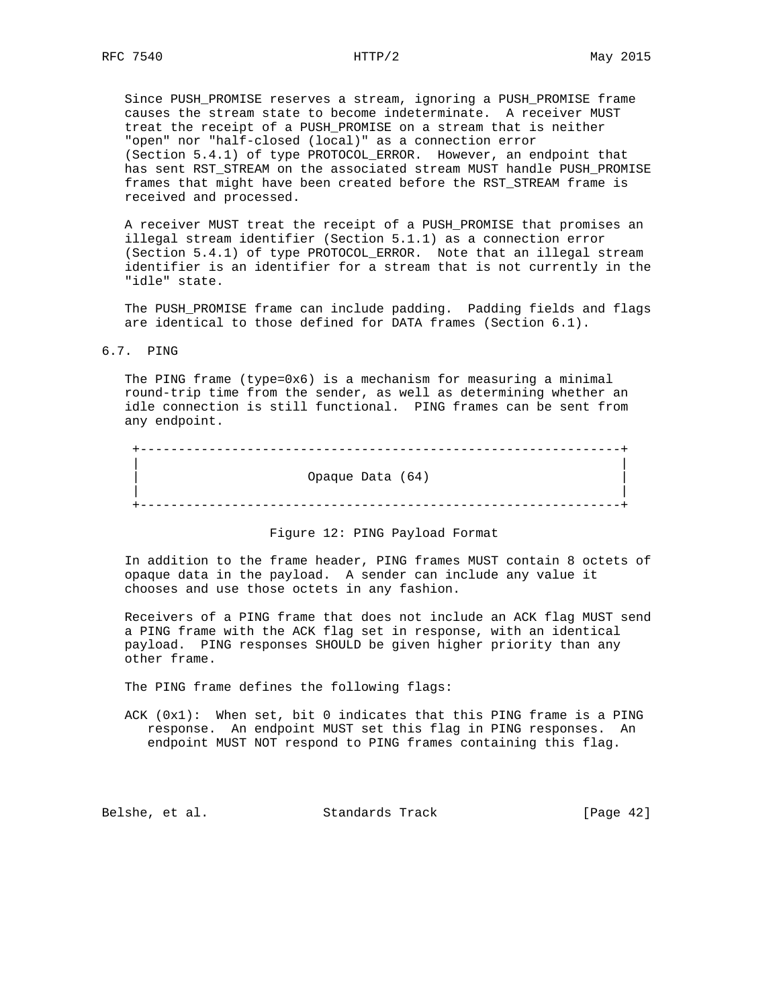Since PUSH\_PROMISE reserves a stream, ignoring a PUSH\_PROMISE frame causes the stream state to become indeterminate. A receiver MUST treat the receipt of a PUSH\_PROMISE on a stream that is neither "open" nor "half-closed (local)" as a connection error (Section 5.4.1) of type PROTOCOL\_ERROR. However, an endpoint that has sent RST\_STREAM on the associated stream MUST handle PUSH\_PROMISE frames that might have been created before the RST\_STREAM frame is received and processed.

 A receiver MUST treat the receipt of a PUSH\_PROMISE that promises an illegal stream identifier (Section 5.1.1) as a connection error (Section 5.4.1) of type PROTOCOL\_ERROR. Note that an illegal stream identifier is an identifier for a stream that is not currently in the "idle" state.

 The PUSH\_PROMISE frame can include padding. Padding fields and flags are identical to those defined for DATA frames (Section 6.1).

6.7. PING

 The PING frame (type=0x6) is a mechanism for measuring a minimal round-trip time from the sender, as well as determining whether an idle connection is still functional. PING frames can be sent from any endpoint.

 +---------------------------------------------------------------+ | | | Opaque Data (64) | | | +---------------------------------------------------------------+

Figure 12: PING Payload Format

 In addition to the frame header, PING frames MUST contain 8 octets of opaque data in the payload. A sender can include any value it chooses and use those octets in any fashion.

 Receivers of a PING frame that does not include an ACK flag MUST send a PING frame with the ACK flag set in response, with an identical payload. PING responses SHOULD be given higher priority than any other frame.

The PING frame defines the following flags:

 ACK (0x1): When set, bit 0 indicates that this PING frame is a PING response. An endpoint MUST set this flag in PING responses. An endpoint MUST NOT respond to PING frames containing this flag.

Belshe, et al. Standards Track [Page 42]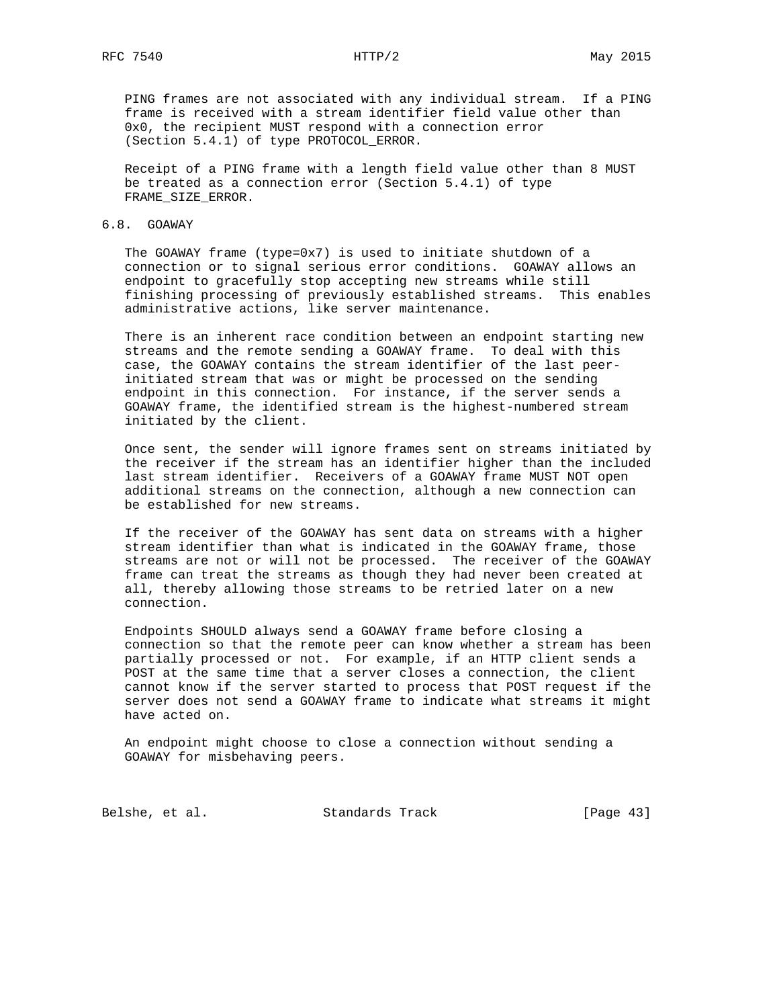PING frames are not associated with any individual stream. If a PING frame is received with a stream identifier field value other than 0x0, the recipient MUST respond with a connection error (Section 5.4.1) of type PROTOCOL\_ERROR.

 Receipt of a PING frame with a length field value other than 8 MUST be treated as a connection error (Section 5.4.1) of type FRAME\_SIZE\_ERROR.

## 6.8. GOAWAY

 The GOAWAY frame (type=0x7) is used to initiate shutdown of a connection or to signal serious error conditions. GOAWAY allows an endpoint to gracefully stop accepting new streams while still finishing processing of previously established streams. This enables administrative actions, like server maintenance.

 There is an inherent race condition between an endpoint starting new streams and the remote sending a GOAWAY frame. To deal with this case, the GOAWAY contains the stream identifier of the last peer initiated stream that was or might be processed on the sending endpoint in this connection. For instance, if the server sends a GOAWAY frame, the identified stream is the highest-numbered stream initiated by the client.

 Once sent, the sender will ignore frames sent on streams initiated by the receiver if the stream has an identifier higher than the included last stream identifier. Receivers of a GOAWAY frame MUST NOT open additional streams on the connection, although a new connection can be established for new streams.

 If the receiver of the GOAWAY has sent data on streams with a higher stream identifier than what is indicated in the GOAWAY frame, those streams are not or will not be processed. The receiver of the GOAWAY frame can treat the streams as though they had never been created at all, thereby allowing those streams to be retried later on a new connection.

 Endpoints SHOULD always send a GOAWAY frame before closing a connection so that the remote peer can know whether a stream has been partially processed or not. For example, if an HTTP client sends a POST at the same time that a server closes a connection, the client cannot know if the server started to process that POST request if the server does not send a GOAWAY frame to indicate what streams it might have acted on.

 An endpoint might choose to close a connection without sending a GOAWAY for misbehaving peers.

Belshe, et al. Standards Track [Page 43]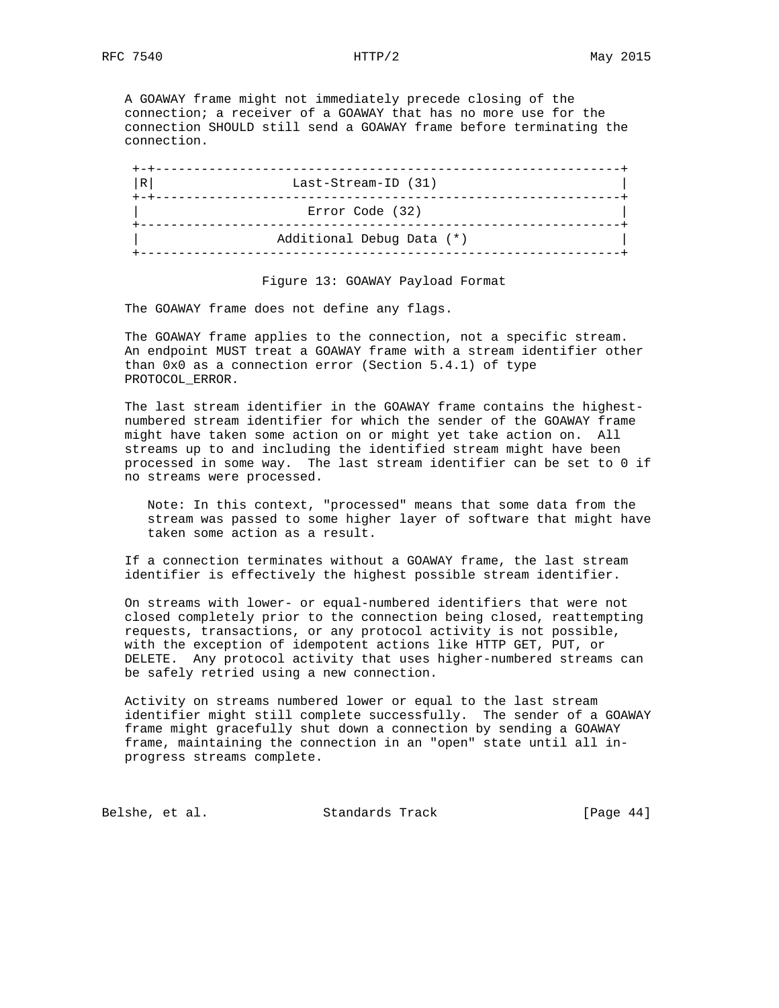A GOAWAY frame might not immediately precede closing of the connection; a receiver of a GOAWAY that has no more use for the connection SHOULD still send a GOAWAY frame before terminating the connection.

| R | Last-Stream-ID (31)       |  |
|---|---------------------------|--|
|   | Error Code (32)           |  |
|   | Additional Debug Data (*) |  |

Figure 13: GOAWAY Payload Format

The GOAWAY frame does not define any flags.

 The GOAWAY frame applies to the connection, not a specific stream. An endpoint MUST treat a GOAWAY frame with a stream identifier other than 0x0 as a connection error (Section 5.4.1) of type PROTOCOL\_ERROR.

 The last stream identifier in the GOAWAY frame contains the highest numbered stream identifier for which the sender of the GOAWAY frame might have taken some action on or might yet take action on. All streams up to and including the identified stream might have been processed in some way. The last stream identifier can be set to 0 if no streams were processed.

 Note: In this context, "processed" means that some data from the stream was passed to some higher layer of software that might have taken some action as a result.

 If a connection terminates without a GOAWAY frame, the last stream identifier is effectively the highest possible stream identifier.

 On streams with lower- or equal-numbered identifiers that were not closed completely prior to the connection being closed, reattempting requests, transactions, or any protocol activity is not possible, with the exception of idempotent actions like HTTP GET, PUT, or DELETE. Any protocol activity that uses higher-numbered streams can be safely retried using a new connection.

 Activity on streams numbered lower or equal to the last stream identifier might still complete successfully. The sender of a GOAWAY frame might gracefully shut down a connection by sending a GOAWAY frame, maintaining the connection in an "open" state until all in progress streams complete.

Belshe, et al. Standards Track [Page 44]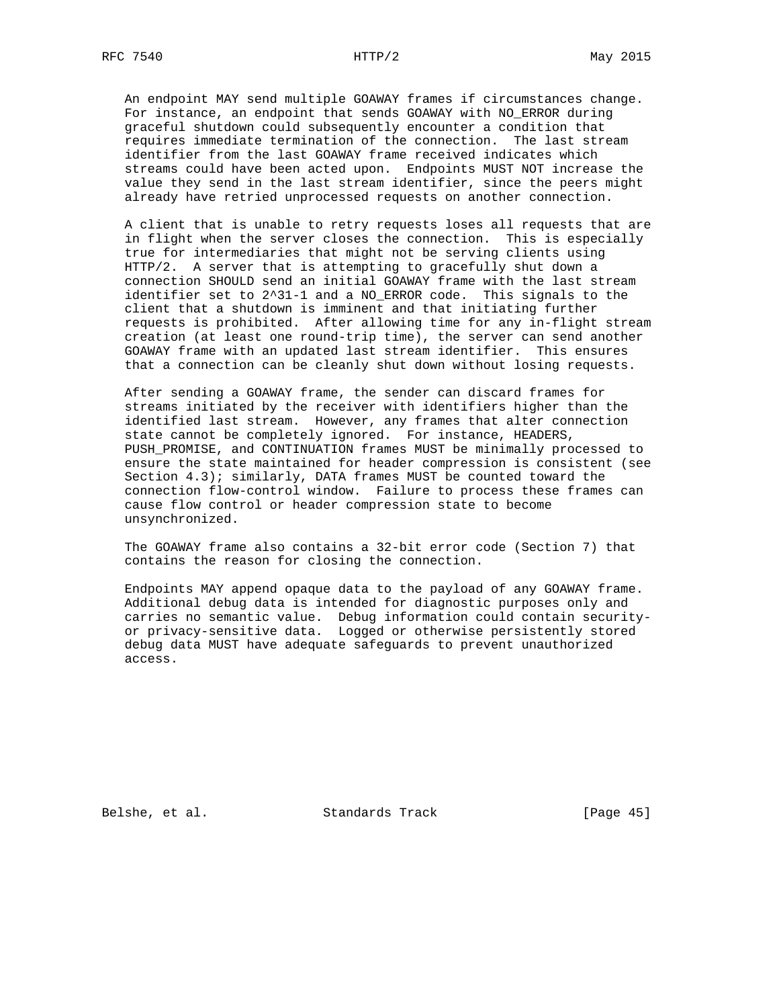An endpoint MAY send multiple GOAWAY frames if circumstances change. For instance, an endpoint that sends GOAWAY with NO\_ERROR during graceful shutdown could subsequently encounter a condition that requires immediate termination of the connection. The last stream identifier from the last GOAWAY frame received indicates which streams could have been acted upon. Endpoints MUST NOT increase the value they send in the last stream identifier, since the peers might already have retried unprocessed requests on another connection.

 A client that is unable to retry requests loses all requests that are in flight when the server closes the connection. This is especially true for intermediaries that might not be serving clients using HTTP/2. A server that is attempting to gracefully shut down a connection SHOULD send an initial GOAWAY frame with the last stream identifier set to 2^31-1 and a NO\_ERROR code. This signals to the client that a shutdown is imminent and that initiating further requests is prohibited. After allowing time for any in-flight stream creation (at least one round-trip time), the server can send another GOAWAY frame with an updated last stream identifier. This ensures that a connection can be cleanly shut down without losing requests.

 After sending a GOAWAY frame, the sender can discard frames for streams initiated by the receiver with identifiers higher than the identified last stream. However, any frames that alter connection state cannot be completely ignored. For instance, HEADERS, PUSH\_PROMISE, and CONTINUATION frames MUST be minimally processed to ensure the state maintained for header compression is consistent (see Section 4.3); similarly, DATA frames MUST be counted toward the connection flow-control window. Failure to process these frames can cause flow control or header compression state to become unsynchronized.

 The GOAWAY frame also contains a 32-bit error code (Section 7) that contains the reason for closing the connection.

 Endpoints MAY append opaque data to the payload of any GOAWAY frame. Additional debug data is intended for diagnostic purposes only and carries no semantic value. Debug information could contain security or privacy-sensitive data. Logged or otherwise persistently stored debug data MUST have adequate safeguards to prevent unauthorized access.

Belshe, et al. Standards Track [Page 45]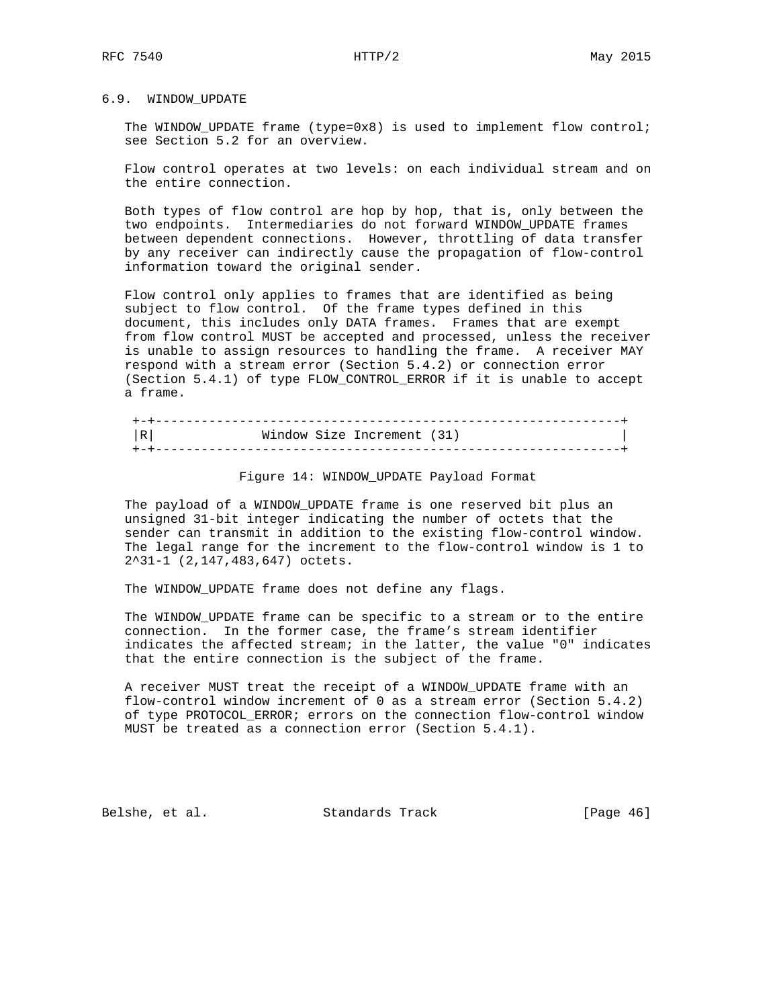## 6.9. WINDOW\_UPDATE

The WINDOW\_UPDATE frame (type=0x8) is used to implement flow control; see Section 5.2 for an overview.

 Flow control operates at two levels: on each individual stream and on the entire connection.

 Both types of flow control are hop by hop, that is, only between the two endpoints. Intermediaries do not forward WINDOW\_UPDATE frames between dependent connections. However, throttling of data transfer by any receiver can indirectly cause the propagation of flow-control information toward the original sender.

 Flow control only applies to frames that are identified as being subject to flow control. Of the frame types defined in this document, this includes only DATA frames. Frames that are exempt from flow control MUST be accepted and processed, unless the receiver is unable to assign resources to handling the frame. A receiver MAY respond with a stream error (Section 5.4.2) or connection error (Section 5.4.1) of type FLOW\_CONTROL\_ERROR if it is unable to accept a frame.

| R I | Window Size Increment (31) |  |
|-----|----------------------------|--|
|     |                            |  |

#### Figure 14: WINDOW\_UPDATE Payload Format

 The payload of a WINDOW\_UPDATE frame is one reserved bit plus an unsigned 31-bit integer indicating the number of octets that the sender can transmit in addition to the existing flow-control window. The legal range for the increment to the flow-control window is 1 to 2^31-1 (2,147,483,647) octets.

The WINDOW\_UPDATE frame does not define any flags.

 The WINDOW\_UPDATE frame can be specific to a stream or to the entire connection. In the former case, the frame's stream identifier indicates the affected stream; in the latter, the value "0" indicates that the entire connection is the subject of the frame.

 A receiver MUST treat the receipt of a WINDOW\_UPDATE frame with an flow-control window increment of 0 as a stream error (Section 5.4.2) of type PROTOCOL\_ERROR; errors on the connection flow-control window MUST be treated as a connection error (Section 5.4.1).

Belshe, et al. Standards Track [Page 46]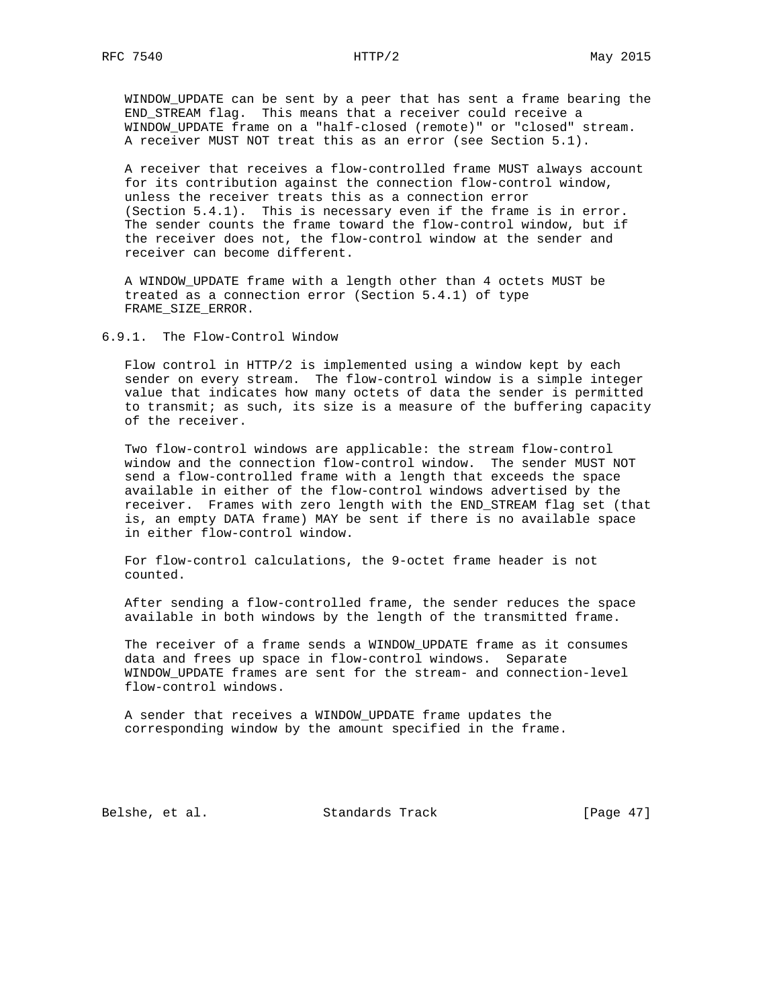WINDOW\_UPDATE can be sent by a peer that has sent a frame bearing the END\_STREAM flag. This means that a receiver could receive a WINDOW\_UPDATE frame on a "half-closed (remote)" or "closed" stream. A receiver MUST NOT treat this as an error (see Section 5.1).

 A receiver that receives a flow-controlled frame MUST always account for its contribution against the connection flow-control window, unless the receiver treats this as a connection error (Section 5.4.1). This is necessary even if the frame is in error. The sender counts the frame toward the flow-control window, but if the receiver does not, the flow-control window at the sender and receiver can become different.

 A WINDOW\_UPDATE frame with a length other than 4 octets MUST be treated as a connection error (Section 5.4.1) of type FRAME\_SIZE\_ERROR.

6.9.1. The Flow-Control Window

 Flow control in HTTP/2 is implemented using a window kept by each sender on every stream. The flow-control window is a simple integer value that indicates how many octets of data the sender is permitted to transmit; as such, its size is a measure of the buffering capacity of the receiver.

 Two flow-control windows are applicable: the stream flow-control window and the connection flow-control window. The sender MUST NOT send a flow-controlled frame with a length that exceeds the space available in either of the flow-control windows advertised by the receiver. Frames with zero length with the END\_STREAM flag set (that is, an empty DATA frame) MAY be sent if there is no available space in either flow-control window.

 For flow-control calculations, the 9-octet frame header is not counted.

 After sending a flow-controlled frame, the sender reduces the space available in both windows by the length of the transmitted frame.

 The receiver of a frame sends a WINDOW\_UPDATE frame as it consumes data and frees up space in flow-control windows. Separate WINDOW\_UPDATE frames are sent for the stream- and connection-level flow-control windows.

 A sender that receives a WINDOW\_UPDATE frame updates the corresponding window by the amount specified in the frame.

Belshe, et al. Standards Track [Page 47]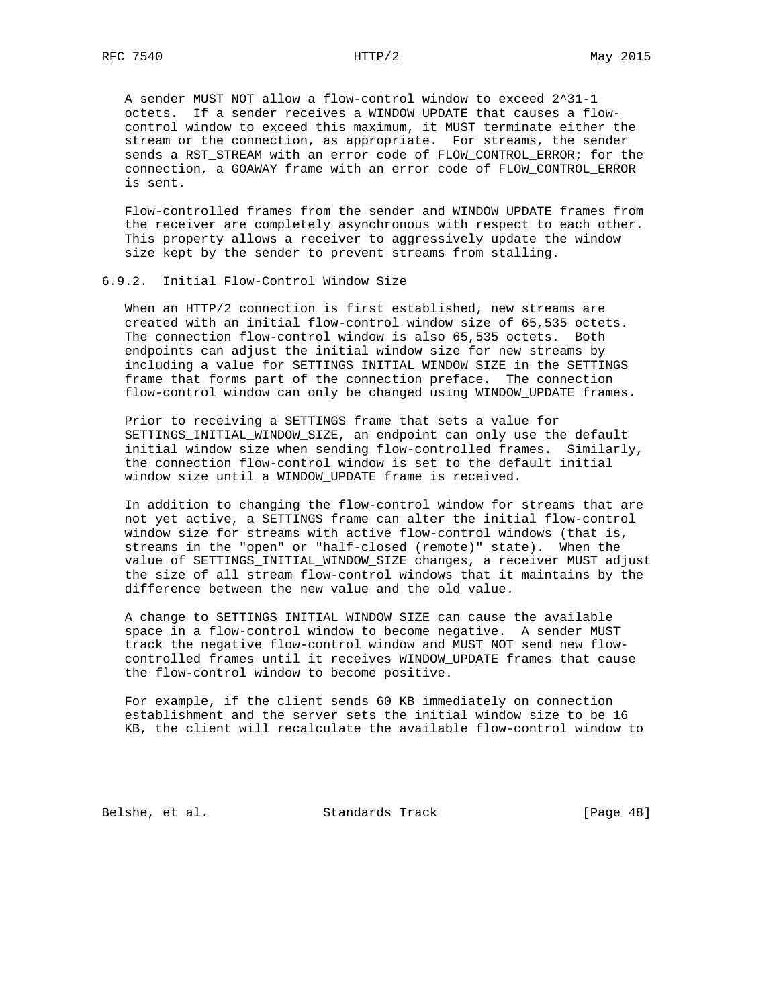A sender MUST NOT allow a flow-control window to exceed 2^31-1 octets. If a sender receives a WINDOW\_UPDATE that causes a flow control window to exceed this maximum, it MUST terminate either the stream or the connection, as appropriate. For streams, the sender sends a RST\_STREAM with an error code of FLOW\_CONTROL\_ERROR; for the connection, a GOAWAY frame with an error code of FLOW\_CONTROL\_ERROR is sent.

 Flow-controlled frames from the sender and WINDOW\_UPDATE frames from the receiver are completely asynchronous with respect to each other. This property allows a receiver to aggressively update the window size kept by the sender to prevent streams from stalling.

### 6.9.2. Initial Flow-Control Window Size

 When an HTTP/2 connection is first established, new streams are created with an initial flow-control window size of 65,535 octets. The connection flow-control window is also 65,535 octets. Both endpoints can adjust the initial window size for new streams by including a value for SETTINGS\_INITIAL\_WINDOW\_SIZE in the SETTINGS frame that forms part of the connection preface. The connection flow-control window can only be changed using WINDOW\_UPDATE frames.

 Prior to receiving a SETTINGS frame that sets a value for SETTINGS\_INITIAL\_WINDOW\_SIZE, an endpoint can only use the default initial window size when sending flow-controlled frames. Similarly, the connection flow-control window is set to the default initial window size until a WINDOW\_UPDATE frame is received.

 In addition to changing the flow-control window for streams that are not yet active, a SETTINGS frame can alter the initial flow-control window size for streams with active flow-control windows (that is, streams in the "open" or "half-closed (remote)" state). When the value of SETTINGS\_INITIAL\_WINDOW\_SIZE changes, a receiver MUST adjust the size of all stream flow-control windows that it maintains by the difference between the new value and the old value.

 A change to SETTINGS\_INITIAL\_WINDOW\_SIZE can cause the available space in a flow-control window to become negative. A sender MUST track the negative flow-control window and MUST NOT send new flow controlled frames until it receives WINDOW\_UPDATE frames that cause the flow-control window to become positive.

 For example, if the client sends 60 KB immediately on connection establishment and the server sets the initial window size to be 16 KB, the client will recalculate the available flow-control window to

Belshe, et al. Standards Track [Page 48]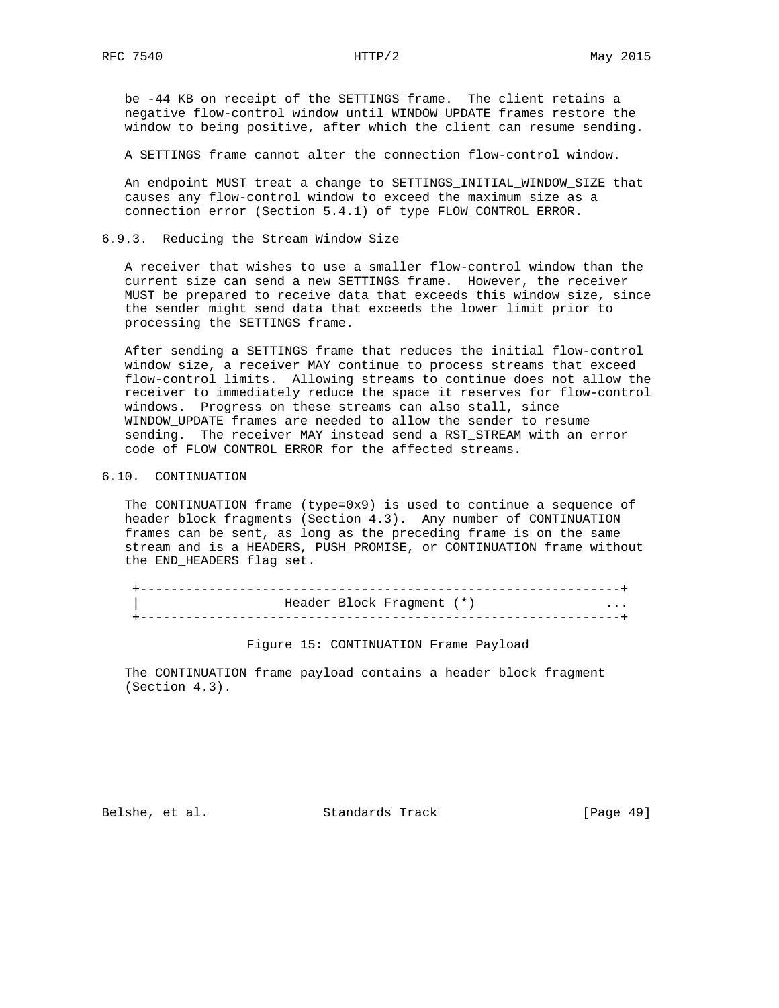be -44 KB on receipt of the SETTINGS frame. The client retains a negative flow-control window until WINDOW\_UPDATE frames restore the window to being positive, after which the client can resume sending.

A SETTINGS frame cannot alter the connection flow-control window.

 An endpoint MUST treat a change to SETTINGS\_INITIAL\_WINDOW\_SIZE that causes any flow-control window to exceed the maximum size as a connection error (Section 5.4.1) of type FLOW\_CONTROL\_ERROR.

6.9.3. Reducing the Stream Window Size

 A receiver that wishes to use a smaller flow-control window than the current size can send a new SETTINGS frame. However, the receiver MUST be prepared to receive data that exceeds this window size, since the sender might send data that exceeds the lower limit prior to processing the SETTINGS frame.

 After sending a SETTINGS frame that reduces the initial flow-control window size, a receiver MAY continue to process streams that exceed flow-control limits. Allowing streams to continue does not allow the receiver to immediately reduce the space it reserves for flow-control windows. Progress on these streams can also stall, since WINDOW\_UPDATE frames are needed to allow the sender to resume sending. The receiver MAY instead send a RST\_STREAM with an error code of FLOW\_CONTROL\_ERROR for the affected streams.

#### 6.10. CONTINUATION

 The CONTINUATION frame (type=0x9) is used to continue a sequence of header block fragments (Section 4.3). Any number of CONTINUATION frames can be sent, as long as the preceding frame is on the same stream and is a HEADERS, PUSH\_PROMISE, or CONTINUATION frame without the END\_HEADERS flag set.

 +---------------------------------------------------------------+ Header Block Fragment (\*) +---------------------------------------------------------------+

Figure 15: CONTINUATION Frame Payload

 The CONTINUATION frame payload contains a header block fragment (Section 4.3).

Belshe, et al. Standards Track [Page 49]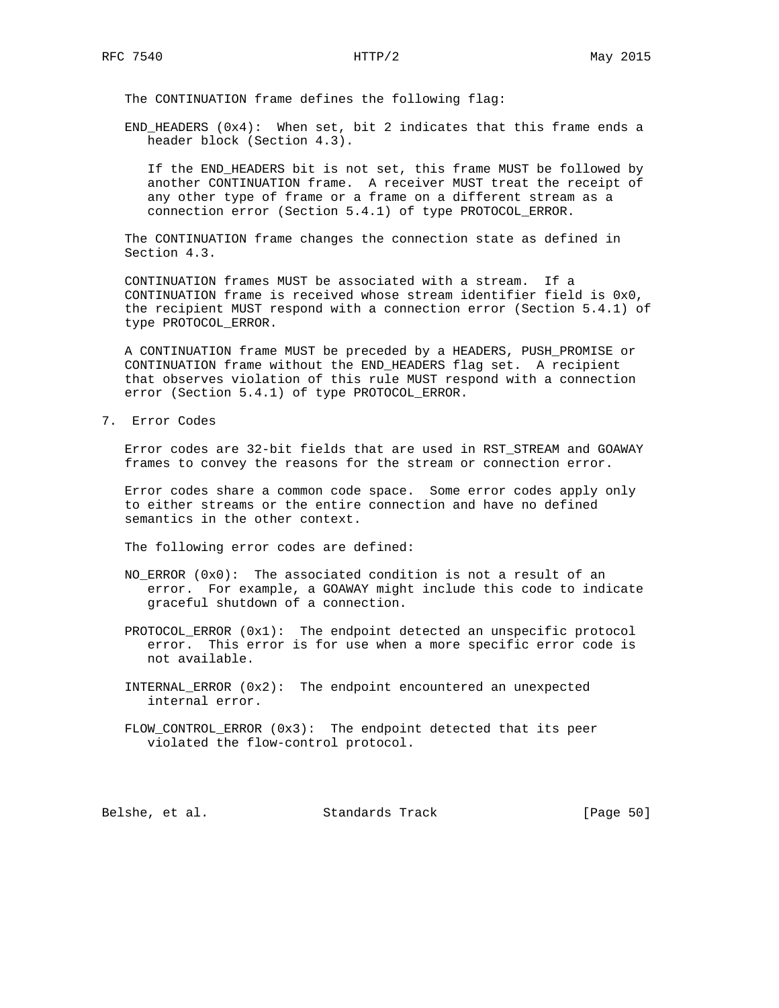The CONTINUATION frame defines the following flag:

 END\_HEADERS (0x4): When set, bit 2 indicates that this frame ends a header block (Section 4.3).

 If the END\_HEADERS bit is not set, this frame MUST be followed by another CONTINUATION frame. A receiver MUST treat the receipt of any other type of frame or a frame on a different stream as a connection error (Section 5.4.1) of type PROTOCOL\_ERROR.

 The CONTINUATION frame changes the connection state as defined in Section 4.3.

 CONTINUATION frames MUST be associated with a stream. If a CONTINUATION frame is received whose stream identifier field is 0x0, the recipient MUST respond with a connection error (Section 5.4.1) of type PROTOCOL\_ERROR.

 A CONTINUATION frame MUST be preceded by a HEADERS, PUSH\_PROMISE or CONTINUATION frame without the END\_HEADERS flag set. A recipient that observes violation of this rule MUST respond with a connection error (Section 5.4.1) of type PROTOCOL\_ERROR.

7. Error Codes

 Error codes are 32-bit fields that are used in RST\_STREAM and GOAWAY frames to convey the reasons for the stream or connection error.

 Error codes share a common code space. Some error codes apply only to either streams or the entire connection and have no defined semantics in the other context.

The following error codes are defined:

- NO\_ERROR (0x0): The associated condition is not a result of an error. For example, a GOAWAY might include this code to indicate graceful shutdown of a connection.
- PROTOCOL\_ERROR (0x1): The endpoint detected an unspecific protocol error. This error is for use when a more specific error code is not available.
- INTERNAL\_ERROR (0x2): The endpoint encountered an unexpected internal error.
- FLOW\_CONTROL\_ERROR (0x3): The endpoint detected that its peer violated the flow-control protocol.

Belshe, et al. Standards Track [Page 50]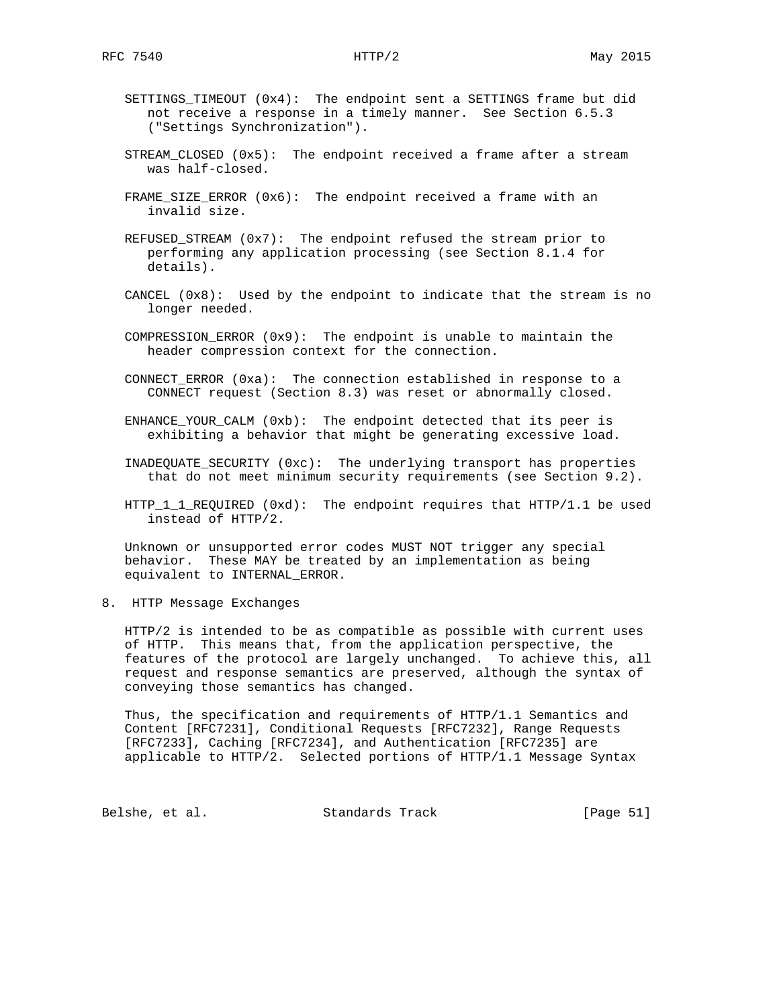- SETTINGS\_TIMEOUT (0x4): The endpoint sent a SETTINGS frame but did not receive a response in a timely manner. See Section 6.5.3 ("Settings Synchronization").
- STREAM\_CLOSED (0x5): The endpoint received a frame after a stream was half-closed.
- FRAME\_SIZE\_ERROR (0x6): The endpoint received a frame with an invalid size.
- REFUSED\_STREAM (0x7): The endpoint refused the stream prior to performing any application processing (see Section 8.1.4 for details).
- CANCEL (0x8): Used by the endpoint to indicate that the stream is no longer needed.
- COMPRESSION\_ERROR (0x9): The endpoint is unable to maintain the header compression context for the connection.
- CONNECT\_ERROR (0xa): The connection established in response to a CONNECT request (Section 8.3) was reset or abnormally closed.
- ENHANCE\_YOUR\_CALM (0xb): The endpoint detected that its peer is exhibiting a behavior that might be generating excessive load.
- INADEQUATE\_SECURITY (0xc): The underlying transport has properties that do not meet minimum security requirements (see Section 9.2).
- HTTP<sub>11</sub>REQUIRED (0xd): The endpoint requires that HTTP/1.1 be used instead of HTTP/2.

 Unknown or unsupported error codes MUST NOT trigger any special behavior. These MAY be treated by an implementation as being equivalent to INTERNAL\_ERROR.

8. HTTP Message Exchanges

 HTTP/2 is intended to be as compatible as possible with current uses of HTTP. This means that, from the application perspective, the features of the protocol are largely unchanged. To achieve this, all request and response semantics are preserved, although the syntax of conveying those semantics has changed.

 Thus, the specification and requirements of HTTP/1.1 Semantics and Content [RFC7231], Conditional Requests [RFC7232], Range Requests [RFC7233], Caching [RFC7234], and Authentication [RFC7235] are applicable to HTTP/2. Selected portions of HTTP/1.1 Message Syntax

Belshe, et al. Standards Track [Page 51]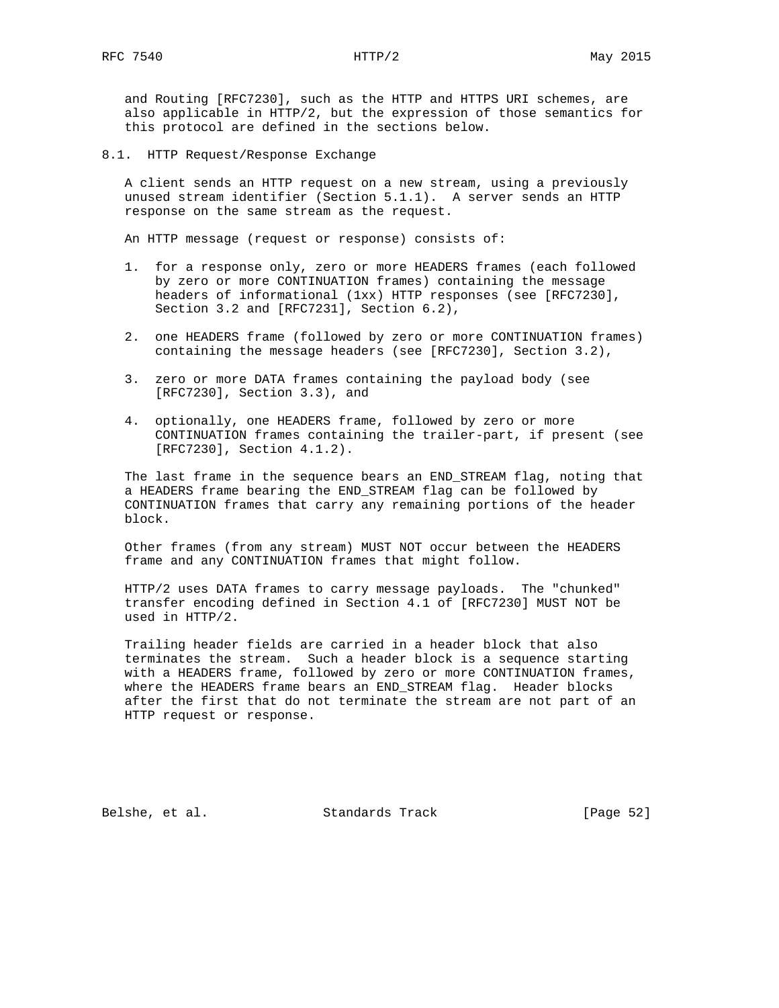and Routing [RFC7230], such as the HTTP and HTTPS URI schemes, are also applicable in HTTP/2, but the expression of those semantics for this protocol are defined in the sections below.

8.1. HTTP Request/Response Exchange

 A client sends an HTTP request on a new stream, using a previously unused stream identifier (Section 5.1.1). A server sends an HTTP response on the same stream as the request.

An HTTP message (request or response) consists of:

- 1. for a response only, zero or more HEADERS frames (each followed by zero or more CONTINUATION frames) containing the message headers of informational (1xx) HTTP responses (see [RFC7230], Section 3.2 and [RFC7231], Section 6.2),
- 2. one HEADERS frame (followed by zero or more CONTINUATION frames) containing the message headers (see [RFC7230], Section 3.2),
- 3. zero or more DATA frames containing the payload body (see [RFC7230], Section 3.3), and
- 4. optionally, one HEADERS frame, followed by zero or more CONTINUATION frames containing the trailer-part, if present (see [RFC7230], Section 4.1.2).

 The last frame in the sequence bears an END\_STREAM flag, noting that a HEADERS frame bearing the END\_STREAM flag can be followed by CONTINUATION frames that carry any remaining portions of the header block.

 Other frames (from any stream) MUST NOT occur between the HEADERS frame and any CONTINUATION frames that might follow.

 HTTP/2 uses DATA frames to carry message payloads. The "chunked" transfer encoding defined in Section 4.1 of [RFC7230] MUST NOT be used in HTTP/2.

 Trailing header fields are carried in a header block that also terminates the stream. Such a header block is a sequence starting with a HEADERS frame, followed by zero or more CONTINUATION frames, where the HEADERS frame bears an END\_STREAM flag. Header blocks after the first that do not terminate the stream are not part of an HTTP request or response.

Belshe, et al. Standards Track [Page 52]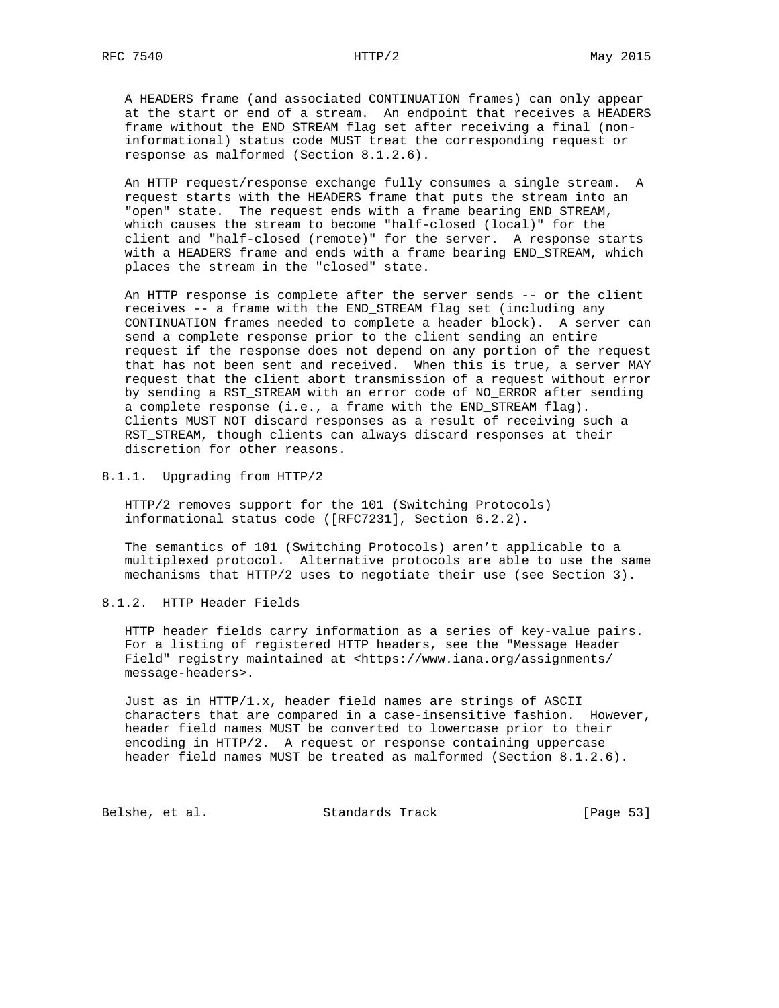A HEADERS frame (and associated CONTINUATION frames) can only appear at the start or end of a stream. An endpoint that receives a HEADERS frame without the END\_STREAM flag set after receiving a final (non informational) status code MUST treat the corresponding request or response as malformed (Section 8.1.2.6).

 An HTTP request/response exchange fully consumes a single stream. A request starts with the HEADERS frame that puts the stream into an "open" state. The request ends with a frame bearing END\_STREAM, which causes the stream to become "half-closed (local)" for the client and "half-closed (remote)" for the server. A response starts with a HEADERS frame and ends with a frame bearing END\_STREAM, which places the stream in the "closed" state.

 An HTTP response is complete after the server sends -- or the client receives -- a frame with the END\_STREAM flag set (including any CONTINUATION frames needed to complete a header block). A server can send a complete response prior to the client sending an entire request if the response does not depend on any portion of the request that has not been sent and received. When this is true, a server MAY request that the client abort transmission of a request without error by sending a RST\_STREAM with an error code of NO\_ERROR after sending a complete response (i.e., a frame with the END\_STREAM flag). Clients MUST NOT discard responses as a result of receiving such a RST\_STREAM, though clients can always discard responses at their discretion for other reasons.

8.1.1. Upgrading from HTTP/2

 HTTP/2 removes support for the 101 (Switching Protocols) informational status code ([RFC7231], Section 6.2.2).

 The semantics of 101 (Switching Protocols) aren't applicable to a multiplexed protocol. Alternative protocols are able to use the same mechanisms that HTTP/2 uses to negotiate their use (see Section 3).

8.1.2. HTTP Header Fields

 HTTP header fields carry information as a series of key-value pairs. For a listing of registered HTTP headers, see the "Message Header Field" registry maintained at <https://www.iana.org/assignments/ message-headers>.

 Just as in HTTP/1.x, header field names are strings of ASCII characters that are compared in a case-insensitive fashion. However, header field names MUST be converted to lowercase prior to their encoding in HTTP/2. A request or response containing uppercase header field names MUST be treated as malformed (Section 8.1.2.6).

Belshe, et al. Standards Track [Page 53]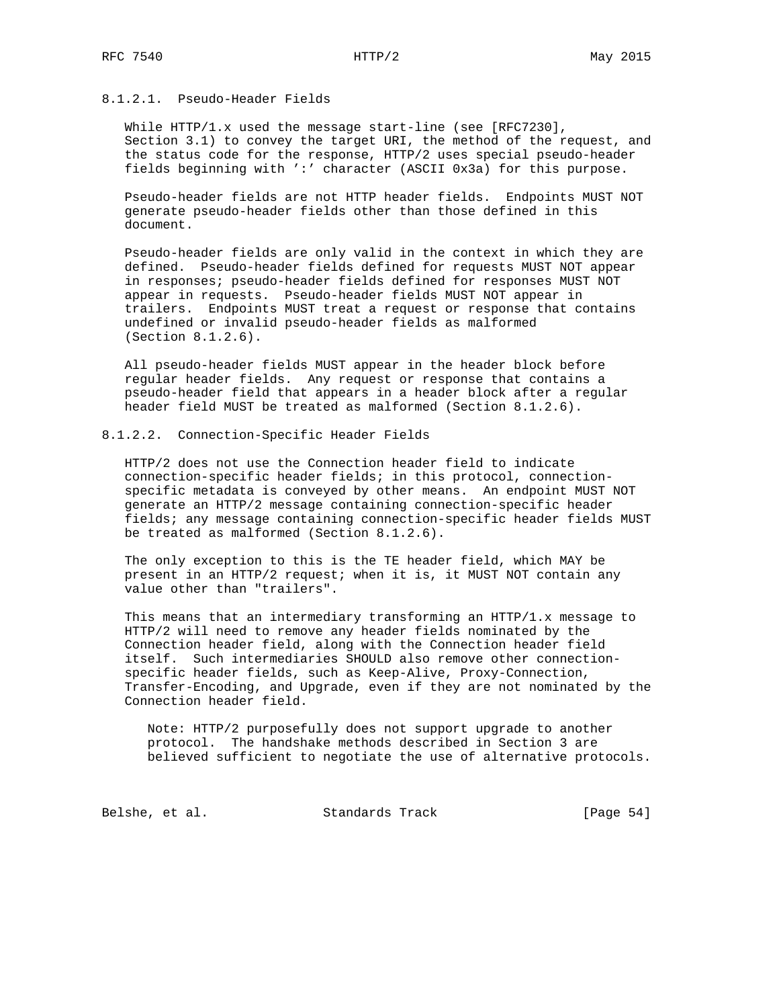## 8.1.2.1. Pseudo-Header Fields

 While HTTP/1.x used the message start-line (see [RFC7230], Section 3.1) to convey the target URI, the method of the request, and the status code for the response, HTTP/2 uses special pseudo-header fields beginning with ':' character (ASCII 0x3a) for this purpose.

 Pseudo-header fields are not HTTP header fields. Endpoints MUST NOT generate pseudo-header fields other than those defined in this document.

 Pseudo-header fields are only valid in the context in which they are defined. Pseudo-header fields defined for requests MUST NOT appear in responses; pseudo-header fields defined for responses MUST NOT appear in requests. Pseudo-header fields MUST NOT appear in trailers. Endpoints MUST treat a request or response that contains undefined or invalid pseudo-header fields as malformed (Section 8.1.2.6).

 All pseudo-header fields MUST appear in the header block before regular header fields. Any request or response that contains a pseudo-header field that appears in a header block after a regular header field MUST be treated as malformed (Section 8.1.2.6).

### 8.1.2.2. Connection-Specific Header Fields

 HTTP/2 does not use the Connection header field to indicate connection-specific header fields; in this protocol, connection specific metadata is conveyed by other means. An endpoint MUST NOT generate an HTTP/2 message containing connection-specific header fields; any message containing connection-specific header fields MUST be treated as malformed (Section 8.1.2.6).

 The only exception to this is the TE header field, which MAY be present in an HTTP/2 request; when it is, it MUST NOT contain any value other than "trailers".

 This means that an intermediary transforming an HTTP/1.x message to HTTP/2 will need to remove any header fields nominated by the Connection header field, along with the Connection header field itself. Such intermediaries SHOULD also remove other connection specific header fields, such as Keep-Alive, Proxy-Connection, Transfer-Encoding, and Upgrade, even if they are not nominated by the Connection header field.

 Note: HTTP/2 purposefully does not support upgrade to another protocol. The handshake methods described in Section 3 are believed sufficient to negotiate the use of alternative protocols.

Belshe, et al. Standards Track [Page 54]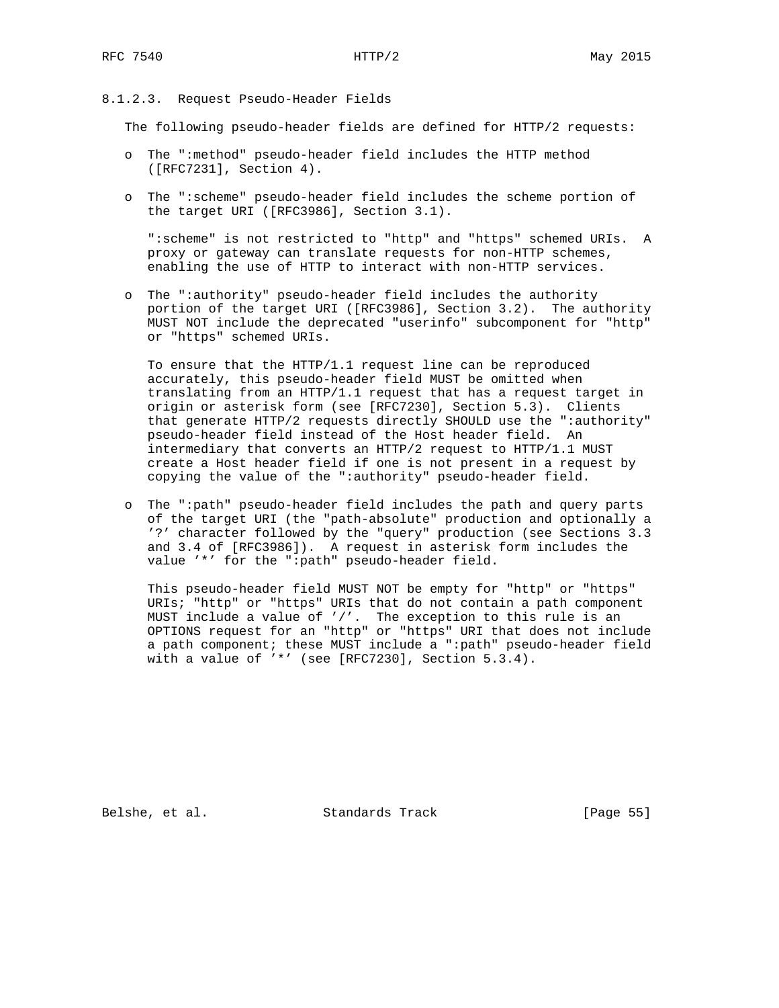## 8.1.2.3. Request Pseudo-Header Fields

The following pseudo-header fields are defined for HTTP/2 requests:

- o The ":method" pseudo-header field includes the HTTP method ([RFC7231], Section 4).
- o The ":scheme" pseudo-header field includes the scheme portion of the target URI ([RFC3986], Section 3.1).

 ":scheme" is not restricted to "http" and "https" schemed URIs. A proxy or gateway can translate requests for non-HTTP schemes, enabling the use of HTTP to interact with non-HTTP services.

 o The ":authority" pseudo-header field includes the authority portion of the target URI ([RFC3986], Section 3.2). The authority MUST NOT include the deprecated "userinfo" subcomponent for "http" or "https" schemed URIs.

 To ensure that the HTTP/1.1 request line can be reproduced accurately, this pseudo-header field MUST be omitted when translating from an HTTP/1.1 request that has a request target in origin or asterisk form (see [RFC7230], Section 5.3). Clients that generate HTTP/2 requests directly SHOULD use the ":authority" pseudo-header field instead of the Host header field. An intermediary that converts an HTTP/2 request to HTTP/1.1 MUST create a Host header field if one is not present in a request by copying the value of the ":authority" pseudo-header field.

 o The ":path" pseudo-header field includes the path and query parts of the target URI (the "path-absolute" production and optionally a '?' character followed by the "query" production (see Sections 3.3 and 3.4 of [RFC3986]). A request in asterisk form includes the value '\*' for the ":path" pseudo-header field.

This pseudo-header field MUST NOT be empty for "http" or "https" URIs; "http" or "https" URIs that do not contain a path component MUST include a value of '/'. The exception to this rule is an OPTIONS request for an "http" or "https" URI that does not include a path component; these MUST include a ":path" pseudo-header field with a value of '\*' (see [RFC7230], Section 5.3.4).

Belshe, et al. Standards Track [Page 55]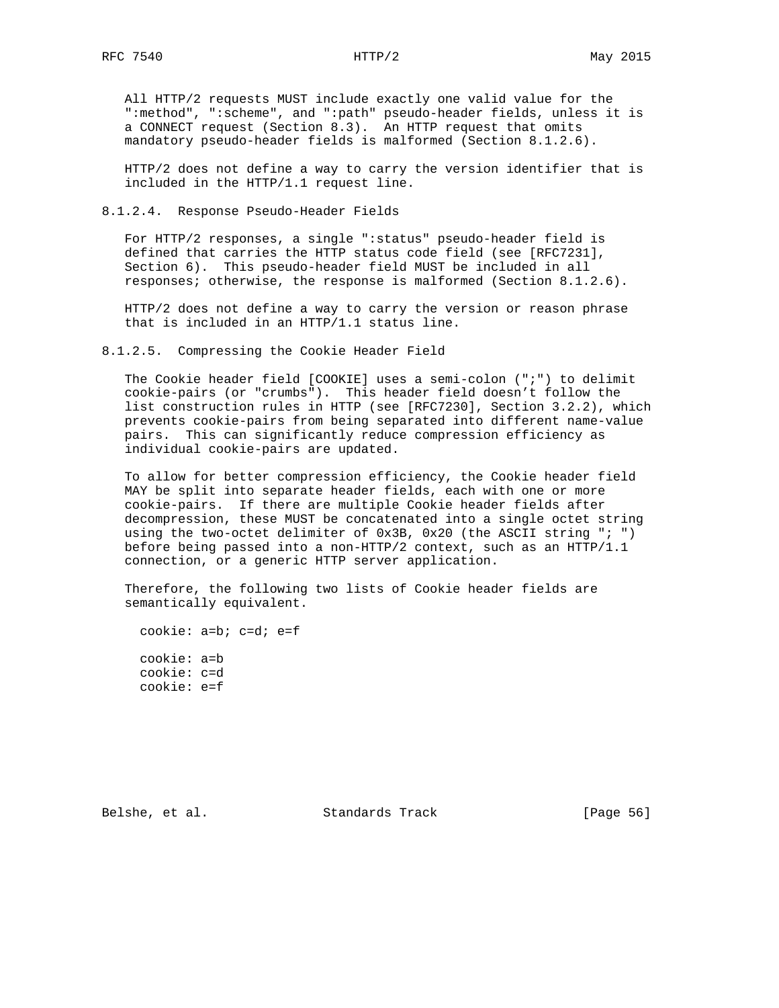All HTTP/2 requests MUST include exactly one valid value for the ":method", ":scheme", and ":path" pseudo-header fields, unless it is a CONNECT request (Section 8.3). An HTTP request that omits mandatory pseudo-header fields is malformed (Section 8.1.2.6).

 HTTP/2 does not define a way to carry the version identifier that is included in the HTTP/1.1 request line.

8.1.2.4. Response Pseudo-Header Fields

 For HTTP/2 responses, a single ":status" pseudo-header field is defined that carries the HTTP status code field (see [RFC7231], Section 6). This pseudo-header field MUST be included in all responses; otherwise, the response is malformed (Section 8.1.2.6).

 HTTP/2 does not define a way to carry the version or reason phrase that is included in an HTTP/1.1 status line.

8.1.2.5. Compressing the Cookie Header Field

 The Cookie header field [COOKIE] uses a semi-colon (";") to delimit cookie-pairs (or "crumbs"). This header field doesn't follow the list construction rules in HTTP (see [RFC7230], Section 3.2.2), which prevents cookie-pairs from being separated into different name-value pairs. This can significantly reduce compression efficiency as individual cookie-pairs are updated.

 To allow for better compression efficiency, the Cookie header field MAY be split into separate header fields, each with one or more cookie-pairs. If there are multiple Cookie header fields after decompression, these MUST be concatenated into a single octet string using the two-octet delimiter of 0x3B, 0x20 (the ASCII string "; ") before being passed into a non-HTTP/2 context, such as an HTTP/1.1 connection, or a generic HTTP server application.

 Therefore, the following two lists of Cookie header fields are semantically equivalent.

cookie: a=b; c=d; e=f

 cookie: a=b cookie: c=d cookie: e=f

Belshe, et al. Standards Track [Page 56]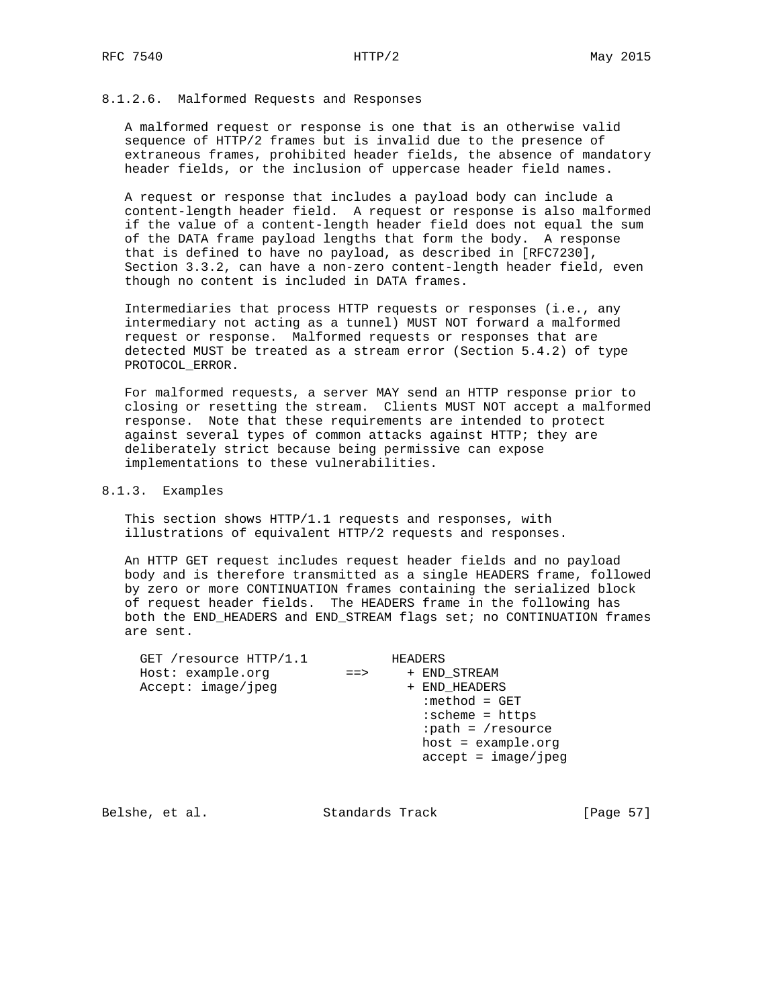## 8.1.2.6. Malformed Requests and Responses

 A malformed request or response is one that is an otherwise valid sequence of HTTP/2 frames but is invalid due to the presence of extraneous frames, prohibited header fields, the absence of mandatory header fields, or the inclusion of uppercase header field names.

 A request or response that includes a payload body can include a content-length header field. A request or response is also malformed if the value of a content-length header field does not equal the sum of the DATA frame payload lengths that form the body. A response that is defined to have no payload, as described in [RFC7230], Section 3.3.2, can have a non-zero content-length header field, even though no content is included in DATA frames.

 Intermediaries that process HTTP requests or responses (i.e., any intermediary not acting as a tunnel) MUST NOT forward a malformed request or response. Malformed requests or responses that are detected MUST be treated as a stream error (Section 5.4.2) of type PROTOCOL\_ERROR.

 For malformed requests, a server MAY send an HTTP response prior to closing or resetting the stream. Clients MUST NOT accept a malformed response. Note that these requirements are intended to protect against several types of common attacks against HTTP; they are deliberately strict because being permissive can expose implementations to these vulnerabilities.

# 8.1.3. Examples

 This section shows HTTP/1.1 requests and responses, with illustrations of equivalent HTTP/2 requests and responses.

 An HTTP GET request includes request header fields and no payload body and is therefore transmitted as a single HEADERS frame, followed by zero or more CONTINUATION frames containing the serialized block of request header fields. The HEADERS frame in the following has both the END\_HEADERS and END\_STREAM flags set; no CONTINUATION frames are sent.

| GET /resource HTTP/1.1 |             | HEADERS               |
|------------------------|-------------|-----------------------|
| Host: example.org      | $=$ $=$ $>$ | + END STREAM          |
| Accept: image/jpeg     |             | + END HEADERS         |
|                        |             | $:$ method = GET      |
|                        |             | $:scheme = https$     |
|                        |             | :path = /resource     |
|                        |             | $host = example.org$  |
|                        |             | $accept = image/jpeg$ |
|                        |             |                       |

Belshe, et al. Standards Track [Page 57]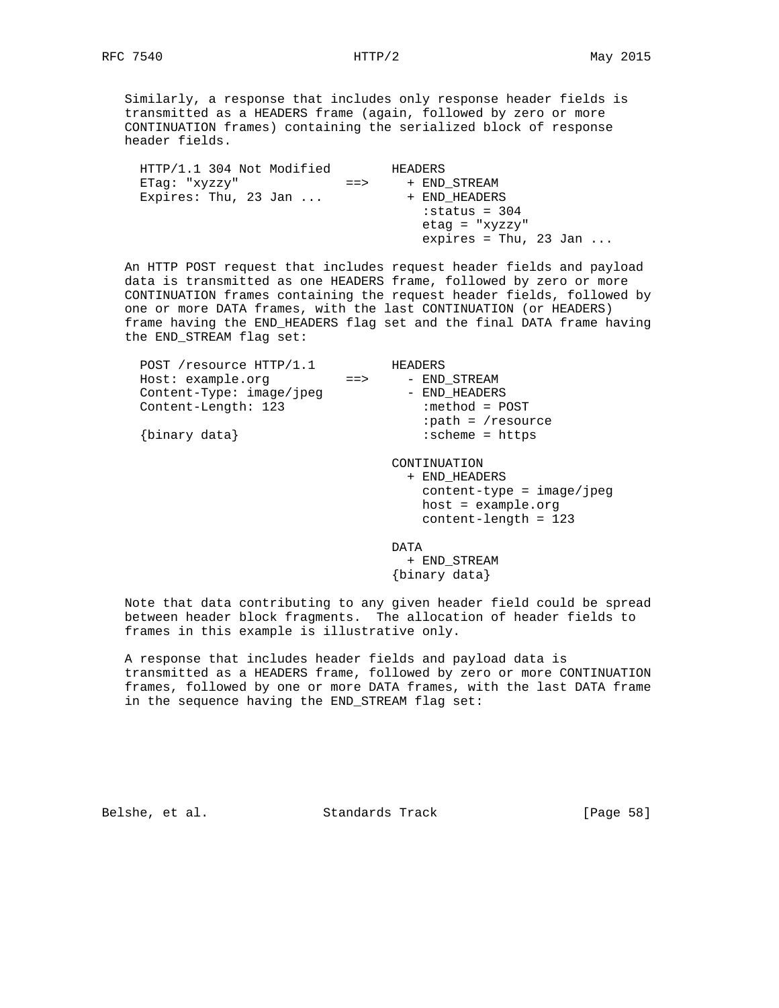Similarly, a response that includes only response header fields is transmitted as a HEADERS frame (again, followed by zero or more CONTINUATION frames) containing the serialized block of response header fields.

|           | HEADERS                        |
|-----------|--------------------------------|
| $=$ $\ge$ | + END STREAM                   |
|           | + END HEADERS                  |
|           | $:$ status = 304               |
|           | $etaq = "xyzzy"$               |
|           | expires = Thu, 23 Jan $\ldots$ |
|           |                                |

 An HTTP POST request that includes request header fields and payload data is transmitted as one HEADERS frame, followed by zero or more CONTINUATION frames containing the request header fields, followed by one or more DATA frames, with the last CONTINUATION (or HEADERS) frame having the END\_HEADERS flag set and the final DATA frame having the END\_STREAM flag set:

| POST /resource HTTP/1.1  |             | HEADERS                      |
|--------------------------|-------------|------------------------------|
| Host: example.org        | $=$ $=$ $>$ | - END STREAM                 |
| Content-Type: image/jpeg |             | - END HEADERS                |
| Content-Length: 123      |             | $:$ method = POST            |
|                          |             | $:path = /resource$          |
| {binary data}            |             | $:$ scheme = https           |
|                          |             |                              |
|                          |             | CONTINUATION                 |
|                          |             | + END HEADERS                |
|                          |             | $content-type = image /ipeq$ |
|                          |             | $host = example.org$         |
|                          |             | $content$ -length = 123      |
|                          |             |                              |

de de la contradición de la contradición de la contradición de la contradición de la contradición de la contra

 + END\_STREAM {binary data}

 Note that data contributing to any given header field could be spread between header block fragments. The allocation of header fields to frames in this example is illustrative only.

 A response that includes header fields and payload data is transmitted as a HEADERS frame, followed by zero or more CONTINUATION frames, followed by one or more DATA frames, with the last DATA frame in the sequence having the END\_STREAM flag set:

Belshe, et al. Standards Track [Page 58]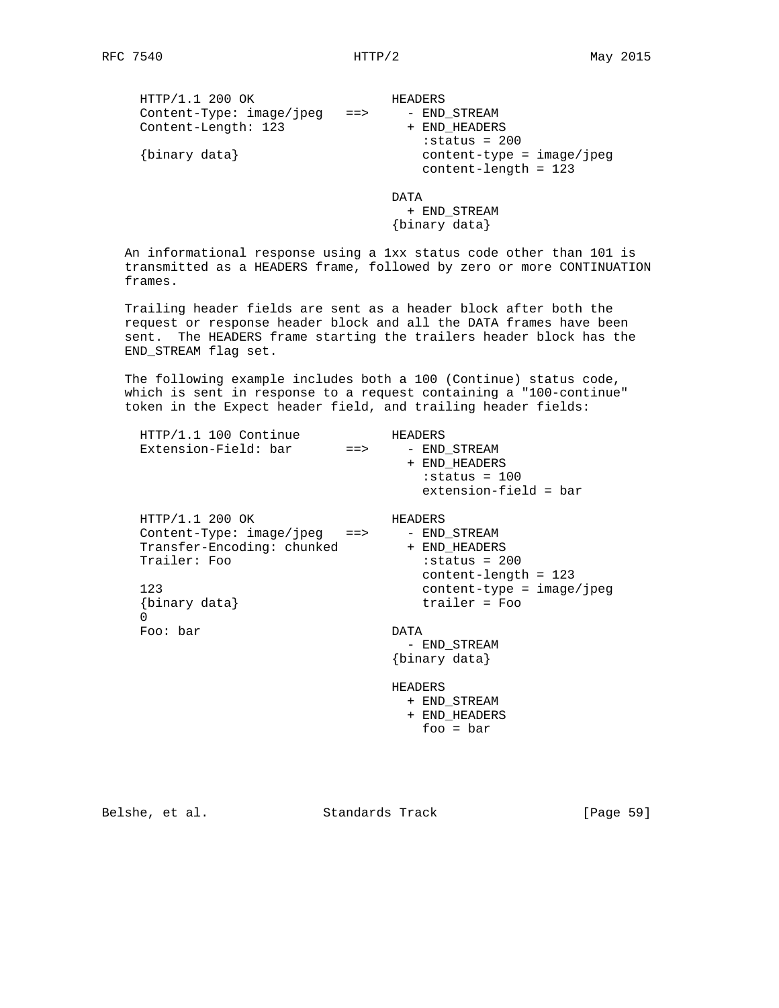| HTTP/1.1 200 OK          |             | HEADERS                                                                      |
|--------------------------|-------------|------------------------------------------------------------------------------|
| Content-Type: image/jpeg | $=$ $=$ $>$ | - END STREAM                                                                 |
| Content-Length: 123      |             | + END HEADERS                                                                |
| {binary data}            |             | $:$ status = 200<br>$content-type = image / ipeq$<br>$content$ -length = 123 |
|                          |             | מ⊤∆ת                                                                         |

 + END\_STREAM {binary data}

 An informational response using a 1xx status code other than 101 is transmitted as a HEADERS frame, followed by zero or more CONTINUATION frames.

 Trailing header fields are sent as a header block after both the request or response header block and all the DATA frames have been sent. The HEADERS frame starting the trailers header block has the END\_STREAM flag set.

 The following example includes both a 100 (Continue) status code, which is sent in response to a request containing a "100-continue" token in the Expect header field, and trailing header fields:

| HTTP/1.1 100 Continue<br>Extension-Field: bar ==>                                                                                          | HEADERS<br>- END_STREAM<br>+ END HEADERS<br>$:$ status = 100<br>extension-field = bar                                       |
|--------------------------------------------------------------------------------------------------------------------------------------------|-----------------------------------------------------------------------------------------------------------------------------|
| HTTP/1.1 200 OK<br>$Content-Type: image/ipeq$ ==><br>Transfer-Encoding: chunked + END HEADERS<br>Trailer: Foo<br>123<br>{binary data}<br>0 | HEADERS<br>- END STREAM<br>$: status = 200$<br>$content$ -length = 123<br>$content-type = image/ipeq$<br>$triangleer = Foo$ |
| Foo: bar                                                                                                                                   | DATA<br>- END_STREAM<br>{binary data}<br>HEADERS<br>+ END_STREAM<br>+ END HEADERS                                           |
|                                                                                                                                            | foo = $bar$                                                                                                                 |

Belshe, et al. Standards Track [Page 59]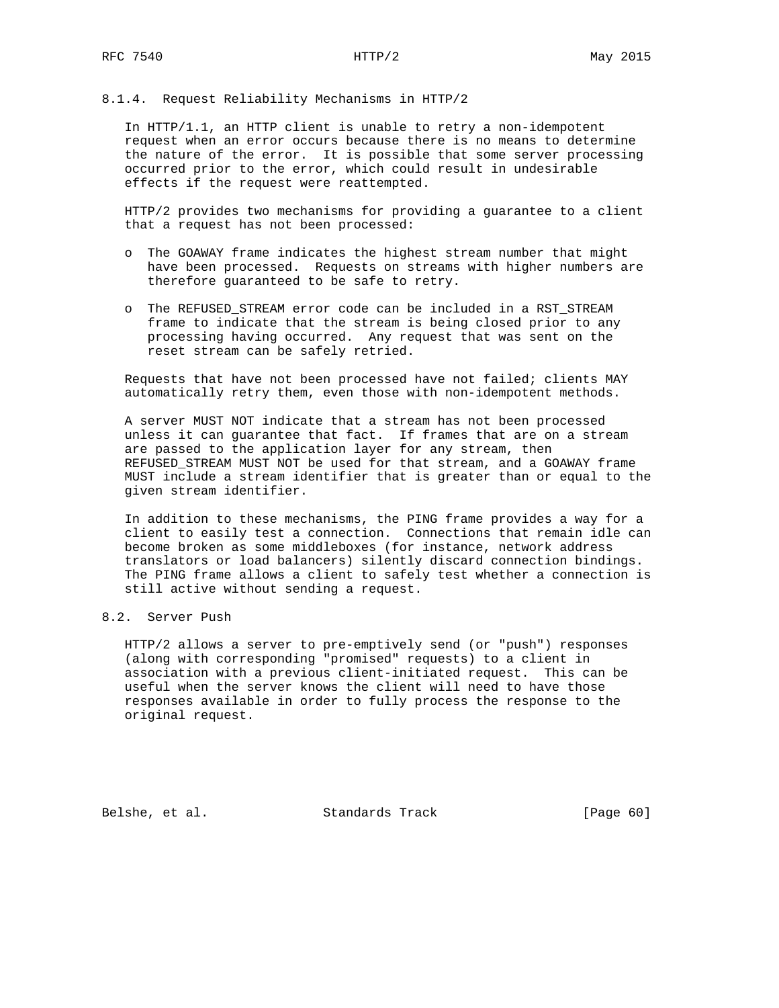### 8.1.4. Request Reliability Mechanisms in HTTP/2

 In HTTP/1.1, an HTTP client is unable to retry a non-idempotent request when an error occurs because there is no means to determine the nature of the error. It is possible that some server processing occurred prior to the error, which could result in undesirable effects if the request were reattempted.

 HTTP/2 provides two mechanisms for providing a guarantee to a client that a request has not been processed:

- o The GOAWAY frame indicates the highest stream number that might have been processed. Requests on streams with higher numbers are therefore guaranteed to be safe to retry.
- o The REFUSED\_STREAM error code can be included in a RST\_STREAM frame to indicate that the stream is being closed prior to any processing having occurred. Any request that was sent on the reset stream can be safely retried.

 Requests that have not been processed have not failed; clients MAY automatically retry them, even those with non-idempotent methods.

 A server MUST NOT indicate that a stream has not been processed unless it can guarantee that fact. If frames that are on a stream are passed to the application layer for any stream, then REFUSED\_STREAM MUST NOT be used for that stream, and a GOAWAY frame MUST include a stream identifier that is greater than or equal to the given stream identifier.

 In addition to these mechanisms, the PING frame provides a way for a client to easily test a connection. Connections that remain idle can become broken as some middleboxes (for instance, network address translators or load balancers) silently discard connection bindings. The PING frame allows a client to safely test whether a connection is still active without sending a request.

## 8.2. Server Push

 HTTP/2 allows a server to pre-emptively send (or "push") responses (along with corresponding "promised" requests) to a client in association with a previous client-initiated request. This can be useful when the server knows the client will need to have those responses available in order to fully process the response to the original request.

Belshe, et al. Standards Track [Page 60]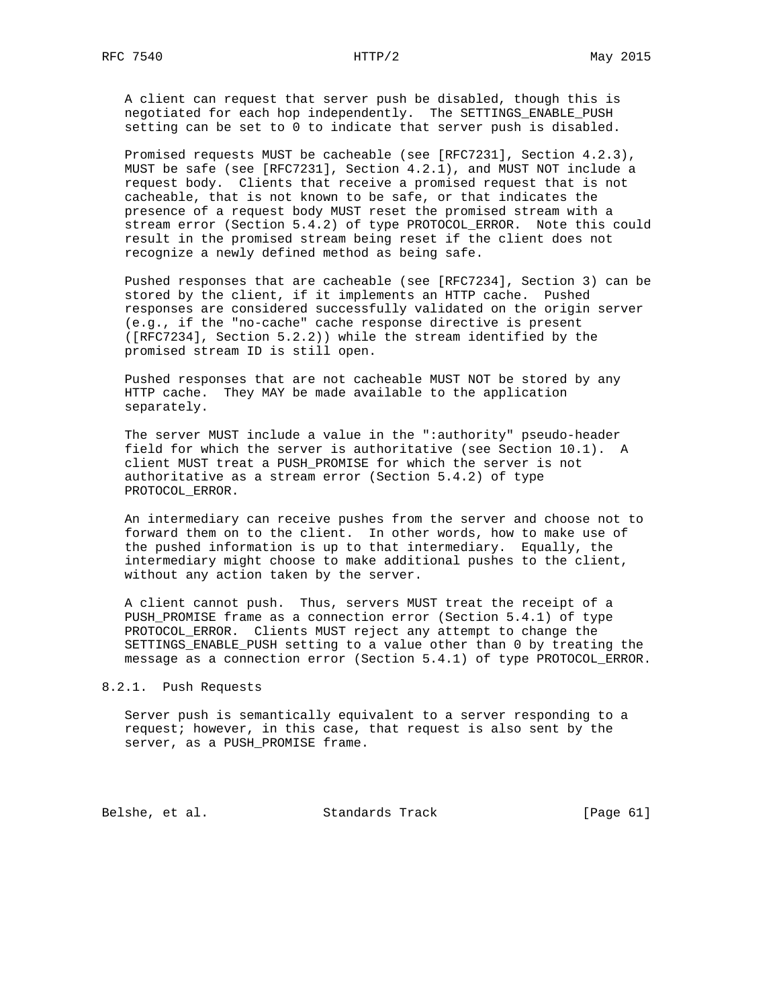A client can request that server push be disabled, though this is negotiated for each hop independently. The SETTINGS\_ENABLE\_PUSH setting can be set to 0 to indicate that server push is disabled.

 Promised requests MUST be cacheable (see [RFC7231], Section 4.2.3), MUST be safe (see [RFC7231], Section 4.2.1), and MUST NOT include a request body. Clients that receive a promised request that is not cacheable, that is not known to be safe, or that indicates the presence of a request body MUST reset the promised stream with a stream error (Section 5.4.2) of type PROTOCOL\_ERROR. Note this could result in the promised stream being reset if the client does not recognize a newly defined method as being safe.

 Pushed responses that are cacheable (see [RFC7234], Section 3) can be stored by the client, if it implements an HTTP cache. Pushed responses are considered successfully validated on the origin server (e.g., if the "no-cache" cache response directive is present ([RFC7234], Section 5.2.2)) while the stream identified by the promised stream ID is still open.

 Pushed responses that are not cacheable MUST NOT be stored by any HTTP cache. They MAY be made available to the application separately.

 The server MUST include a value in the ":authority" pseudo-header field for which the server is authoritative (see Section 10.1). A client MUST treat a PUSH\_PROMISE for which the server is not authoritative as a stream error (Section 5.4.2) of type PROTOCOL\_ERROR.

 An intermediary can receive pushes from the server and choose not to forward them on to the client. In other words, how to make use of the pushed information is up to that intermediary. Equally, the intermediary might choose to make additional pushes to the client, without any action taken by the server.

 A client cannot push. Thus, servers MUST treat the receipt of a PUSH\_PROMISE frame as a connection error (Section 5.4.1) of type PROTOCOL\_ERROR. Clients MUST reject any attempt to change the SETTINGS\_ENABLE\_PUSH setting to a value other than 0 by treating the message as a connection error (Section 5.4.1) of type PROTOCOL\_ERROR.

8.2.1. Push Requests

 Server push is semantically equivalent to a server responding to a request; however, in this case, that request is also sent by the server, as a PUSH\_PROMISE frame.

Belshe, et al. Standards Track [Page 61]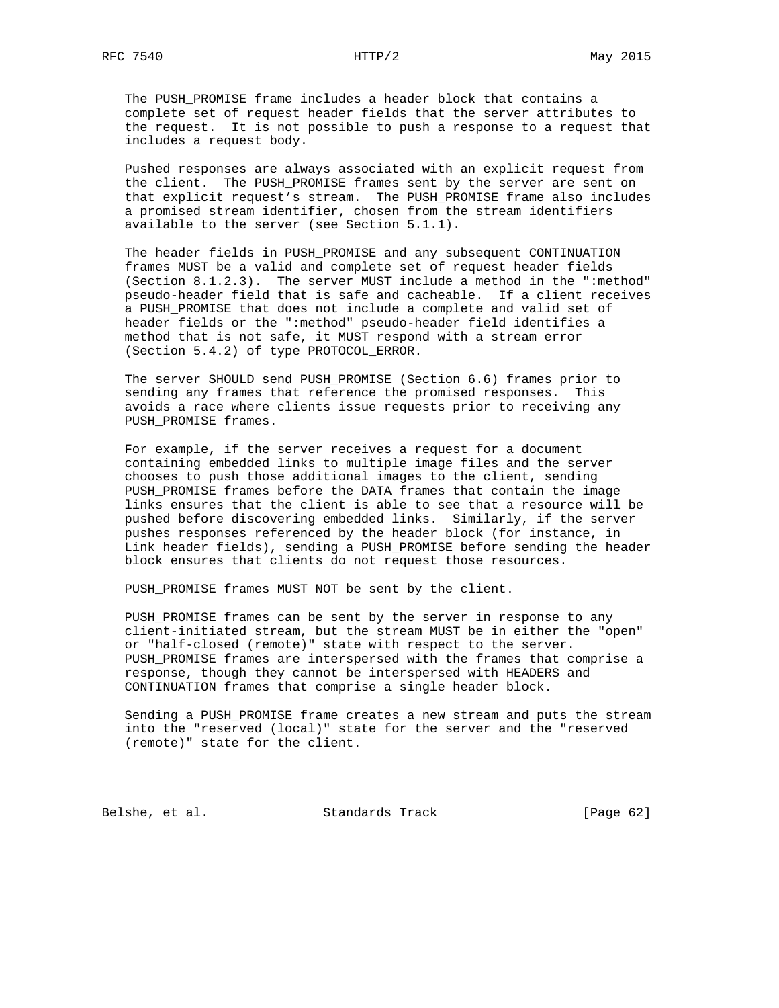The PUSH\_PROMISE frame includes a header block that contains a complete set of request header fields that the server attributes to the request. It is not possible to push a response to a request that includes a request body.

 Pushed responses are always associated with an explicit request from the client. The PUSH\_PROMISE frames sent by the server are sent on that explicit request's stream. The PUSH\_PROMISE frame also includes a promised stream identifier, chosen from the stream identifiers available to the server (see Section 5.1.1).

 The header fields in PUSH\_PROMISE and any subsequent CONTINUATION frames MUST be a valid and complete set of request header fields (Section 8.1.2.3). The server MUST include a method in the ":method" pseudo-header field that is safe and cacheable. If a client receives a PUSH\_PROMISE that does not include a complete and valid set of header fields or the ":method" pseudo-header field identifies a method that is not safe, it MUST respond with a stream error (Section 5.4.2) of type PROTOCOL\_ERROR.

 The server SHOULD send PUSH\_PROMISE (Section 6.6) frames prior to sending any frames that reference the promised responses. This avoids a race where clients issue requests prior to receiving any PUSH\_PROMISE frames.

 For example, if the server receives a request for a document containing embedded links to multiple image files and the server chooses to push those additional images to the client, sending PUSH\_PROMISE frames before the DATA frames that contain the image links ensures that the client is able to see that a resource will be pushed before discovering embedded links. Similarly, if the server pushes responses referenced by the header block (for instance, in Link header fields), sending a PUSH\_PROMISE before sending the header block ensures that clients do not request those resources.

PUSH\_PROMISE frames MUST NOT be sent by the client.

 PUSH\_PROMISE frames can be sent by the server in response to any client-initiated stream, but the stream MUST be in either the "open" or "half-closed (remote)" state with respect to the server. PUSH\_PROMISE frames are interspersed with the frames that comprise a response, though they cannot be interspersed with HEADERS and CONTINUATION frames that comprise a single header block.

 Sending a PUSH\_PROMISE frame creates a new stream and puts the stream into the "reserved (local)" state for the server and the "reserved (remote)" state for the client.

Belshe, et al. Standards Track [Page 62]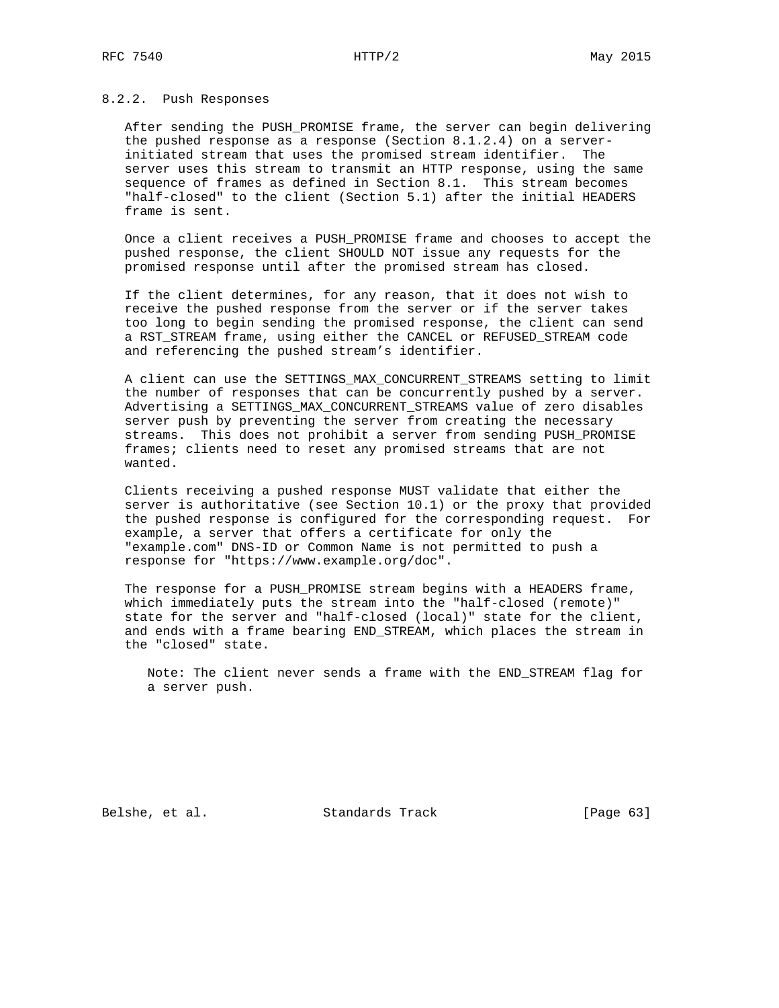### 8.2.2. Push Responses

 After sending the PUSH\_PROMISE frame, the server can begin delivering the pushed response as a response (Section 8.1.2.4) on a server initiated stream that uses the promised stream identifier. The server uses this stream to transmit an HTTP response, using the same sequence of frames as defined in Section 8.1. This stream becomes "half-closed" to the client (Section 5.1) after the initial HEADERS frame is sent.

 Once a client receives a PUSH\_PROMISE frame and chooses to accept the pushed response, the client SHOULD NOT issue any requests for the promised response until after the promised stream has closed.

 If the client determines, for any reason, that it does not wish to receive the pushed response from the server or if the server takes too long to begin sending the promised response, the client can send a RST\_STREAM frame, using either the CANCEL or REFUSED\_STREAM code and referencing the pushed stream's identifier.

 A client can use the SETTINGS\_MAX\_CONCURRENT\_STREAMS setting to limit the number of responses that can be concurrently pushed by a server. Advertising a SETTINGS\_MAX\_CONCURRENT\_STREAMS value of zero disables server push by preventing the server from creating the necessary streams. This does not prohibit a server from sending PUSH\_PROMISE frames; clients need to reset any promised streams that are not wanted.

 Clients receiving a pushed response MUST validate that either the server is authoritative (see Section 10.1) or the proxy that provided the pushed response is configured for the corresponding request. For example, a server that offers a certificate for only the "example.com" DNS-ID or Common Name is not permitted to push a response for "https://www.example.org/doc".

 The response for a PUSH\_PROMISE stream begins with a HEADERS frame, which immediately puts the stream into the "half-closed (remote)" state for the server and "half-closed (local)" state for the client, and ends with a frame bearing END\_STREAM, which places the stream in the "closed" state.

 Note: The client never sends a frame with the END\_STREAM flag for a server push.

Belshe, et al. Standards Track [Page 63]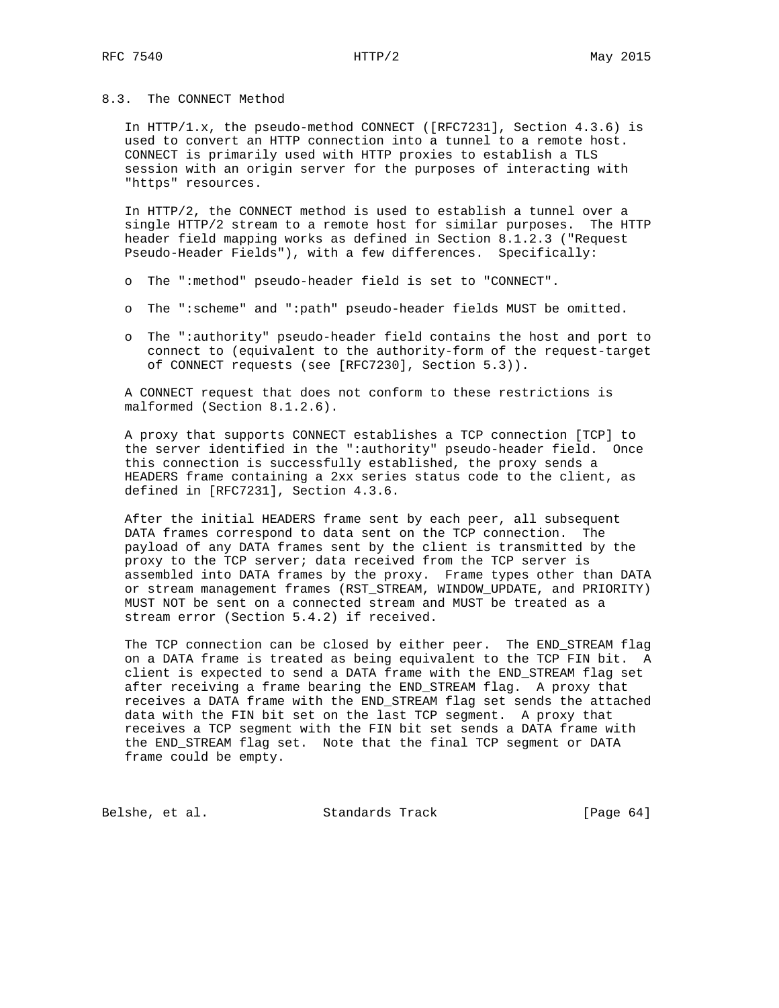### 8.3. The CONNECT Method

 In HTTP/1.x, the pseudo-method CONNECT ([RFC7231], Section 4.3.6) is used to convert an HTTP connection into a tunnel to a remote host. CONNECT is primarily used with HTTP proxies to establish a TLS session with an origin server for the purposes of interacting with "https" resources.

 In HTTP/2, the CONNECT method is used to establish a tunnel over a single HTTP/2 stream to a remote host for similar purposes. The HTTP header field mapping works as defined in Section 8.1.2.3 ("Request Pseudo-Header Fields"), with a few differences. Specifically:

- o The ":method" pseudo-header field is set to "CONNECT".
- o The ":scheme" and ":path" pseudo-header fields MUST be omitted.
- o The ":authority" pseudo-header field contains the host and port to connect to (equivalent to the authority-form of the request-target of CONNECT requests (see [RFC7230], Section 5.3)).

 A CONNECT request that does not conform to these restrictions is malformed (Section 8.1.2.6).

 A proxy that supports CONNECT establishes a TCP connection [TCP] to the server identified in the ":authority" pseudo-header field. Once this connection is successfully established, the proxy sends a HEADERS frame containing a 2xx series status code to the client, as defined in [RFC7231], Section 4.3.6.

 After the initial HEADERS frame sent by each peer, all subsequent DATA frames correspond to data sent on the TCP connection. The payload of any DATA frames sent by the client is transmitted by the proxy to the TCP server; data received from the TCP server is assembled into DATA frames by the proxy. Frame types other than DATA or stream management frames (RST\_STREAM, WINDOW\_UPDATE, and PRIORITY) MUST NOT be sent on a connected stream and MUST be treated as a stream error (Section 5.4.2) if received.

 The TCP connection can be closed by either peer. The END\_STREAM flag on a DATA frame is treated as being equivalent to the TCP FIN bit. A client is expected to send a DATA frame with the END\_STREAM flag set after receiving a frame bearing the END\_STREAM flag. A proxy that receives a DATA frame with the END\_STREAM flag set sends the attached data with the FIN bit set on the last TCP segment. A proxy that receives a TCP segment with the FIN bit set sends a DATA frame with the END\_STREAM flag set. Note that the final TCP segment or DATA frame could be empty.

Belshe, et al. Standards Track [Page 64]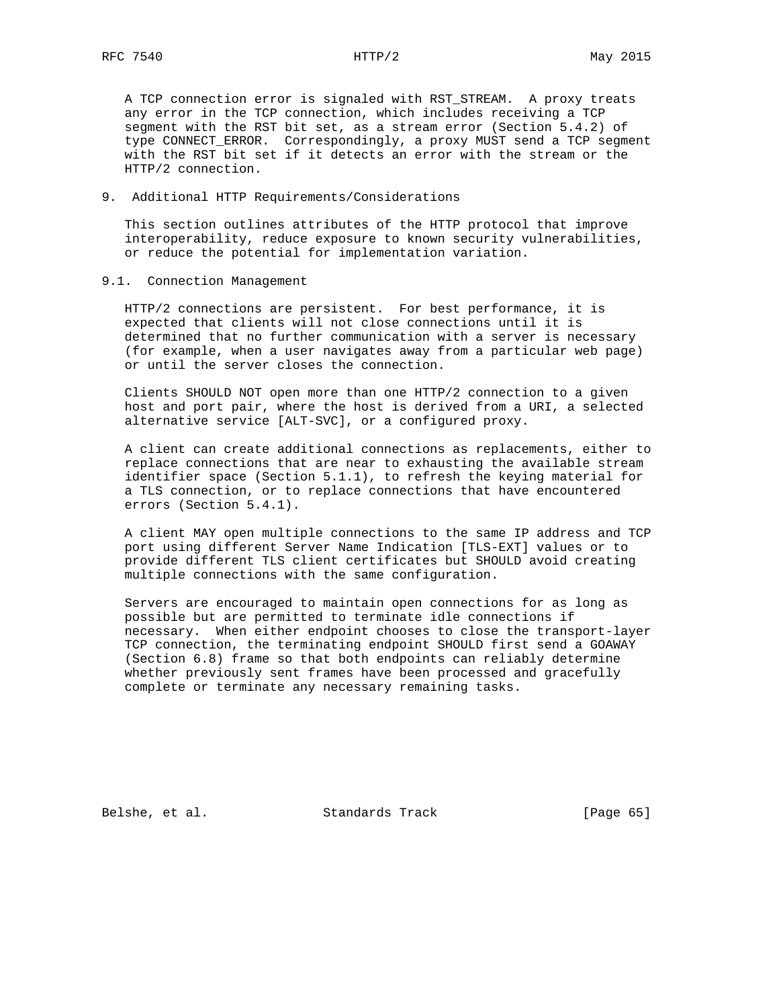A TCP connection error is signaled with RST\_STREAM. A proxy treats any error in the TCP connection, which includes receiving a TCP segment with the RST bit set, as a stream error (Section 5.4.2) of type CONNECT\_ERROR. Correspondingly, a proxy MUST send a TCP segment with the RST bit set if it detects an error with the stream or the HTTP/2 connection.

#### 9. Additional HTTP Requirements/Considerations

 This section outlines attributes of the HTTP protocol that improve interoperability, reduce exposure to known security vulnerabilities, or reduce the potential for implementation variation.

#### 9.1. Connection Management

 HTTP/2 connections are persistent. For best performance, it is expected that clients will not close connections until it is determined that no further communication with a server is necessary (for example, when a user navigates away from a particular web page) or until the server closes the connection.

 Clients SHOULD NOT open more than one HTTP/2 connection to a given host and port pair, where the host is derived from a URI, a selected alternative service [ALT-SVC], or a configured proxy.

 A client can create additional connections as replacements, either to replace connections that are near to exhausting the available stream identifier space (Section 5.1.1), to refresh the keying material for a TLS connection, or to replace connections that have encountered errors (Section 5.4.1).

 A client MAY open multiple connections to the same IP address and TCP port using different Server Name Indication [TLS-EXT] values or to provide different TLS client certificates but SHOULD avoid creating multiple connections with the same configuration.

 Servers are encouraged to maintain open connections for as long as possible but are permitted to terminate idle connections if necessary. When either endpoint chooses to close the transport-layer TCP connection, the terminating endpoint SHOULD first send a GOAWAY (Section 6.8) frame so that both endpoints can reliably determine whether previously sent frames have been processed and gracefully complete or terminate any necessary remaining tasks.

Belshe, et al. Standards Track [Page 65]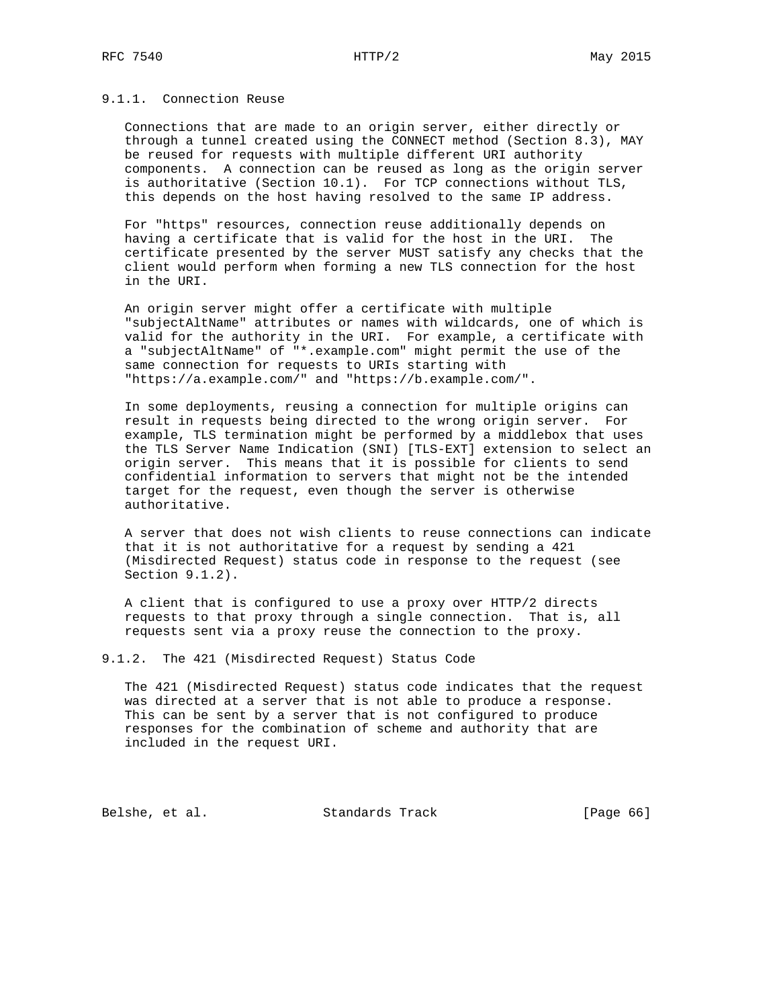## 9.1.1. Connection Reuse

 Connections that are made to an origin server, either directly or through a tunnel created using the CONNECT method (Section 8.3), MAY be reused for requests with multiple different URI authority components. A connection can be reused as long as the origin server is authoritative (Section 10.1). For TCP connections without TLS, this depends on the host having resolved to the same IP address.

 For "https" resources, connection reuse additionally depends on having a certificate that is valid for the host in the URI. The certificate presented by the server MUST satisfy any checks that the client would perform when forming a new TLS connection for the host in the URI.

 An origin server might offer a certificate with multiple "subjectAltName" attributes or names with wildcards, one of which is valid for the authority in the URI. For example, a certificate with a "subjectAltName" of "\*.example.com" might permit the use of the same connection for requests to URIs starting with "https://a.example.com/" and "https://b.example.com/".

 In some deployments, reusing a connection for multiple origins can result in requests being directed to the wrong origin server. For example, TLS termination might be performed by a middlebox that uses the TLS Server Name Indication (SNI) [TLS-EXT] extension to select an origin server. This means that it is possible for clients to send confidential information to servers that might not be the intended target for the request, even though the server is otherwise authoritative.

 A server that does not wish clients to reuse connections can indicate that it is not authoritative for a request by sending a 421 (Misdirected Request) status code in response to the request (see Section 9.1.2).

 A client that is configured to use a proxy over HTTP/2 directs requests to that proxy through a single connection. That is, all requests sent via a proxy reuse the connection to the proxy.

9.1.2. The 421 (Misdirected Request) Status Code

 The 421 (Misdirected Request) status code indicates that the request was directed at a server that is not able to produce a response. This can be sent by a server that is not configured to produce responses for the combination of scheme and authority that are included in the request URI.

Belshe, et al. Standards Track [Page 66]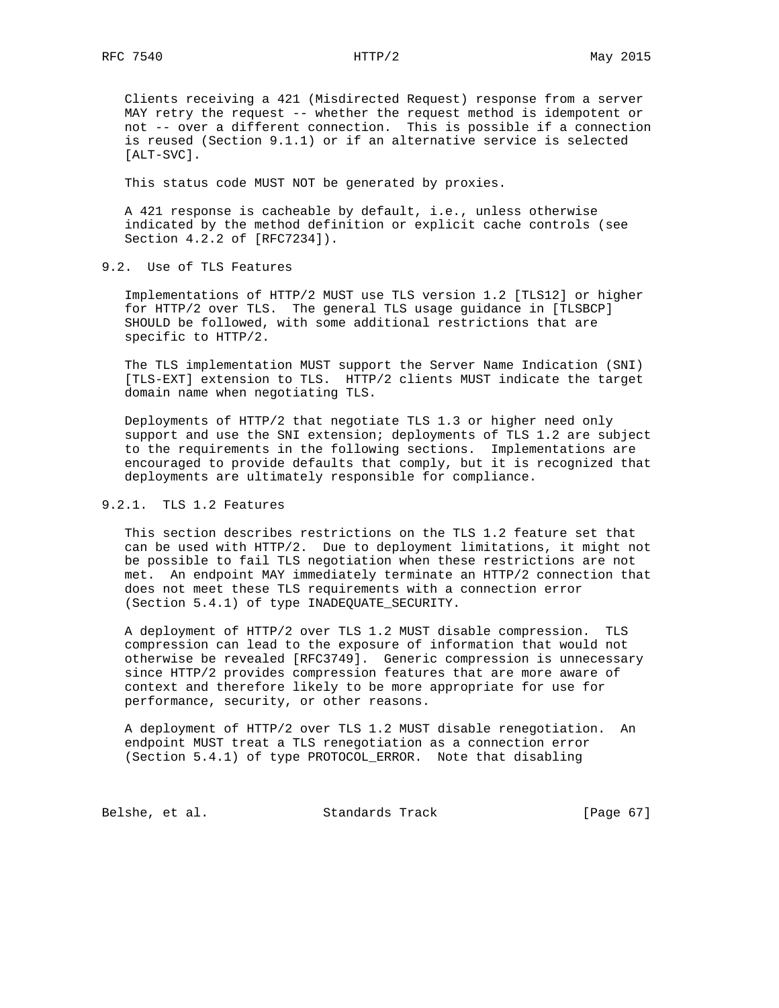Clients receiving a 421 (Misdirected Request) response from a server MAY retry the request -- whether the request method is idempotent or not -- over a different connection. This is possible if a connection is reused (Section 9.1.1) or if an alternative service is selected [ALT-SVC].

This status code MUST NOT be generated by proxies.

 A 421 response is cacheable by default, i.e., unless otherwise indicated by the method definition or explicit cache controls (see Section 4.2.2 of [RFC7234]).

9.2. Use of TLS Features

 Implementations of HTTP/2 MUST use TLS version 1.2 [TLS12] or higher for HTTP/2 over TLS. The general TLS usage guidance in [TLSBCP] SHOULD be followed, with some additional restrictions that are specific to HTTP/2.

 The TLS implementation MUST support the Server Name Indication (SNI) [TLS-EXT] extension to TLS. HTTP/2 clients MUST indicate the target domain name when negotiating TLS.

 Deployments of HTTP/2 that negotiate TLS 1.3 or higher need only support and use the SNI extension; deployments of TLS 1.2 are subject to the requirements in the following sections. Implementations are encouraged to provide defaults that comply, but it is recognized that deployments are ultimately responsible for compliance.

# 9.2.1. TLS 1.2 Features

 This section describes restrictions on the TLS 1.2 feature set that can be used with HTTP/2. Due to deployment limitations, it might not be possible to fail TLS negotiation when these restrictions are not met. An endpoint MAY immediately terminate an HTTP/2 connection that does not meet these TLS requirements with a connection error (Section 5.4.1) of type INADEQUATE\_SECURITY.

 A deployment of HTTP/2 over TLS 1.2 MUST disable compression. TLS compression can lead to the exposure of information that would not otherwise be revealed [RFC3749]. Generic compression is unnecessary since HTTP/2 provides compression features that are more aware of context and therefore likely to be more appropriate for use for performance, security, or other reasons.

 A deployment of HTTP/2 over TLS 1.2 MUST disable renegotiation. An endpoint MUST treat a TLS renegotiation as a connection error (Section 5.4.1) of type PROTOCOL\_ERROR. Note that disabling

Belshe, et al. Standards Track [Page 67]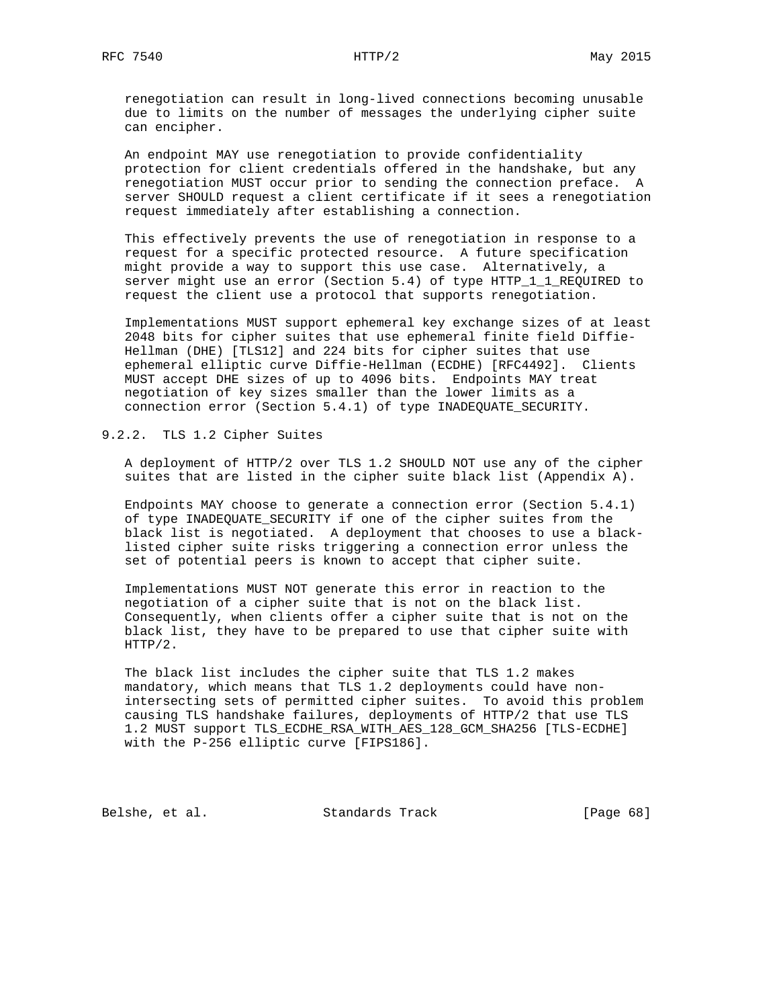renegotiation can result in long-lived connections becoming unusable due to limits on the number of messages the underlying cipher suite can encipher.

 An endpoint MAY use renegotiation to provide confidentiality protection for client credentials offered in the handshake, but any renegotiation MUST occur prior to sending the connection preface. A server SHOULD request a client certificate if it sees a renegotiation request immediately after establishing a connection.

 This effectively prevents the use of renegotiation in response to a request for a specific protected resource. A future specification might provide a way to support this use case. Alternatively, a server might use an error (Section 5.4) of type HTTP\_1\_1\_REQUIRED to request the client use a protocol that supports renegotiation.

 Implementations MUST support ephemeral key exchange sizes of at least 2048 bits for cipher suites that use ephemeral finite field Diffie- Hellman (DHE) [TLS12] and 224 bits for cipher suites that use ephemeral elliptic curve Diffie-Hellman (ECDHE) [RFC4492]. Clients MUST accept DHE sizes of up to 4096 bits. Endpoints MAY treat negotiation of key sizes smaller than the lower limits as a connection error (Section 5.4.1) of type INADEQUATE\_SECURITY.

9.2.2. TLS 1.2 Cipher Suites

 A deployment of HTTP/2 over TLS 1.2 SHOULD NOT use any of the cipher suites that are listed in the cipher suite black list (Appendix A).

 Endpoints MAY choose to generate a connection error (Section 5.4.1) of type INADEQUATE\_SECURITY if one of the cipher suites from the black list is negotiated. A deployment that chooses to use a black listed cipher suite risks triggering a connection error unless the set of potential peers is known to accept that cipher suite.

 Implementations MUST NOT generate this error in reaction to the negotiation of a cipher suite that is not on the black list. Consequently, when clients offer a cipher suite that is not on the black list, they have to be prepared to use that cipher suite with HTTP/2.

 The black list includes the cipher suite that TLS 1.2 makes mandatory, which means that TLS 1.2 deployments could have non intersecting sets of permitted cipher suites. To avoid this problem causing TLS handshake failures, deployments of HTTP/2 that use TLS 1.2 MUST support TLS\_ECDHE\_RSA\_WITH\_AES\_128\_GCM\_SHA256 [TLS-ECDHE] with the P-256 elliptic curve [FIPS186].

Belshe, et al. Standards Track [Page 68]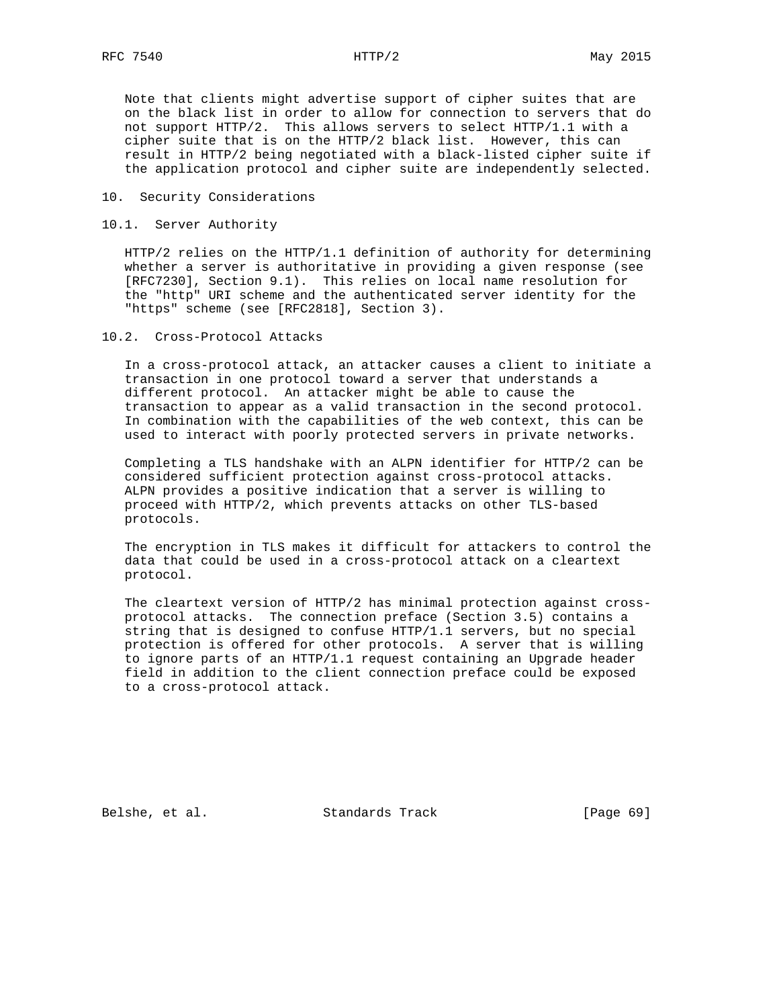Note that clients might advertise support of cipher suites that are on the black list in order to allow for connection to servers that do not support HTTP/2. This allows servers to select HTTP/1.1 with a cipher suite that is on the HTTP/2 black list. However, this can result in HTTP/2 being negotiated with a black-listed cipher suite if the application protocol and cipher suite are independently selected.

#### 10. Security Considerations

### 10.1. Server Authority

 HTTP/2 relies on the HTTP/1.1 definition of authority for determining whether a server is authoritative in providing a given response (see [RFC7230], Section 9.1). This relies on local name resolution for the "http" URI scheme and the authenticated server identity for the "https" scheme (see [RFC2818], Section 3).

## 10.2. Cross-Protocol Attacks

 In a cross-protocol attack, an attacker causes a client to initiate a transaction in one protocol toward a server that understands a different protocol. An attacker might be able to cause the transaction to appear as a valid transaction in the second protocol. In combination with the capabilities of the web context, this can be used to interact with poorly protected servers in private networks.

 Completing a TLS handshake with an ALPN identifier for HTTP/2 can be considered sufficient protection against cross-protocol attacks. ALPN provides a positive indication that a server is willing to proceed with HTTP/2, which prevents attacks on other TLS-based protocols.

 The encryption in TLS makes it difficult for attackers to control the data that could be used in a cross-protocol attack on a cleartext protocol.

 The cleartext version of HTTP/2 has minimal protection against cross protocol attacks. The connection preface (Section 3.5) contains a string that is designed to confuse HTTP/1.1 servers, but no special protection is offered for other protocols. A server that is willing to ignore parts of an HTTP/1.1 request containing an Upgrade header field in addition to the client connection preface could be exposed to a cross-protocol attack.

Belshe, et al. Standards Track [Page 69]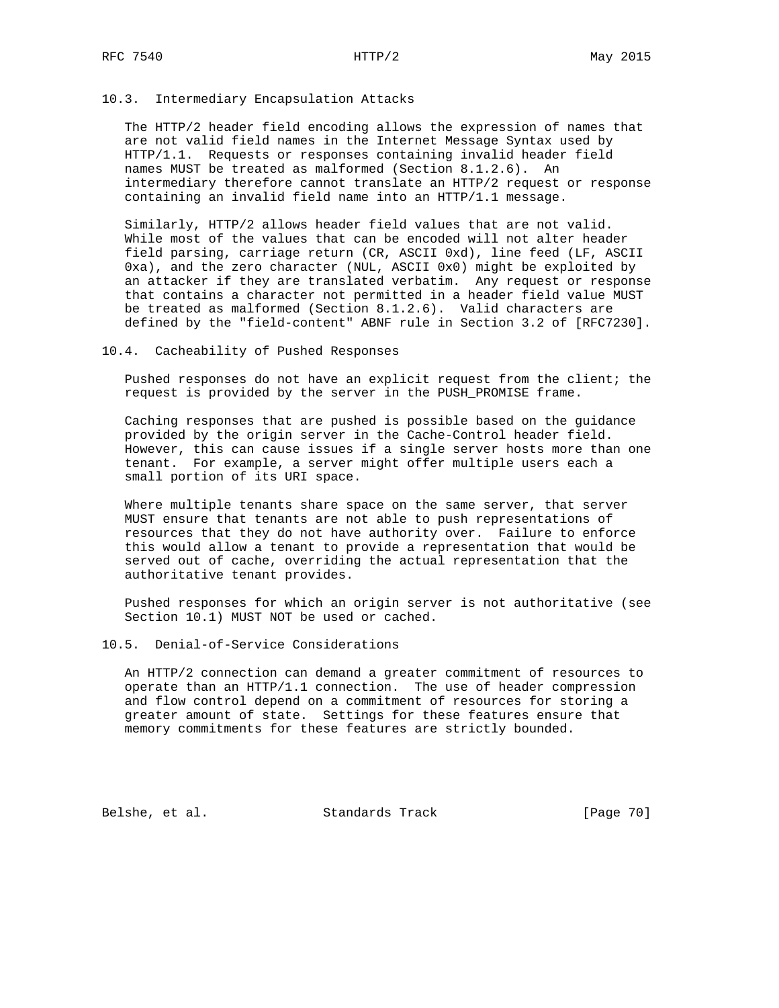### 10.3. Intermediary Encapsulation Attacks

 The HTTP/2 header field encoding allows the expression of names that are not valid field names in the Internet Message Syntax used by HTTP/1.1. Requests or responses containing invalid header field names MUST be treated as malformed (Section 8.1.2.6). An intermediary therefore cannot translate an HTTP/2 request or response containing an invalid field name into an HTTP/1.1 message.

 Similarly, HTTP/2 allows header field values that are not valid. While most of the values that can be encoded will not alter header field parsing, carriage return (CR, ASCII 0xd), line feed (LF, ASCII 0xa), and the zero character (NUL, ASCII 0x0) might be exploited by an attacker if they are translated verbatim. Any request or response that contains a character not permitted in a header field value MUST be treated as malformed (Section 8.1.2.6). Valid characters are defined by the "field-content" ABNF rule in Section 3.2 of [RFC7230].

#### 10.4. Cacheability of Pushed Responses

 Pushed responses do not have an explicit request from the client; the request is provided by the server in the PUSH\_PROMISE frame.

 Caching responses that are pushed is possible based on the guidance provided by the origin server in the Cache-Control header field. However, this can cause issues if a single server hosts more than one tenant. For example, a server might offer multiple users each a small portion of its URI space.

 Where multiple tenants share space on the same server, that server MUST ensure that tenants are not able to push representations of resources that they do not have authority over. Failure to enforce this would allow a tenant to provide a representation that would be served out of cache, overriding the actual representation that the authoritative tenant provides.

 Pushed responses for which an origin server is not authoritative (see Section 10.1) MUST NOT be used or cached.

#### 10.5. Denial-of-Service Considerations

 An HTTP/2 connection can demand a greater commitment of resources to operate than an HTTP/1.1 connection. The use of header compression and flow control depend on a commitment of resources for storing a greater amount of state. Settings for these features ensure that memory commitments for these features are strictly bounded.

Belshe, et al. Standards Track [Page 70]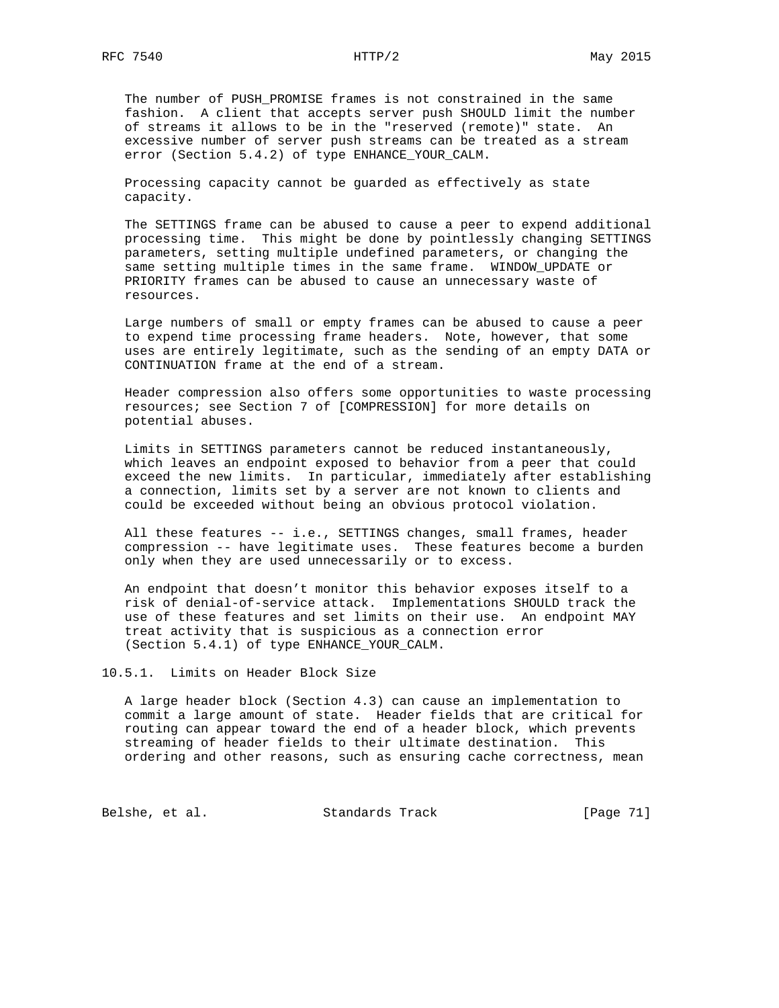The number of PUSH\_PROMISE frames is not constrained in the same fashion. A client that accepts server push SHOULD limit the number of streams it allows to be in the "reserved (remote)" state. An excessive number of server push streams can be treated as a stream error (Section 5.4.2) of type ENHANCE\_YOUR\_CALM.

 Processing capacity cannot be guarded as effectively as state capacity.

 The SETTINGS frame can be abused to cause a peer to expend additional processing time. This might be done by pointlessly changing SETTINGS parameters, setting multiple undefined parameters, or changing the same setting multiple times in the same frame. WINDOW\_UPDATE or PRIORITY frames can be abused to cause an unnecessary waste of resources.

 Large numbers of small or empty frames can be abused to cause a peer to expend time processing frame headers. Note, however, that some uses are entirely legitimate, such as the sending of an empty DATA or CONTINUATION frame at the end of a stream.

 Header compression also offers some opportunities to waste processing resources; see Section 7 of [COMPRESSION] for more details on potential abuses.

 Limits in SETTINGS parameters cannot be reduced instantaneously, which leaves an endpoint exposed to behavior from a peer that could exceed the new limits. In particular, immediately after establishing a connection, limits set by a server are not known to clients and could be exceeded without being an obvious protocol violation.

 All these features -- i.e., SETTINGS changes, small frames, header compression -- have legitimate uses. These features become a burden only when they are used unnecessarily or to excess.

 An endpoint that doesn't monitor this behavior exposes itself to a risk of denial-of-service attack. Implementations SHOULD track the use of these features and set limits on their use. An endpoint MAY treat activity that is suspicious as a connection error (Section 5.4.1) of type ENHANCE\_YOUR\_CALM.

10.5.1. Limits on Header Block Size

 A large header block (Section 4.3) can cause an implementation to commit a large amount of state. Header fields that are critical for routing can appear toward the end of a header block, which prevents streaming of header fields to their ultimate destination. This ordering and other reasons, such as ensuring cache correctness, mean

Belshe, et al. Standards Track [Page 71]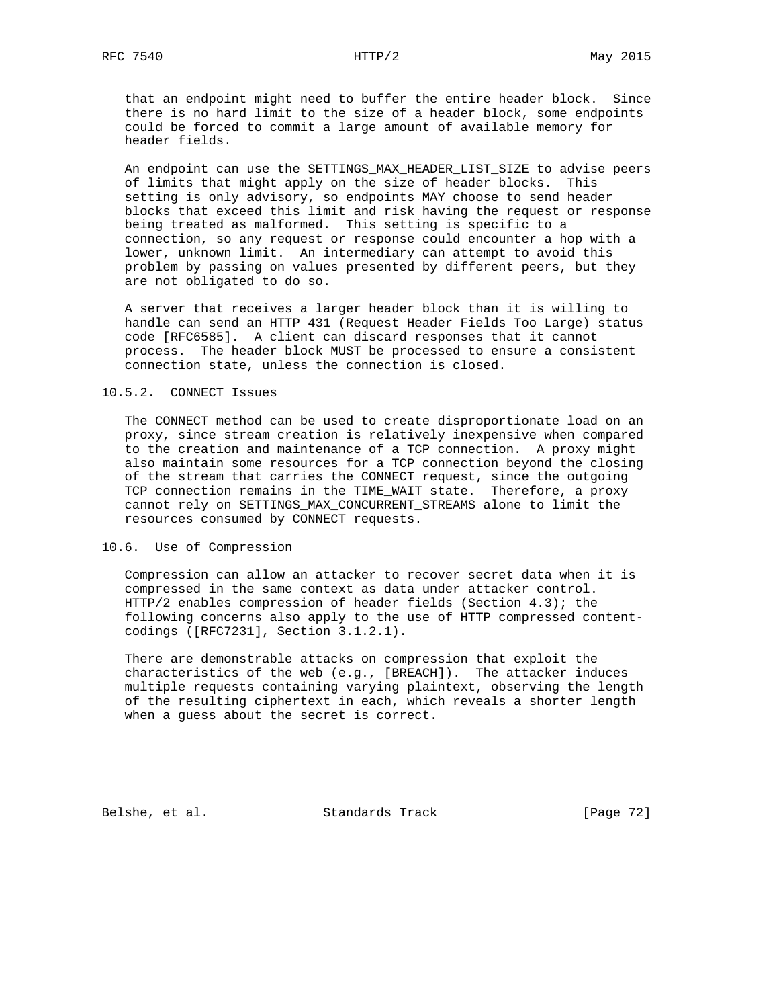that an endpoint might need to buffer the entire header block. Since there is no hard limit to the size of a header block, some endpoints could be forced to commit a large amount of available memory for header fields.

 An endpoint can use the SETTINGS\_MAX\_HEADER\_LIST\_SIZE to advise peers of limits that might apply on the size of header blocks. This setting is only advisory, so endpoints MAY choose to send header blocks that exceed this limit and risk having the request or response being treated as malformed. This setting is specific to a connection, so any request or response could encounter a hop with a lower, unknown limit. An intermediary can attempt to avoid this problem by passing on values presented by different peers, but they are not obligated to do so.

 A server that receives a larger header block than it is willing to handle can send an HTTP 431 (Request Header Fields Too Large) status code [RFC6585]. A client can discard responses that it cannot process. The header block MUST be processed to ensure a consistent connection state, unless the connection is closed.

## 10.5.2. CONNECT Issues

 The CONNECT method can be used to create disproportionate load on an proxy, since stream creation is relatively inexpensive when compared to the creation and maintenance of a TCP connection. A proxy might also maintain some resources for a TCP connection beyond the closing of the stream that carries the CONNECT request, since the outgoing TCP connection remains in the TIME\_WAIT state. Therefore, a proxy cannot rely on SETTINGS\_MAX\_CONCURRENT\_STREAMS alone to limit the resources consumed by CONNECT requests.

## 10.6. Use of Compression

 Compression can allow an attacker to recover secret data when it is compressed in the same context as data under attacker control. HTTP/2 enables compression of header fields (Section 4.3); the following concerns also apply to the use of HTTP compressed content codings ([RFC7231], Section 3.1.2.1).

 There are demonstrable attacks on compression that exploit the characteristics of the web (e.g., [BREACH]). The attacker induces multiple requests containing varying plaintext, observing the length of the resulting ciphertext in each, which reveals a shorter length when a guess about the secret is correct.

Belshe, et al. Standards Track [Page 72]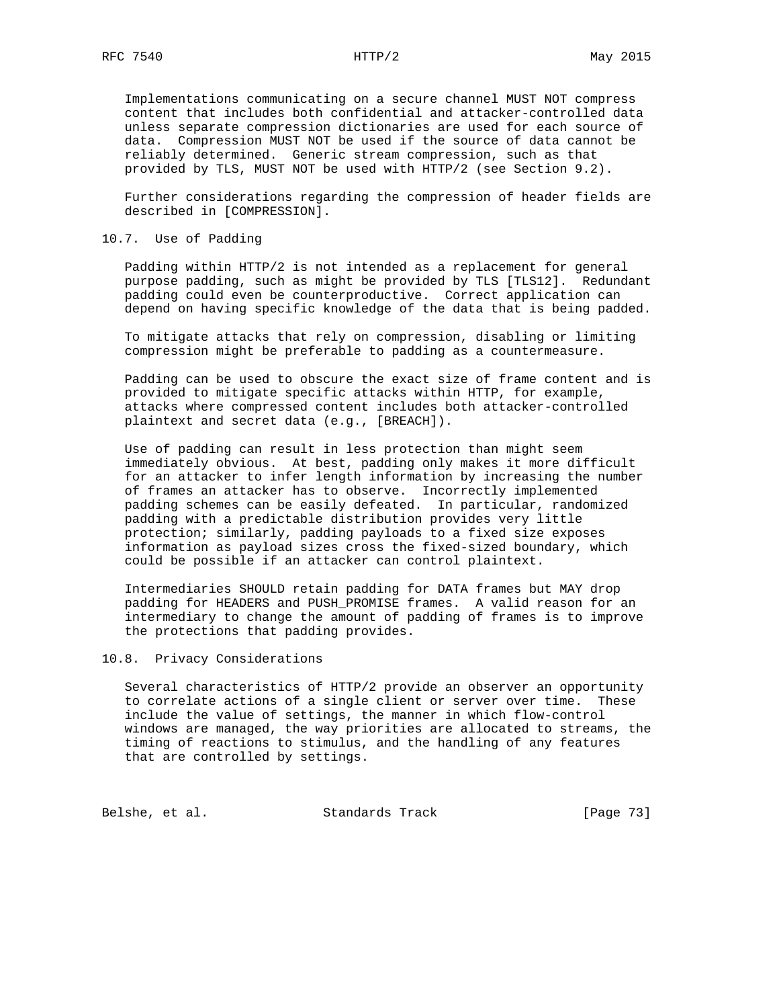Implementations communicating on a secure channel MUST NOT compress content that includes both confidential and attacker-controlled data unless separate compression dictionaries are used for each source of data. Compression MUST NOT be used if the source of data cannot be reliably determined. Generic stream compression, such as that provided by TLS, MUST NOT be used with HTTP/2 (see Section 9.2).

 Further considerations regarding the compression of header fields are described in [COMPRESSION].

## 10.7. Use of Padding

 Padding within HTTP/2 is not intended as a replacement for general purpose padding, such as might be provided by TLS [TLS12]. Redundant padding could even be counterproductive. Correct application can depend on having specific knowledge of the data that is being padded.

 To mitigate attacks that rely on compression, disabling or limiting compression might be preferable to padding as a countermeasure.

 Padding can be used to obscure the exact size of frame content and is provided to mitigate specific attacks within HTTP, for example, attacks where compressed content includes both attacker-controlled plaintext and secret data (e.g., [BREACH]).

 Use of padding can result in less protection than might seem immediately obvious. At best, padding only makes it more difficult for an attacker to infer length information by increasing the number of frames an attacker has to observe. Incorrectly implemented padding schemes can be easily defeated. In particular, randomized padding with a predictable distribution provides very little protection; similarly, padding payloads to a fixed size exposes information as payload sizes cross the fixed-sized boundary, which could be possible if an attacker can control plaintext.

 Intermediaries SHOULD retain padding for DATA frames but MAY drop padding for HEADERS and PUSH\_PROMISE frames. A valid reason for an intermediary to change the amount of padding of frames is to improve the protections that padding provides.

### 10.8. Privacy Considerations

 Several characteristics of HTTP/2 provide an observer an opportunity to correlate actions of a single client or server over time. These include the value of settings, the manner in which flow-control windows are managed, the way priorities are allocated to streams, the timing of reactions to stimulus, and the handling of any features that are controlled by settings.

Belshe, et al. Standards Track [Page 73]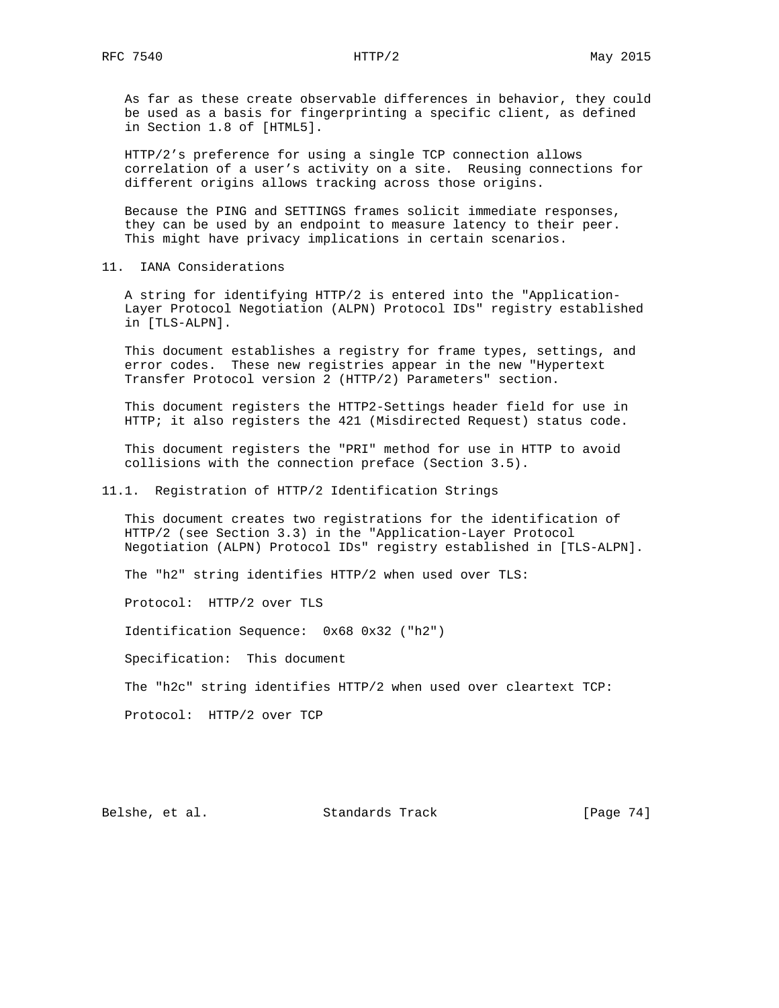As far as these create observable differences in behavior, they could be used as a basis for fingerprinting a specific client, as defined in Section 1.8 of [HTML5].

 HTTP/2's preference for using a single TCP connection allows correlation of a user's activity on a site. Reusing connections for different origins allows tracking across those origins.

 Because the PING and SETTINGS frames solicit immediate responses, they can be used by an endpoint to measure latency to their peer. This might have privacy implications in certain scenarios.

11. IANA Considerations

 A string for identifying HTTP/2 is entered into the "Application- Layer Protocol Negotiation (ALPN) Protocol IDs" registry established in [TLS-ALPN].

 This document establishes a registry for frame types, settings, and error codes. These new registries appear in the new "Hypertext Transfer Protocol version 2 (HTTP/2) Parameters" section.

 This document registers the HTTP2-Settings header field for use in HTTP; it also registers the 421 (Misdirected Request) status code.

 This document registers the "PRI" method for use in HTTP to avoid collisions with the connection preface (Section 3.5).

11.1. Registration of HTTP/2 Identification Strings

 This document creates two registrations for the identification of HTTP/2 (see Section 3.3) in the "Application-Layer Protocol Negotiation (ALPN) Protocol IDs" registry established in [TLS-ALPN].

The "h2" string identifies HTTP/2 when used over TLS:

Protocol: HTTP/2 over TLS

Identification Sequence: 0x68 0x32 ("h2")

Specification: This document

The "h2c" string identifies HTTP/2 when used over cleartext TCP:

Protocol: HTTP/2 over TCP

Belshe, et al. Standards Track [Page 74]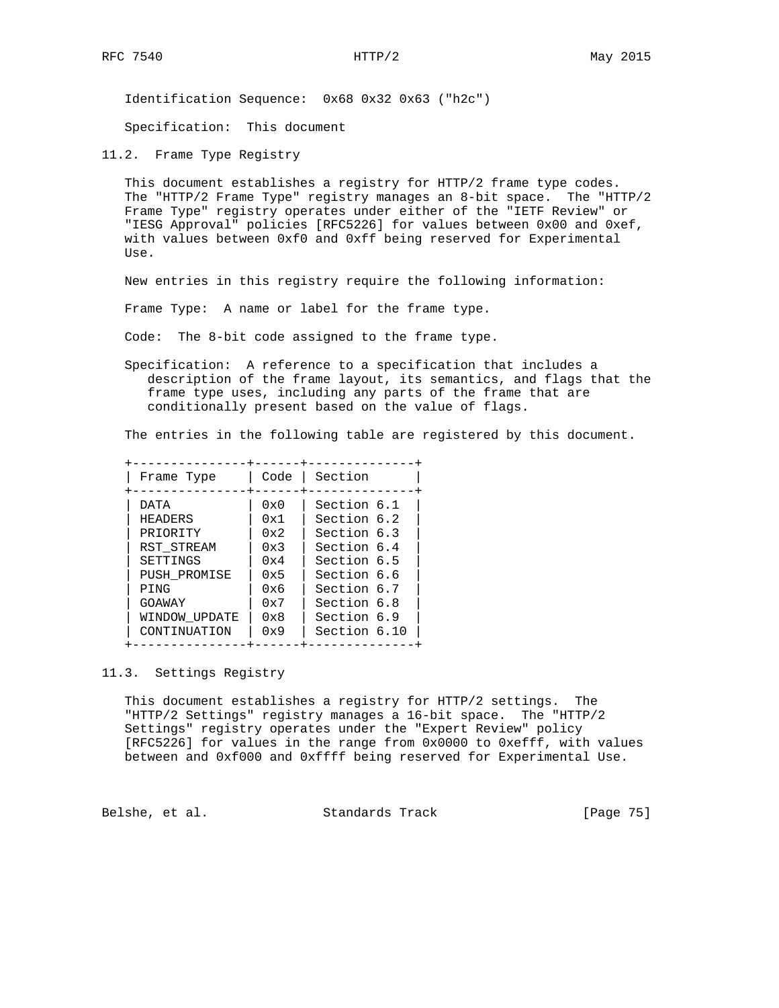Identification Sequence: 0x68 0x32 0x63 ("h2c")

Specification: This document

11.2. Frame Type Registry

 This document establishes a registry for HTTP/2 frame type codes. The "HTTP/2 Frame Type" registry manages an 8-bit space. The "HTTP/2 Frame Type" registry operates under either of the "IETF Review" or "IESG Approval" policies [RFC5226] for values between 0x00 and 0xef, with values between 0xf0 and 0xff being reserved for Experimental  $II$ Se

New entries in this registry require the following information:

Frame Type: A name or label for the frame type.

Code: The 8-bit code assigned to the frame type.

 Specification: A reference to a specification that includes a description of the frame layout, its semantics, and flags that the frame type uses, including any parts of the frame that are conditionally present based on the value of flags.

The entries in the following table are registered by this document.

| Frame Type     | Code         | Section      |
|----------------|--------------|--------------|
| DATA           | $0 \times 0$ | Section 6.1  |
| <b>HEADERS</b> | 0x1          | Section 6.2  |
| PRIORITY       | 0x2          | Section 6.3  |
| RST STREAM     | 0x3          | Section 6.4  |
| SETTINGS       | 0x4          | Section 6.5  |
| PUSH PROMISE   | 0x5          | Section 6.6  |
| PING           | 0x6          | Section 6.7  |
| GOAWAY         | 0x7          | Section 6.8  |
| WINDOW UPDATE  | $0 \times 8$ | Section 6.9  |
| CONTINUATION   | 0x9          | Section 6.10 |

# 11.3. Settings Registry

 This document establishes a registry for HTTP/2 settings. The "HTTP/2 Settings" registry manages a 16-bit space. The "HTTP/2 Settings" registry operates under the "Expert Review" policy [RFC5226] for values in the range from 0x0000 to 0xefff, with values between and 0xf000 and 0xffff being reserved for Experimental Use.

Belshe, et al. Standards Track [Page 75]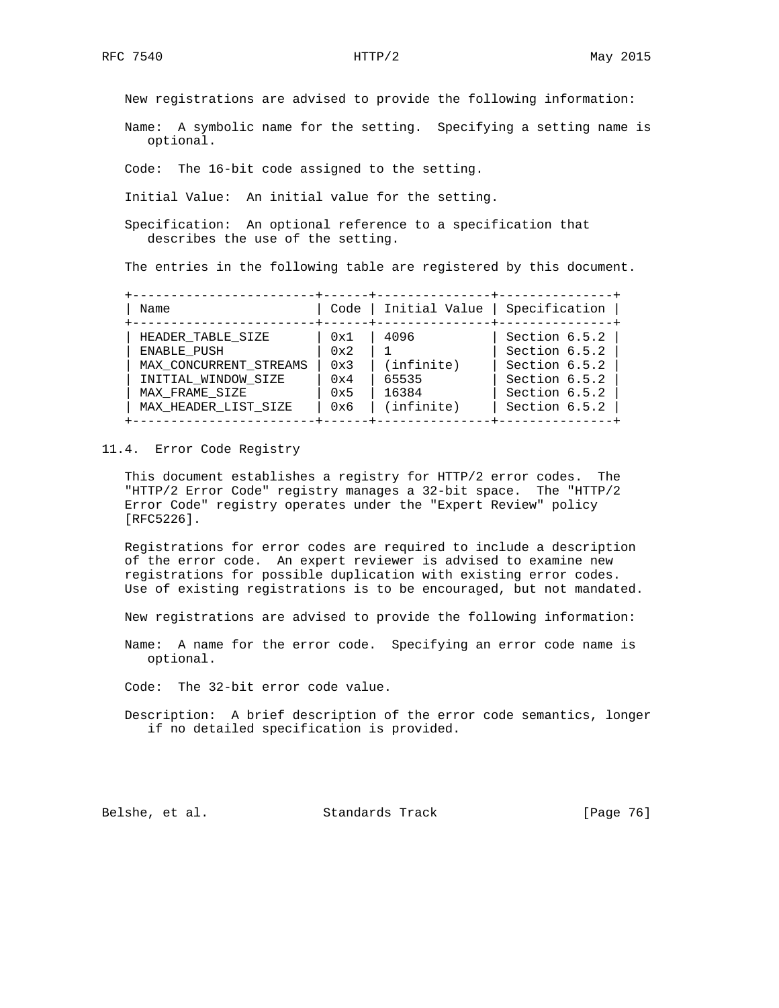New registrations are advised to provide the following information:

 Name: A symbolic name for the setting. Specifying a setting name is optional.

Code: The 16-bit code assigned to the setting.

Initial Value: An initial value for the setting.

 Specification: An optional reference to a specification that describes the use of the setting.

The entries in the following table are registered by this document.

| Name                   | Code | Initial Value | Specification |
|------------------------|------|---------------|---------------|
| HEADER TABLE SIZE      | 0x1  | 4096          | Section 6.5.2 |
| ENABLE PUSH            | 0x2  |               | Section 6.5.2 |
| MAX CONCURRENT STREAMS | 0x3  | (intinite)    | Section 6.5.2 |
| INITIAL WINDOW SIZE    | 0x4  | 65535         | Section 6.5.2 |
| MAX FRAME SIZE         | 0x5  | 16384         | Section 6.5.2 |
| MAX HEADER LIST SIZE   | 0x6  | (intfinite)   | Section 6.5.2 |

### 11.4. Error Code Registry

 This document establishes a registry for HTTP/2 error codes. The "HTTP/2 Error Code" registry manages a 32-bit space. The "HTTP/2 Error Code" registry operates under the "Expert Review" policy [RFC5226].

 Registrations for error codes are required to include a description of the error code. An expert reviewer is advised to examine new registrations for possible duplication with existing error codes. Use of existing registrations is to be encouraged, but not mandated.

New registrations are advised to provide the following information:

 Name: A name for the error code. Specifying an error code name is optional.

Code: The 32-bit error code value.

 Description: A brief description of the error code semantics, longer if no detailed specification is provided.

Belshe, et al. Standards Track [Page 76]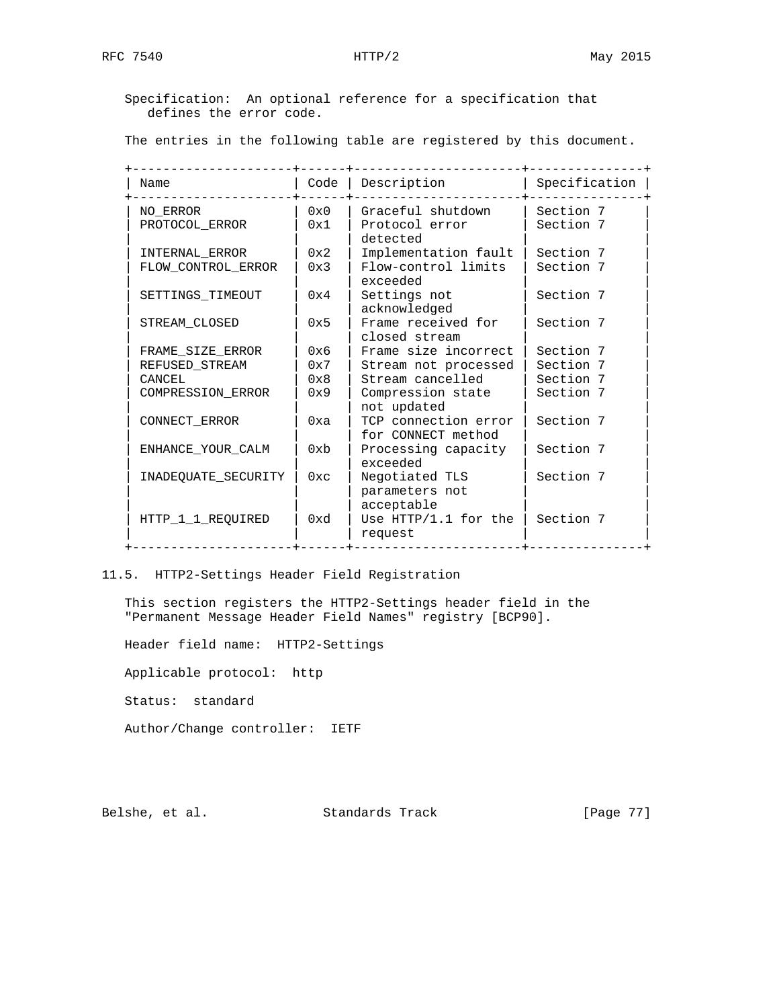Specification: An optional reference for a specification that defines the error code.

The entries in the following table are registered by this document.

| Name                       | Code                | Description                                     | Specification          |
|----------------------------|---------------------|-------------------------------------------------|------------------------|
| NO ERROR<br>PROTOCOL ERROR | $0 \times 0$<br>0x1 | Graceful shutdown<br>Protocol error<br>detected | Section 7<br>Section 7 |
| INTERNAL ERROR             | 0x2                 | Implementation fault                            | Section 7              |
| FLOW CONTROL ERROR         | 0x3                 | Flow-control limits<br>exceeded                 | Section 7              |
| SETTINGS TIMEOUT           | 0x4                 | Settings not<br>acknowledged                    | Section 7              |
| STREAM CLOSED              | 0x5                 | Frame received for<br>closed stream             | Section 7              |
| FRAME_SIZE_ERROR           | 0x6                 | Frame size incorrect                            | Section 7              |
| REFUSED STREAM             | 0x7                 | Stream not processed                            | Section 7              |
| CANCEL                     | 0x8                 | Stream cancelled                                | Section 7              |
| COMPRESSION ERROR          | 0x9                 | Compression state<br>not updated                | Section 7              |
| CONNECT ERROR              | 0xa                 | TCP connection error<br>for CONNECT method      | Section 7              |
| ENHANCE YOUR CALM          | 0x <sub>b</sub>     | Processing capacity<br>exceeded                 | Section 7              |
| INADEOUATE SECURITY        | $0 \times c$        | Negotiated TLS<br>parameters not<br>acceptable  | Section 7              |
| HTTP 1 1 REOUIRED          | 0xd                 | Use HTTP/1.1 for the<br>request                 | Section 7              |

# 11.5. HTTP2-Settings Header Field Registration

 This section registers the HTTP2-Settings header field in the "Permanent Message Header Field Names" registry [BCP90].

 Header field name: HTTP2-Settings Applicable protocol: http Status: standard Author/Change controller: IETF

Belshe, et al. Standards Track [Page 77]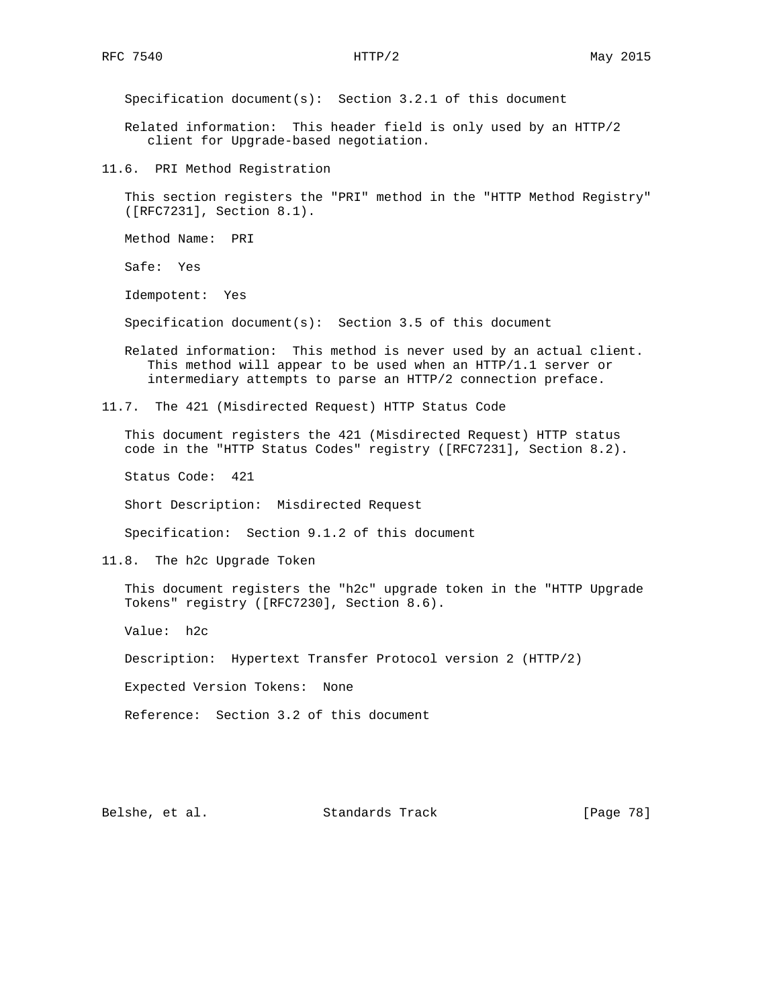Specification document(s): Section 3.2.1 of this document

 Related information: This header field is only used by an HTTP/2 client for Upgrade-based negotiation.

11.6. PRI Method Registration

 This section registers the "PRI" method in the "HTTP Method Registry" ([RFC7231], Section 8.1).

Method Name: PRI

Safe: Yes

Idempotent: Yes

Specification document(s): Section 3.5 of this document

 Related information: This method is never used by an actual client. This method will appear to be used when an HTTP/1.1 server or intermediary attempts to parse an HTTP/2 connection preface.

11.7. The 421 (Misdirected Request) HTTP Status Code

 This document registers the 421 (Misdirected Request) HTTP status code in the "HTTP Status Codes" registry ([RFC7231], Section 8.2).

Status Code: 421

Short Description: Misdirected Request

Specification: Section 9.1.2 of this document

11.8. The h2c Upgrade Token

 This document registers the "h2c" upgrade token in the "HTTP Upgrade Tokens" registry ([RFC7230], Section 8.6).

Value: h2c

Description: Hypertext Transfer Protocol version 2 (HTTP/2)

Expected Version Tokens: None

Reference: Section 3.2 of this document

Belshe, et al. Standards Track [Page 78]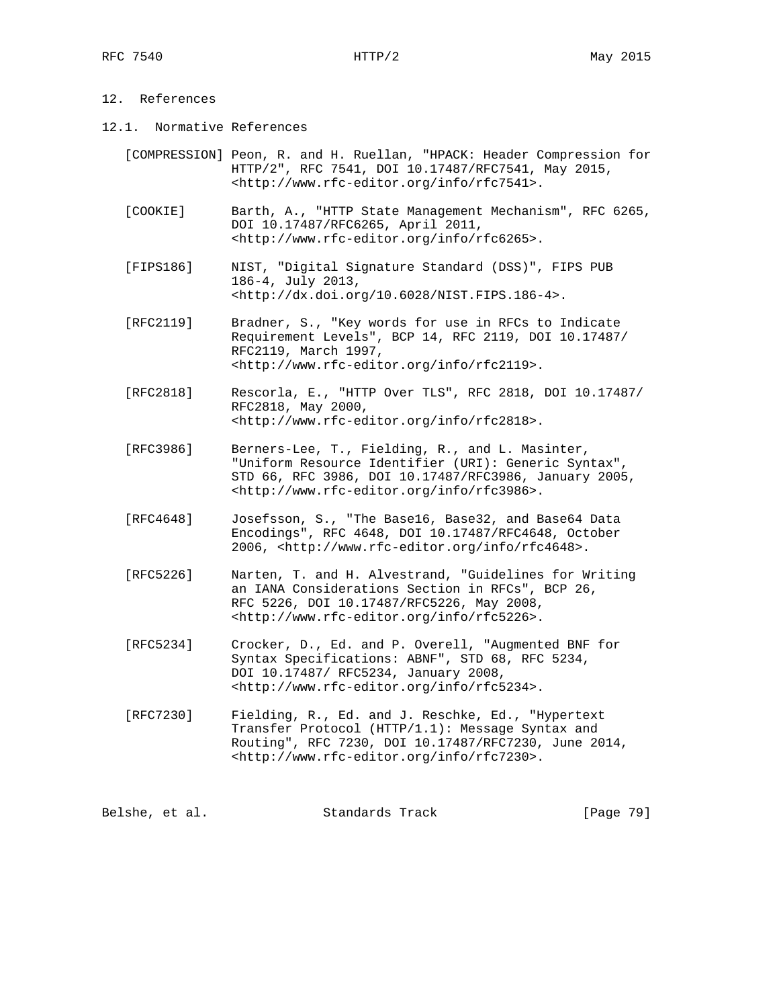# 12. References

- 12.1. Normative References
	- [COMPRESSION] Peon, R. and H. Ruellan, "HPACK: Header Compression for HTTP/2", RFC 7541, DOI 10.17487/RFC7541, May 2015, <http://www.rfc-editor.org/info/rfc7541>.
	- [COOKIE] Barth, A., "HTTP State Management Mechanism", RFC 6265, DOI 10.17487/RFC6265, April 2011, <http://www.rfc-editor.org/info/rfc6265>.
	- [FIPS186] NIST, "Digital Signature Standard (DSS)", FIPS PUB 186-4, July 2013, <http://dx.doi.org/10.6028/NIST.FIPS.186-4>.
	- [RFC2119] Bradner, S., "Key words for use in RFCs to Indicate Requirement Levels", BCP 14, RFC 2119, DOI 10.17487/ RFC2119, March 1997, <http://www.rfc-editor.org/info/rfc2119>.
	- [RFC2818] Rescorla, E., "HTTP Over TLS", RFC 2818, DOI 10.17487/ RFC2818, May 2000, <http://www.rfc-editor.org/info/rfc2818>.
	- [RFC3986] Berners-Lee, T., Fielding, R., and L. Masinter, "Uniform Resource Identifier (URI): Generic Syntax", STD 66, RFC 3986, DOI 10.17487/RFC3986, January 2005, <http://www.rfc-editor.org/info/rfc3986>.
	- [RFC4648] Josefsson, S., "The Base16, Base32, and Base64 Data Encodings", RFC 4648, DOI 10.17487/RFC4648, October 2006, <http://www.rfc-editor.org/info/rfc4648>.
	- [RFC5226] Narten, T. and H. Alvestrand, "Guidelines for Writing an IANA Considerations Section in RFCs", BCP 26, RFC 5226, DOI 10.17487/RFC5226, May 2008, <http://www.rfc-editor.org/info/rfc5226>.
	- [RFC5234] Crocker, D., Ed. and P. Overell, "Augmented BNF for Syntax Specifications: ABNF", STD 68, RFC 5234, DOI 10.17487/ RFC5234, January 2008, <http://www.rfc-editor.org/info/rfc5234>.
	- [RFC7230] Fielding, R., Ed. and J. Reschke, Ed., "Hypertext Transfer Protocol (HTTP/1.1): Message Syntax and Routing", RFC 7230, DOI 10.17487/RFC7230, June 2014, <http://www.rfc-editor.org/info/rfc7230>.

| Belshe, et al. | Standards Track | [Page 79] |  |
|----------------|-----------------|-----------|--|
|----------------|-----------------|-----------|--|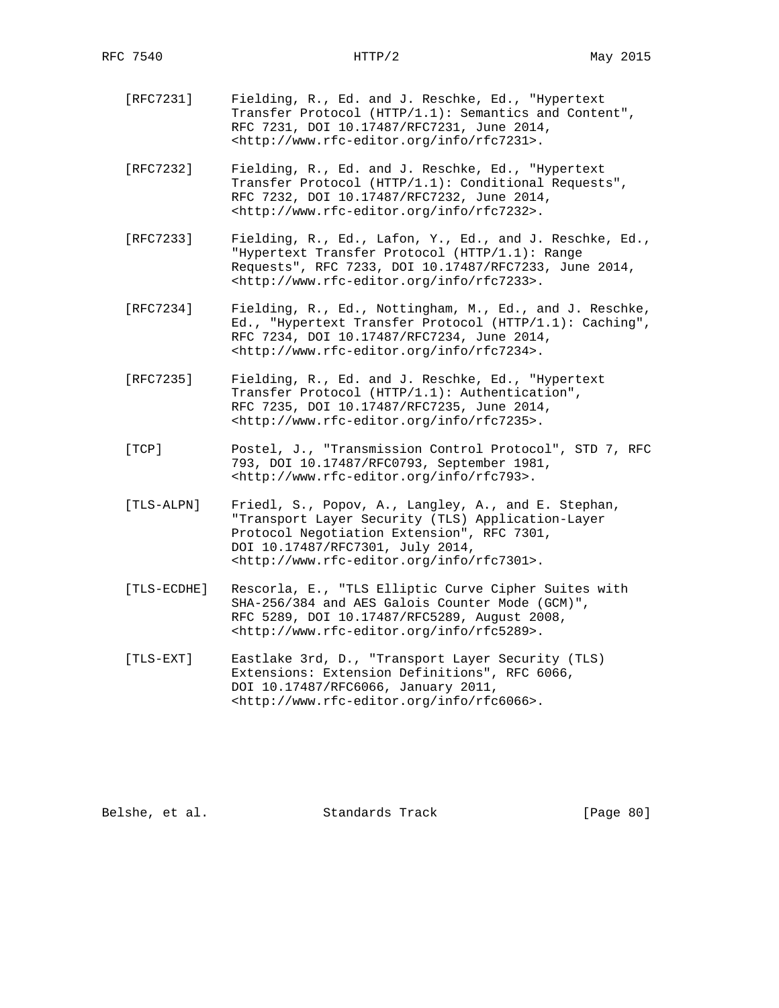- [RFC7231] Fielding, R., Ed. and J. Reschke, Ed., "Hypertext Transfer Protocol (HTTP/1.1): Semantics and Content", RFC 7231, DOI 10.17487/RFC7231, June 2014, <http://www.rfc-editor.org/info/rfc7231>.
- [RFC7232] Fielding, R., Ed. and J. Reschke, Ed., "Hypertext Transfer Protocol (HTTP/1.1): Conditional Requests", RFC 7232, DOI 10.17487/RFC7232, June 2014, <http://www.rfc-editor.org/info/rfc7232>.
- [RFC7233] Fielding, R., Ed., Lafon, Y., Ed., and J. Reschke, Ed., "Hypertext Transfer Protocol (HTTP/1.1): Range Requests", RFC 7233, DOI 10.17487/RFC7233, June 2014, <http://www.rfc-editor.org/info/rfc7233>.
- [RFC7234] Fielding, R., Ed., Nottingham, M., Ed., and J. Reschke, Ed., "Hypertext Transfer Protocol (HTTP/1.1): Caching", RFC 7234, DOI 10.17487/RFC7234, June 2014, <http://www.rfc-editor.org/info/rfc7234>.
- [RFC7235] Fielding, R., Ed. and J. Reschke, Ed., "Hypertext Transfer Protocol (HTTP/1.1): Authentication", RFC 7235, DOI 10.17487/RFC7235, June 2014, <http://www.rfc-editor.org/info/rfc7235>.
- [TCP] Postel, J., "Transmission Control Protocol", STD 7, RFC 793, DOI 10.17487/RFC0793, September 1981, <http://www.rfc-editor.org/info/rfc793>.
- [TLS-ALPN] Friedl, S., Popov, A., Langley, A., and E. Stephan, "Transport Layer Security (TLS) Application-Layer Protocol Negotiation Extension", RFC 7301, DOI 10.17487/RFC7301, July 2014, <http://www.rfc-editor.org/info/rfc7301>.
- [TLS-ECDHE] Rescorla, E., "TLS Elliptic Curve Cipher Suites with SHA-256/384 and AES Galois Counter Mode (GCM)", RFC 5289, DOI 10.17487/RFC5289, August 2008, <http://www.rfc-editor.org/info/rfc5289>.
- [TLS-EXT] Eastlake 3rd, D., "Transport Layer Security (TLS) Extensions: Extension Definitions", RFC 6066, DOI 10.17487/RFC6066, January 2011, <http://www.rfc-editor.org/info/rfc6066>.

Belshe, et al. Standards Track [Page 80]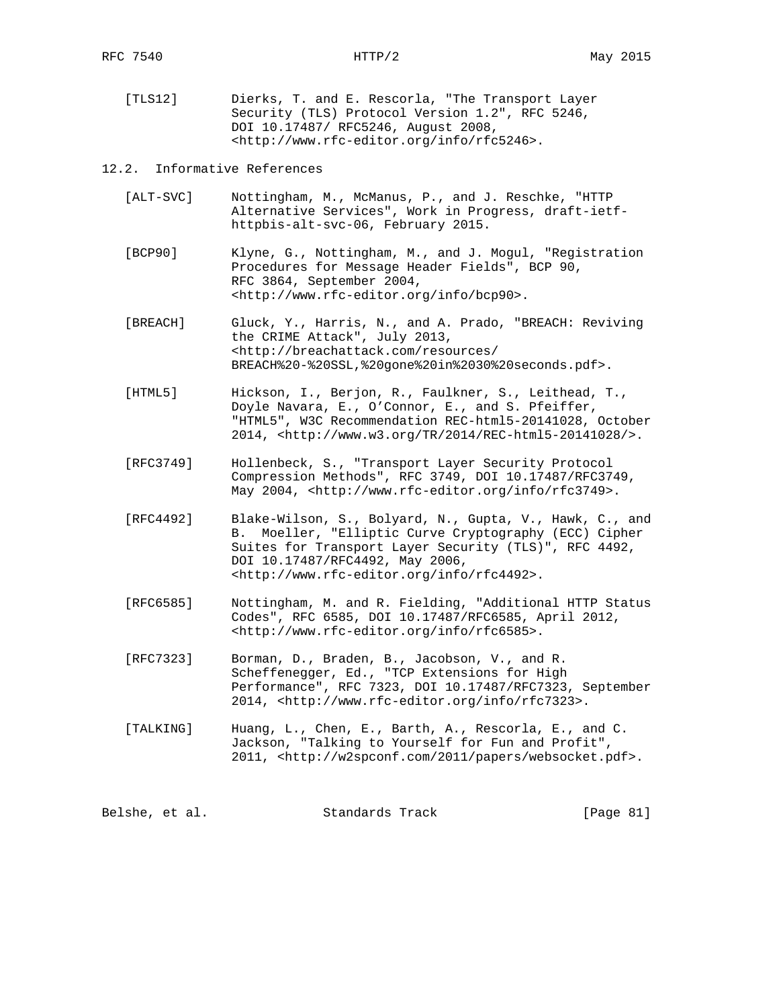[TLS12] Dierks, T. and E. Rescorla, "The Transport Layer Security (TLS) Protocol Version 1.2", RFC 5246, DOI 10.17487/ RFC5246, August 2008, <http://www.rfc-editor.org/info/rfc5246>.

# 12.2. Informative References

- [ALT-SVC] Nottingham, M., McManus, P., and J. Reschke, "HTTP Alternative Services", Work in Progress, draft-ietf httpbis-alt-svc-06, February 2015.
- [BCP90] Klyne, G., Nottingham, M., and J. Mogul, "Registration Procedures for Message Header Fields", BCP 90, RFC 3864, September 2004, <http://www.rfc-editor.org/info/bcp90>.
- [BREACH] Gluck, Y., Harris, N., and A. Prado, "BREACH: Reviving the CRIME Attack", July 2013, <http://breachattack.com/resources/ BREACH%20-%20SSL,%20gone%20in%2030%20seconds.pdf>.
- [HTML5] Hickson, I., Berjon, R., Faulkner, S., Leithead, T., Doyle Navara, E., O'Connor, E., and S. Pfeiffer, "HTML5", W3C Recommendation REC-html5-20141028, October 2014, <http://www.w3.org/TR/2014/REC-html5-20141028/>.
- [RFC3749] Hollenbeck, S., "Transport Layer Security Protocol Compression Methods", RFC 3749, DOI 10.17487/RFC3749, May 2004, <http://www.rfc-editor.org/info/rfc3749>.
- [RFC4492] Blake-Wilson, S., Bolyard, N., Gupta, V., Hawk, C., and B. Moeller, "Elliptic Curve Cryptography (ECC) Cipher Suites for Transport Layer Security (TLS)", RFC 4492, DOI 10.17487/RFC4492, May 2006, <http://www.rfc-editor.org/info/rfc4492>.
- [RFC6585] Nottingham, M. and R. Fielding, "Additional HTTP Status Codes", RFC 6585, DOI 10.17487/RFC6585, April 2012, <http://www.rfc-editor.org/info/rfc6585>.
- [RFC7323] Borman, D., Braden, B., Jacobson, V., and R. Scheffenegger, Ed., "TCP Extensions for High Performance", RFC 7323, DOI 10.17487/RFC7323, September 2014, <http://www.rfc-editor.org/info/rfc7323>.
- [TALKING] Huang, L., Chen, E., Barth, A., Rescorla, E., and C. Jackson, "Talking to Yourself for Fun and Profit", 2011, <http://w2spconf.com/2011/papers/websocket.pdf>.

| Belshe, et al. |  | Standards Track |  | [Page 81] |  |  |
|----------------|--|-----------------|--|-----------|--|--|
|----------------|--|-----------------|--|-----------|--|--|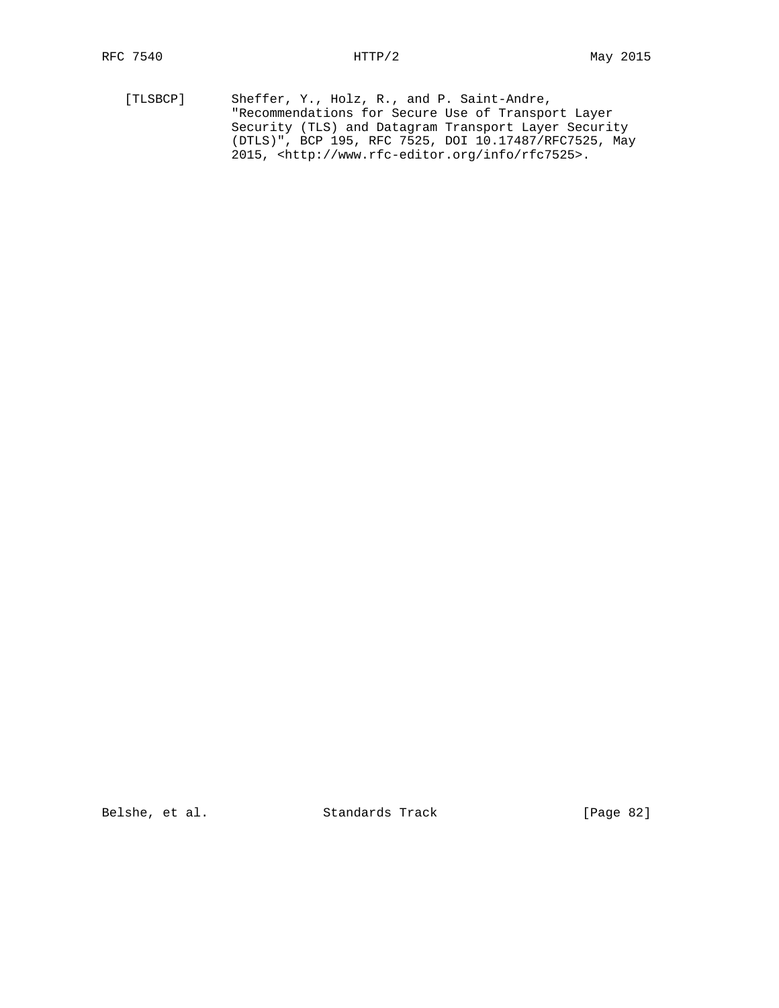[TLSBCP] Sheffer, Y., Holz, R., and P. Saint-Andre, "Recommendations for Secure Use of Transport Layer Security (TLS) and Datagram Transport Layer Security (DTLS)", BCP 195, RFC 7525, DOI 10.17487/RFC7525, May 2015, <http://www.rfc-editor.org/info/rfc7525>.

Belshe, et al. Standards Track [Page 82]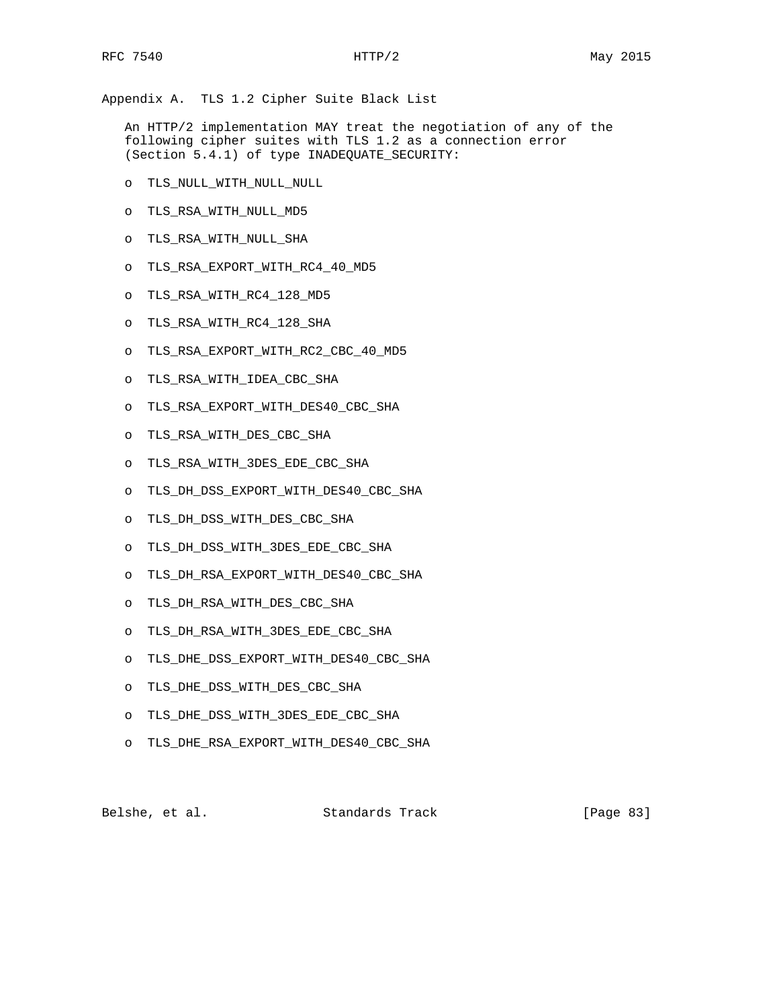Appendix A. TLS 1.2 Cipher Suite Black List

 An HTTP/2 implementation MAY treat the negotiation of any of the following cipher suites with TLS 1.2 as a connection error (Section 5.4.1) of type INADEQUATE\_SECURITY:

- o TLS\_NULL\_WITH\_NULL\_NULL
- o TLS\_RSA\_WITH\_NULL\_MD5
- o TLS\_RSA\_WITH\_NULL\_SHA
- o TLS\_RSA\_EXPORT\_WITH\_RC4\_40\_MD5
- o TLS\_RSA\_WITH\_RC4\_128\_MD5
- o TLS\_RSA\_WITH\_RC4\_128\_SHA
- o TLS\_RSA\_EXPORT\_WITH\_RC2\_CBC\_40\_MD5
- o TLS\_RSA\_WITH\_IDEA\_CBC\_SHA
- o TLS\_RSA\_EXPORT\_WITH\_DES40\_CBC\_SHA
- o TLS\_RSA\_WITH\_DES\_CBC\_SHA
- o TLS\_RSA\_WITH\_3DES\_EDE\_CBC\_SHA
- o TLS\_DH\_DSS\_EXPORT\_WITH\_DES40\_CBC\_SHA
- o TLS\_DH\_DSS\_WITH\_DES\_CBC\_SHA
- o TLS\_DH\_DSS\_WITH\_3DES\_EDE\_CBC\_SHA
- o TLS\_DH\_RSA\_EXPORT\_WITH\_DES40\_CBC\_SHA
- o TLS\_DH\_RSA\_WITH\_DES\_CBC\_SHA
- o TLS\_DH\_RSA\_WITH\_3DES\_EDE\_CBC\_SHA
- o TLS\_DHE\_DSS\_EXPORT\_WITH\_DES40\_CBC\_SHA
- o TLS\_DHE\_DSS\_WITH\_DES\_CBC\_SHA
- o TLS\_DHE\_DSS\_WITH\_3DES\_EDE\_CBC\_SHA
- o TLS\_DHE\_RSA\_EXPORT\_WITH\_DES40\_CBC\_SHA

Belshe, et al. Standards Track [Page 83]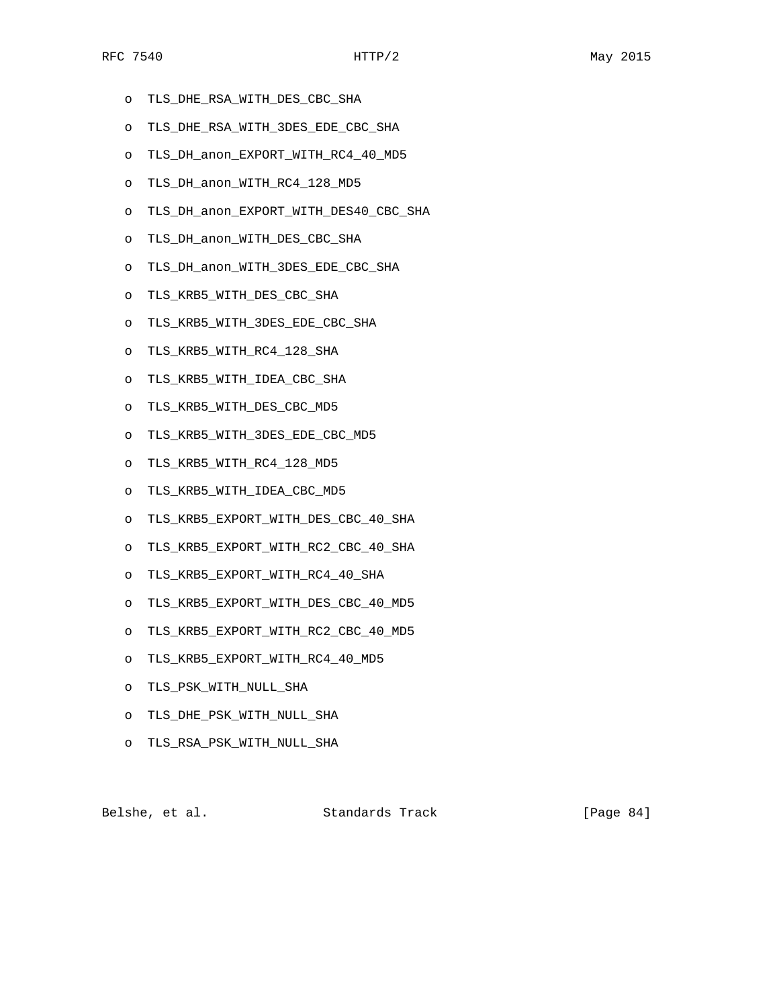- o TLS\_DHE\_RSA\_WITH\_DES\_CBC\_SHA
- o TLS\_DHE\_RSA\_WITH\_3DES\_EDE\_CBC\_SHA
- o TLS\_DH\_anon\_EXPORT\_WITH\_RC4\_40\_MD5
- o TLS\_DH\_anon\_WITH\_RC4\_128\_MD5
- o TLS\_DH\_anon\_EXPORT\_WITH\_DES40\_CBC\_SHA
- o TLS\_DH\_anon\_WITH\_DES\_CBC\_SHA
- o TLS\_DH\_anon\_WITH\_3DES\_EDE\_CBC\_SHA
- o TLS\_KRB5\_WITH\_DES\_CBC\_SHA
- o TLS\_KRB5\_WITH\_3DES\_EDE\_CBC\_SHA
- o TLS\_KRB5\_WITH\_RC4\_128\_SHA
- o TLS\_KRB5\_WITH\_IDEA\_CBC\_SHA
- o TLS\_KRB5\_WITH\_DES\_CBC\_MD5
- o TLS\_KRB5\_WITH\_3DES\_EDE\_CBC\_MD5
- o TLS\_KRB5\_WITH\_RC4\_128\_MD5
- o TLS\_KRB5\_WITH\_IDEA\_CBC\_MD5
- o TLS\_KRB5\_EXPORT\_WITH\_DES\_CBC\_40\_SHA
- o TLS\_KRB5\_EXPORT\_WITH\_RC2\_CBC\_40\_SHA
- o TLS\_KRB5\_EXPORT\_WITH\_RC4\_40\_SHA
- o TLS\_KRB5\_EXPORT\_WITH\_DES\_CBC\_40\_MD5
- o TLS\_KRB5\_EXPORT\_WITH\_RC2\_CBC\_40\_MD5
- o TLS\_KRB5\_EXPORT\_WITH\_RC4\_40\_MD5
- o TLS\_PSK\_WITH\_NULL\_SHA
- o TLS\_DHE\_PSK\_WITH\_NULL\_SHA
- o TLS\_RSA\_PSK\_WITH\_NULL\_SHA

Belshe, et al. Standards Track [Page 84]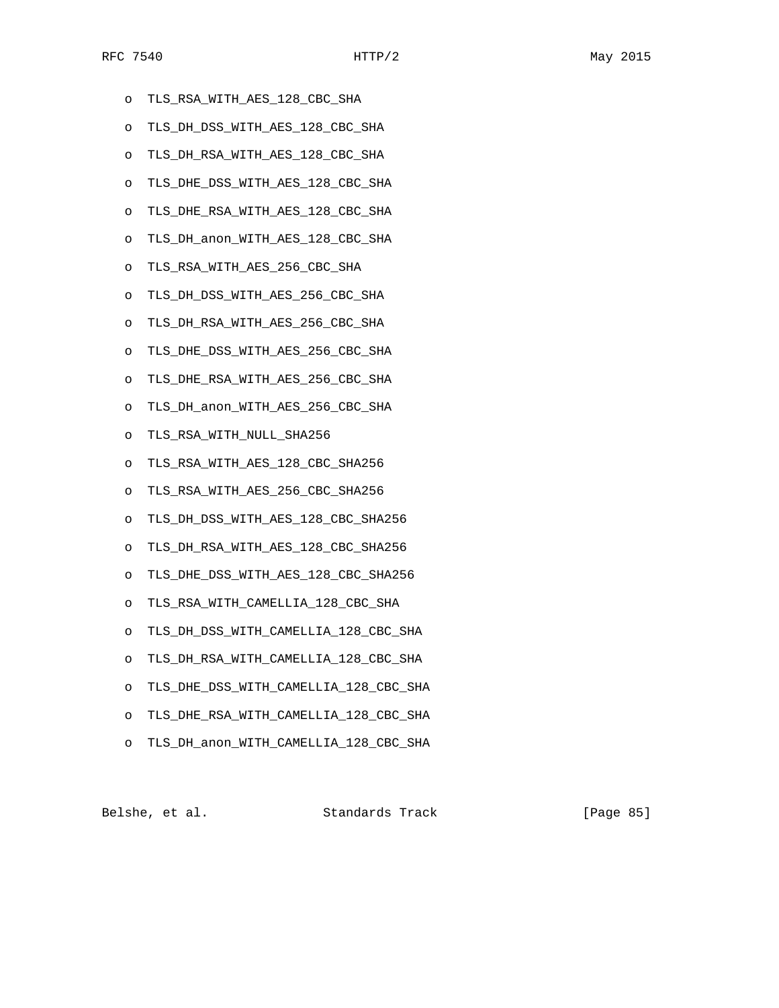- o TLS\_RSA\_WITH\_AES\_128\_CBC\_SHA
- o TLS\_DH\_DSS\_WITH\_AES\_128\_CBC\_SHA
- o TLS\_DH\_RSA\_WITH\_AES\_128\_CBC\_SHA
- o TLS\_DHE\_DSS\_WITH\_AES\_128\_CBC\_SHA
- o TLS\_DHE\_RSA\_WITH\_AES\_128\_CBC\_SHA
- o TLS\_DH\_anon\_WITH\_AES\_128\_CBC\_SHA
- o TLS\_RSA\_WITH\_AES\_256\_CBC\_SHA
- o TLS\_DH\_DSS\_WITH\_AES\_256\_CBC\_SHA
- o TLS\_DH\_RSA\_WITH\_AES\_256\_CBC\_SHA
- o TLS\_DHE\_DSS\_WITH\_AES\_256\_CBC\_SHA
- o TLS\_DHE\_RSA\_WITH\_AES\_256\_CBC\_SHA
- o TLS\_DH\_anon\_WITH\_AES\_256\_CBC\_SHA
- o TLS\_RSA\_WITH\_NULL\_SHA256
- o TLS\_RSA\_WITH\_AES\_128\_CBC\_SHA256
- o TLS\_RSA\_WITH\_AES\_256\_CBC\_SHA256
- o TLS\_DH\_DSS\_WITH\_AES\_128\_CBC\_SHA256
- o TLS\_DH\_RSA\_WITH\_AES\_128\_CBC\_SHA256
- o TLS\_DHE\_DSS\_WITH\_AES\_128\_CBC\_SHA256
- o TLS\_RSA\_WITH\_CAMELLIA\_128\_CBC\_SHA
- o TLS\_DH\_DSS\_WITH\_CAMELLIA\_128\_CBC\_SHA
- o TLS\_DH\_RSA\_WITH\_CAMELLIA\_128\_CBC\_SHA
- o TLS\_DHE\_DSS\_WITH\_CAMELLIA\_128\_CBC\_SHA
- o TLS\_DHE\_RSA\_WITH\_CAMELLIA\_128\_CBC\_SHA
- o TLS\_DH\_anon\_WITH\_CAMELLIA\_128\_CBC\_SHA

Belshe, et al. Standards Track [Page 85]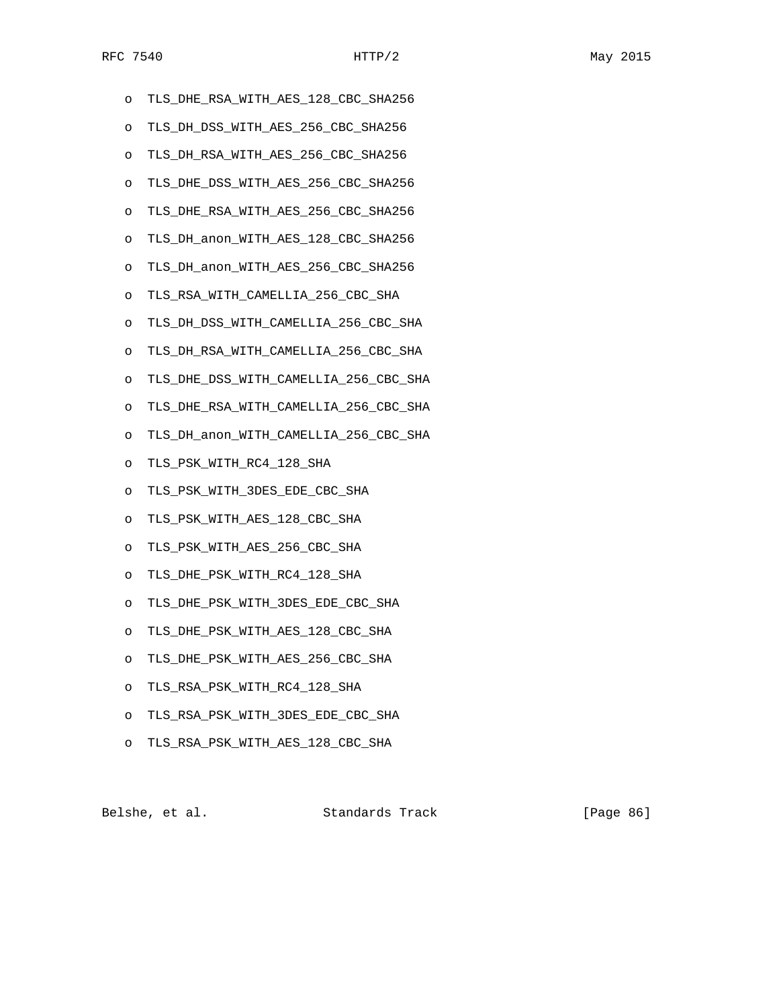- o TLS\_DHE\_RSA\_WITH\_AES\_128\_CBC\_SHA256
- o TLS\_DH\_DSS\_WITH\_AES\_256\_CBC\_SHA256
- o TLS\_DH\_RSA\_WITH\_AES\_256\_CBC\_SHA256
- o TLS\_DHE\_DSS\_WITH\_AES\_256\_CBC\_SHA256
- o TLS\_DHE\_RSA\_WITH\_AES\_256\_CBC\_SHA256
- o TLS\_DH\_anon\_WITH\_AES\_128\_CBC\_SHA256
- o TLS\_DH\_anon\_WITH\_AES\_256\_CBC\_SHA256
- o TLS\_RSA\_WITH\_CAMELLIA\_256\_CBC\_SHA
- o TLS\_DH\_DSS\_WITH\_CAMELLIA\_256\_CBC\_SHA
- o TLS\_DH\_RSA\_WITH\_CAMELLIA\_256\_CBC\_SHA
- o TLS\_DHE\_DSS\_WITH\_CAMELLIA\_256\_CBC\_SHA
- o TLS\_DHE\_RSA\_WITH\_CAMELLIA\_256\_CBC\_SHA
- o TLS\_DH\_anon\_WITH\_CAMELLIA\_256\_CBC\_SHA
- o TLS\_PSK\_WITH\_RC4\_128\_SHA
- o TLS\_PSK\_WITH\_3DES\_EDE\_CBC\_SHA
- o TLS\_PSK\_WITH\_AES\_128\_CBC\_SHA
- o TLS\_PSK\_WITH\_AES\_256\_CBC\_SHA
- o TLS\_DHE\_PSK\_WITH\_RC4\_128\_SHA
- o TLS\_DHE\_PSK\_WITH\_3DES\_EDE\_CBC\_SHA
- o TLS\_DHE\_PSK\_WITH\_AES\_128\_CBC\_SHA
- o TLS\_DHE\_PSK\_WITH\_AES\_256\_CBC\_SHA
- o TLS\_RSA\_PSK\_WITH\_RC4\_128\_SHA
- o TLS\_RSA\_PSK\_WITH\_3DES\_EDE\_CBC\_SHA
- o TLS\_RSA\_PSK\_WITH\_AES\_128\_CBC\_SHA

Belshe, et al. Standards Track [Page 86]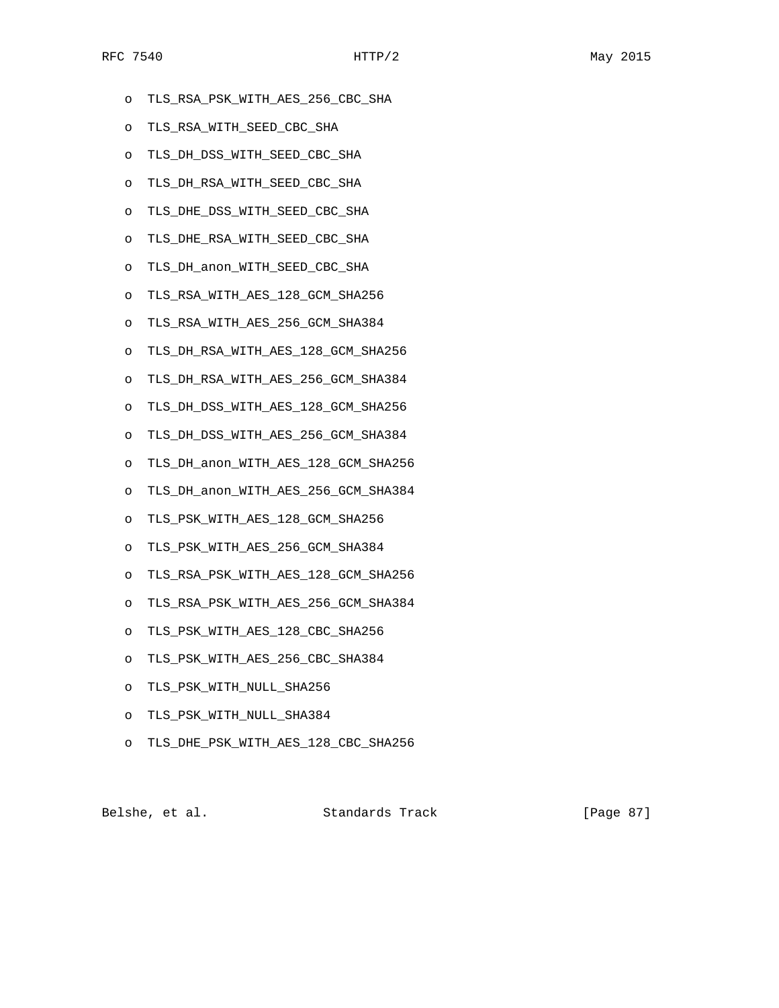- o TLS\_RSA\_PSK\_WITH\_AES\_256\_CBC\_SHA
- o TLS\_RSA\_WITH\_SEED\_CBC\_SHA
- o TLS\_DH\_DSS\_WITH\_SEED\_CBC\_SHA
- o TLS\_DH\_RSA\_WITH\_SEED\_CBC\_SHA
- o TLS\_DHE\_DSS\_WITH\_SEED\_CBC\_SHA
- o TLS\_DHE\_RSA\_WITH\_SEED\_CBC\_SHA
- o TLS\_DH\_anon\_WITH\_SEED\_CBC\_SHA
- o TLS\_RSA\_WITH\_AES\_128\_GCM\_SHA256
- o TLS\_RSA\_WITH\_AES\_256\_GCM\_SHA384
- o TLS\_DH\_RSA\_WITH\_AES\_128\_GCM\_SHA256
- o TLS\_DH\_RSA\_WITH\_AES\_256\_GCM\_SHA384
- o TLS\_DH\_DSS\_WITH\_AES\_128\_GCM\_SHA256
- o TLS\_DH\_DSS\_WITH\_AES\_256\_GCM\_SHA384
- o TLS\_DH\_anon\_WITH\_AES\_128\_GCM\_SHA256
- o TLS\_DH\_anon\_WITH\_AES\_256\_GCM\_SHA384
- o TLS\_PSK\_WITH\_AES\_128\_GCM\_SHA256
- o TLS\_PSK\_WITH\_AES\_256\_GCM\_SHA384
- o TLS\_RSA\_PSK\_WITH\_AES\_128\_GCM\_SHA256
- o TLS\_RSA\_PSK\_WITH\_AES\_256\_GCM\_SHA384
- o TLS\_PSK\_WITH\_AES\_128\_CBC\_SHA256
- o TLS\_PSK\_WITH\_AES\_256\_CBC\_SHA384
- o TLS\_PSK\_WITH\_NULL\_SHA256
- o TLS\_PSK\_WITH\_NULL\_SHA384
- o TLS\_DHE\_PSK\_WITH\_AES\_128\_CBC\_SHA256

Belshe, et al. Standards Track [Page 87]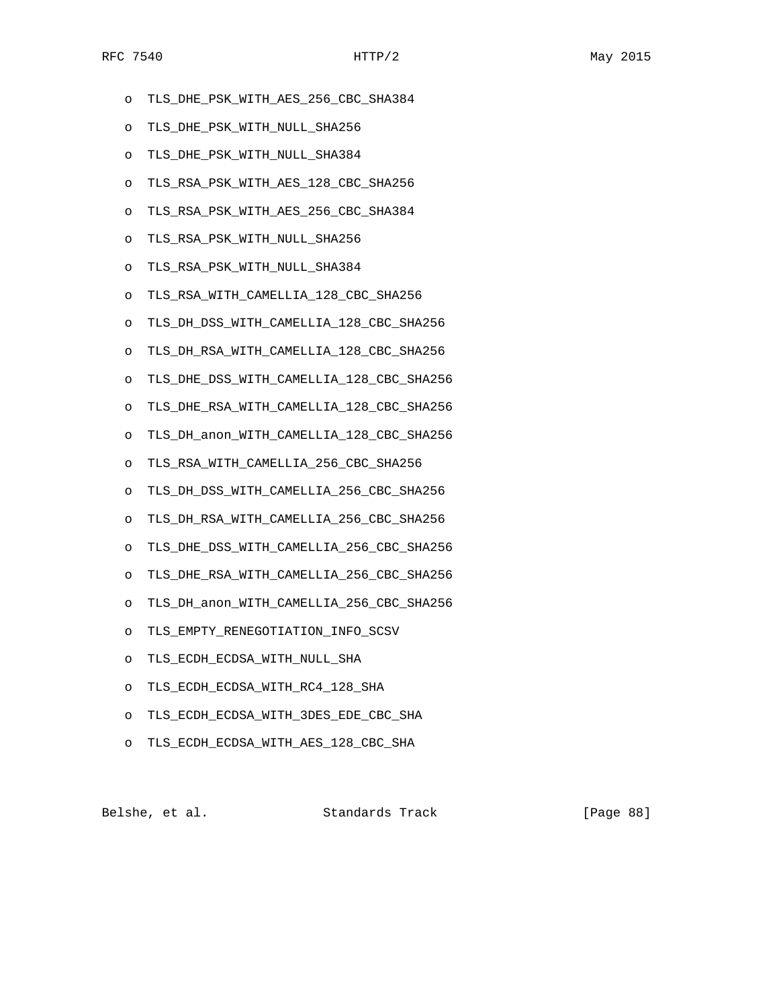- o TLS\_DHE\_PSK\_WITH\_AES\_256\_CBC\_SHA384
- o TLS\_DHE\_PSK\_WITH\_NULL\_SHA256
- o TLS\_DHE\_PSK\_WITH\_NULL\_SHA384
- o TLS\_RSA\_PSK\_WITH\_AES\_128\_CBC\_SHA256
- o TLS\_RSA\_PSK\_WITH\_AES\_256\_CBC\_SHA384
- o TLS\_RSA\_PSK\_WITH\_NULL\_SHA256
- o TLS\_RSA\_PSK\_WITH\_NULL\_SHA384
- o TLS\_RSA\_WITH\_CAMELLIA\_128\_CBC\_SHA256
- o TLS\_DH\_DSS\_WITH\_CAMELLIA\_128\_CBC\_SHA256
- o TLS\_DH\_RSA\_WITH\_CAMELLIA\_128\_CBC\_SHA256
- o TLS\_DHE\_DSS\_WITH\_CAMELLIA\_128\_CBC\_SHA256
- o TLS\_DHE\_RSA\_WITH\_CAMELLIA\_128\_CBC\_SHA256
- o TLS\_DH\_anon\_WITH\_CAMELLIA\_128\_CBC\_SHA256
- o TLS\_RSA\_WITH\_CAMELLIA\_256\_CBC\_SHA256
- o TLS\_DH\_DSS\_WITH\_CAMELLIA\_256\_CBC\_SHA256
- o TLS\_DH\_RSA\_WITH\_CAMELLIA\_256\_CBC\_SHA256
- o TLS\_DHE\_DSS\_WITH\_CAMELLIA\_256\_CBC\_SHA256
- o TLS\_DHE\_RSA\_WITH\_CAMELLIA\_256\_CBC\_SHA256
- o TLS\_DH\_anon\_WITH\_CAMELLIA\_256\_CBC\_SHA256
- o TLS\_EMPTY\_RENEGOTIATION\_INFO\_SCSV
- o TLS\_ECDH\_ECDSA\_WITH\_NULL\_SHA
- o TLS\_ECDH\_ECDSA\_WITH\_RC4\_128\_SHA
- o TLS\_ECDH\_ECDSA\_WITH\_3DES\_EDE\_CBC\_SHA
- o TLS\_ECDH\_ECDSA\_WITH\_AES\_128\_CBC\_SHA

Belshe, et al. Standards Track [Page 88]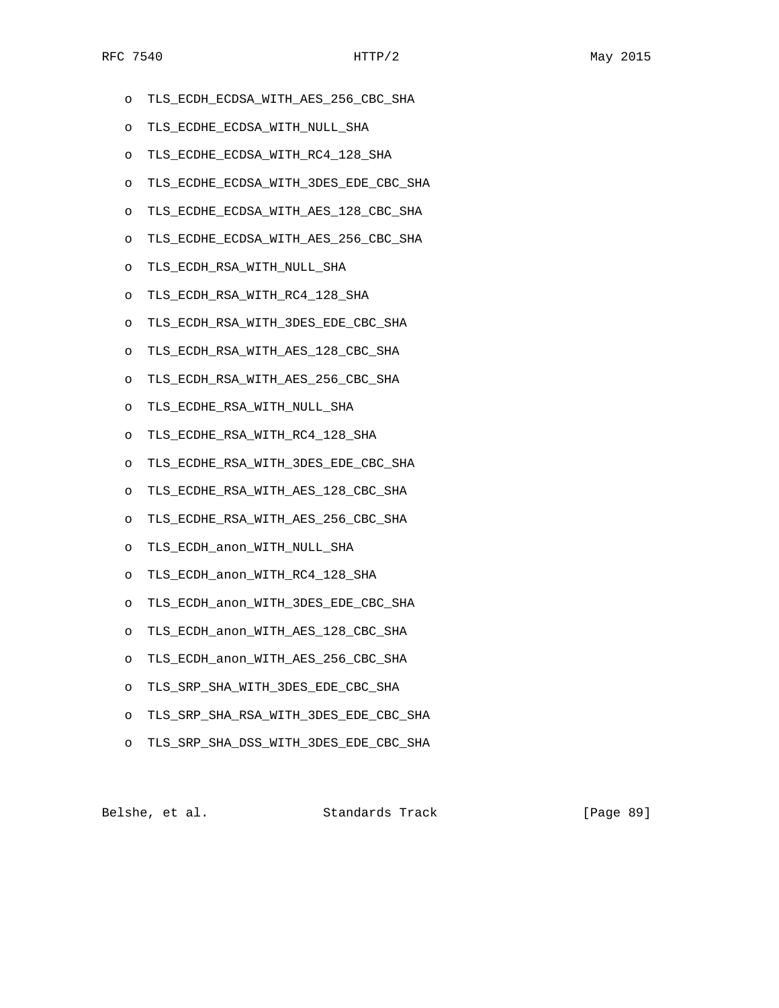- o TLS\_ECDH\_ECDSA\_WITH\_AES\_256\_CBC\_SHA
- o TLS\_ECDHE\_ECDSA\_WITH\_NULL\_SHA
- o TLS\_ECDHE\_ECDSA\_WITH\_RC4\_128\_SHA
- o TLS\_ECDHE\_ECDSA\_WITH\_3DES\_EDE\_CBC\_SHA
- o TLS\_ECDHE\_ECDSA\_WITH\_AES\_128\_CBC\_SHA
- o TLS\_ECDHE\_ECDSA\_WITH\_AES\_256\_CBC\_SHA
- o TLS\_ECDH\_RSA\_WITH\_NULL\_SHA
- o TLS\_ECDH\_RSA\_WITH\_RC4\_128\_SHA
- o TLS\_ECDH\_RSA\_WITH\_3DES\_EDE\_CBC\_SHA
- o TLS\_ECDH\_RSA\_WITH\_AES\_128\_CBC\_SHA
- o TLS\_ECDH\_RSA\_WITH\_AES\_256\_CBC\_SHA
- o TLS\_ECDHE\_RSA\_WITH\_NULL\_SHA
- o TLS\_ECDHE\_RSA\_WITH\_RC4\_128\_SHA
- o TLS\_ECDHE\_RSA\_WITH\_3DES\_EDE\_CBC\_SHA
- o TLS\_ECDHE\_RSA\_WITH\_AES\_128\_CBC\_SHA
- o TLS\_ECDHE\_RSA\_WITH\_AES\_256\_CBC\_SHA
- o TLS\_ECDH\_anon\_WITH\_NULL\_SHA
- o TLS\_ECDH\_anon\_WITH\_RC4\_128\_SHA
- o TLS\_ECDH\_anon\_WITH\_3DES\_EDE\_CBC\_SHA
- o TLS\_ECDH\_anon\_WITH\_AES\_128\_CBC\_SHA
- o TLS\_ECDH\_anon\_WITH\_AES\_256\_CBC\_SHA
- o TLS\_SRP\_SHA\_WITH\_3DES\_EDE\_CBC\_SHA
- o TLS\_SRP\_SHA\_RSA\_WITH\_3DES\_EDE\_CBC\_SHA
- o TLS\_SRP\_SHA\_DSS\_WITH\_3DES\_EDE\_CBC\_SHA

Belshe, et al. Standards Track [Page 89]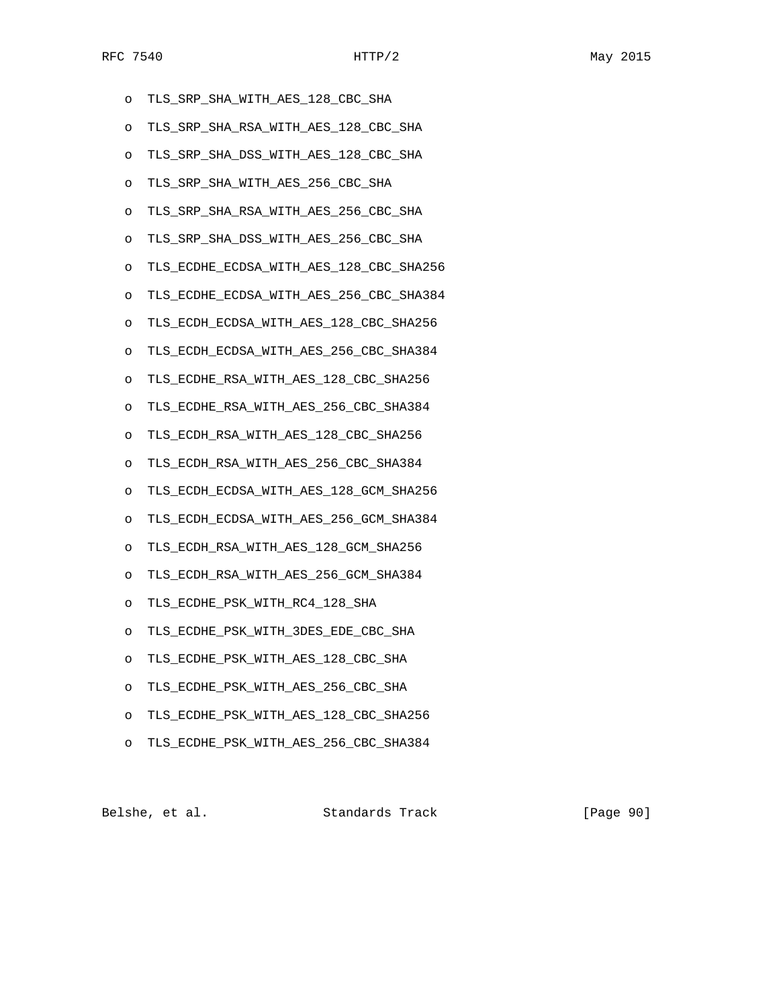- o TLS\_SRP\_SHA\_WITH\_AES\_128\_CBC\_SHA
- o TLS\_SRP\_SHA\_RSA\_WITH\_AES\_128\_CBC\_SHA
- o TLS\_SRP\_SHA\_DSS\_WITH\_AES\_128\_CBC\_SHA
- o TLS\_SRP\_SHA\_WITH\_AES\_256\_CBC\_SHA
- o TLS\_SRP\_SHA\_RSA\_WITH\_AES\_256\_CBC\_SHA
- o TLS\_SRP\_SHA\_DSS\_WITH\_AES\_256\_CBC\_SHA
- o TLS\_ECDHE\_ECDSA\_WITH\_AES\_128\_CBC\_SHA256
- o TLS\_ECDHE\_ECDSA\_WITH\_AES\_256\_CBC\_SHA384
- o TLS\_ECDH\_ECDSA\_WITH\_AES\_128\_CBC\_SHA256
- o TLS\_ECDH\_ECDSA\_WITH\_AES\_256\_CBC\_SHA384
- o TLS\_ECDHE\_RSA\_WITH\_AES\_128\_CBC\_SHA256
- o TLS\_ECDHE\_RSA\_WITH\_AES\_256\_CBC\_SHA384
- o TLS\_ECDH\_RSA\_WITH\_AES\_128\_CBC\_SHA256
- o TLS\_ECDH\_RSA\_WITH\_AES\_256\_CBC\_SHA384
- o TLS\_ECDH\_ECDSA\_WITH\_AES\_128\_GCM\_SHA256
- o TLS\_ECDH\_ECDSA\_WITH\_AES\_256\_GCM\_SHA384
- o TLS\_ECDH\_RSA\_WITH\_AES\_128\_GCM\_SHA256
- o TLS\_ECDH\_RSA\_WITH\_AES\_256\_GCM\_SHA384
- o TLS\_ECDHE\_PSK\_WITH\_RC4\_128\_SHA
- o TLS\_ECDHE\_PSK\_WITH\_3DES\_EDE\_CBC\_SHA
- o TLS\_ECDHE\_PSK\_WITH\_AES\_128\_CBC\_SHA
- o TLS\_ECDHE\_PSK\_WITH\_AES\_256\_CBC\_SHA
- o TLS\_ECDHE\_PSK\_WITH\_AES\_128\_CBC\_SHA256
- o TLS\_ECDHE\_PSK\_WITH\_AES\_256\_CBC\_SHA384

| Belshe, et al. | Standards Track | [Page 90] |
|----------------|-----------------|-----------|
|----------------|-----------------|-----------|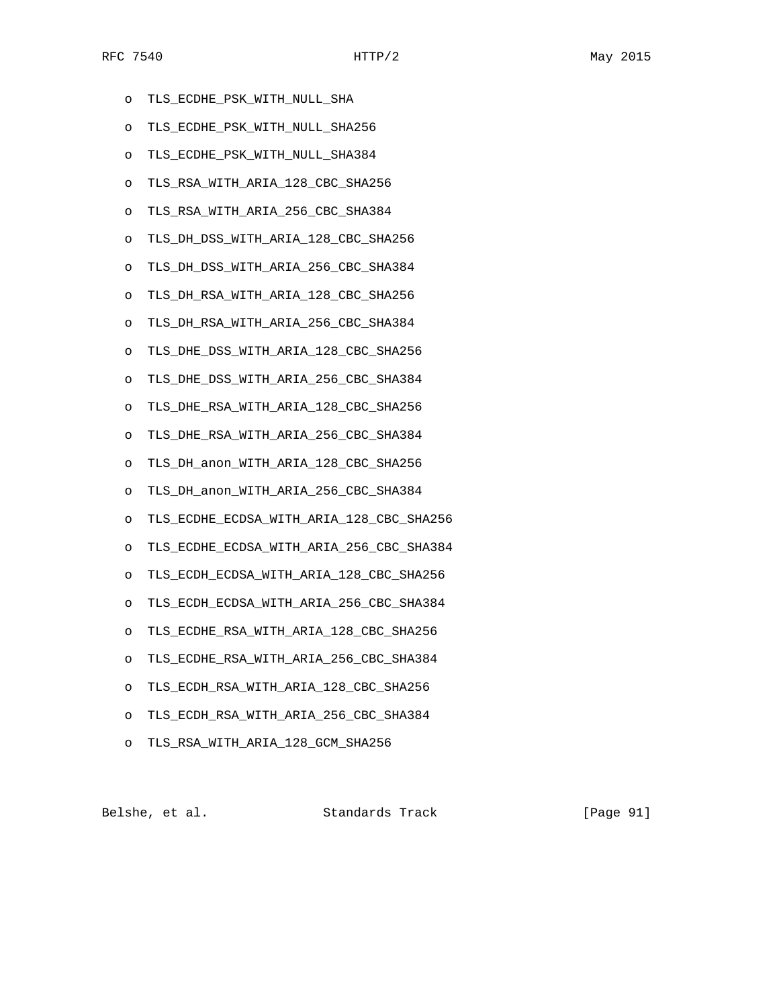- o TLS\_ECDHE\_PSK\_WITH\_NULL\_SHA
- o TLS\_ECDHE\_PSK\_WITH\_NULL\_SHA256
- o TLS\_ECDHE\_PSK\_WITH\_NULL\_SHA384
- o TLS\_RSA\_WITH\_ARIA\_128\_CBC\_SHA256
- o TLS\_RSA\_WITH\_ARIA\_256\_CBC\_SHA384
- o TLS\_DH\_DSS\_WITH\_ARIA\_128\_CBC\_SHA256
- o TLS\_DH\_DSS\_WITH\_ARIA\_256\_CBC\_SHA384
- o TLS\_DH\_RSA\_WITH\_ARIA\_128\_CBC\_SHA256
- o TLS\_DH\_RSA\_WITH\_ARIA\_256\_CBC\_SHA384
- o TLS\_DHE\_DSS\_WITH\_ARIA\_128\_CBC\_SHA256
- o TLS\_DHE\_DSS\_WITH\_ARIA\_256\_CBC\_SHA384
- o TLS\_DHE\_RSA\_WITH\_ARIA\_128\_CBC\_SHA256
- o TLS\_DHE\_RSA\_WITH\_ARIA\_256\_CBC\_SHA384
- o TLS\_DH\_anon\_WITH\_ARIA\_128\_CBC\_SHA256
- o TLS\_DH\_anon\_WITH\_ARIA\_256\_CBC\_SHA384
- o TLS\_ECDHE\_ECDSA\_WITH\_ARIA\_128\_CBC\_SHA256
- o TLS\_ECDHE\_ECDSA\_WITH\_ARIA\_256\_CBC\_SHA384
- o TLS\_ECDH\_ECDSA\_WITH\_ARIA\_128\_CBC\_SHA256
- o TLS\_ECDH\_ECDSA\_WITH\_ARIA\_256\_CBC\_SHA384
- o TLS\_ECDHE\_RSA\_WITH\_ARIA\_128\_CBC\_SHA256
- o TLS\_ECDHE\_RSA\_WITH\_ARIA\_256\_CBC\_SHA384
- o TLS\_ECDH\_RSA\_WITH\_ARIA\_128\_CBC\_SHA256
- o TLS\_ECDH\_RSA\_WITH\_ARIA\_256\_CBC\_SHA384
- o TLS\_RSA\_WITH\_ARIA\_128\_GCM\_SHA256

Belshe, et al. Standards Track [Page 91]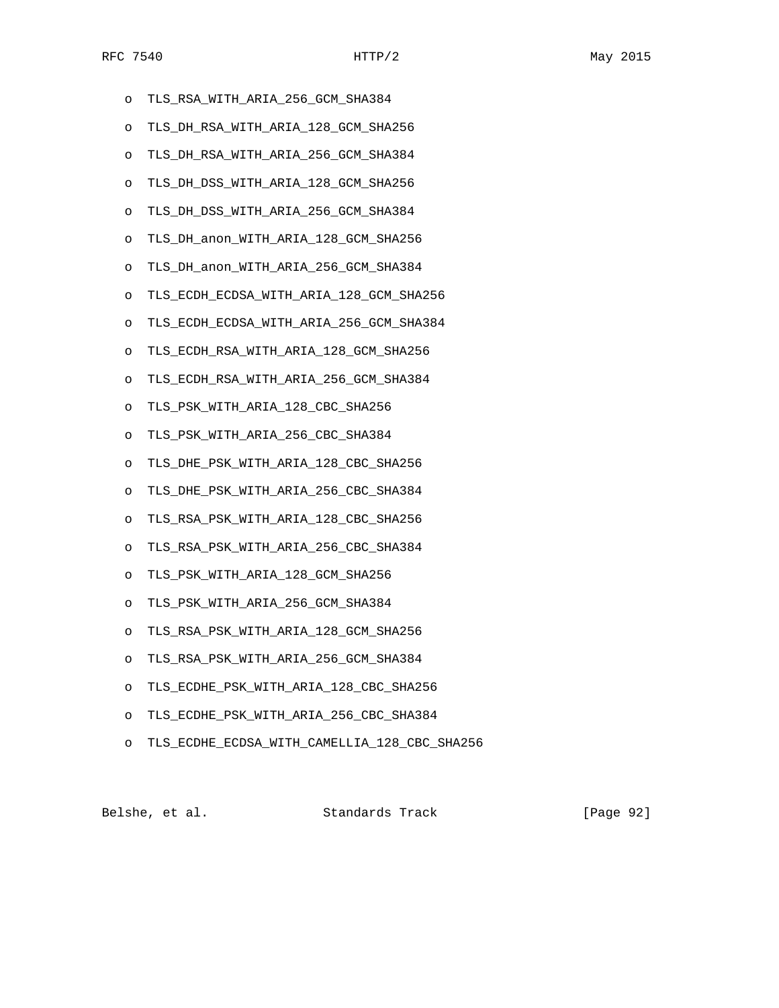- o TLS\_RSA\_WITH\_ARIA\_256\_GCM\_SHA384
- o TLS\_DH\_RSA\_WITH\_ARIA\_128\_GCM\_SHA256
- o TLS\_DH\_RSA\_WITH\_ARIA\_256\_GCM\_SHA384
- o TLS\_DH\_DSS\_WITH\_ARIA\_128\_GCM\_SHA256
- o TLS\_DH\_DSS\_WITH\_ARIA\_256\_GCM\_SHA384
- o TLS\_DH\_anon\_WITH\_ARIA\_128\_GCM\_SHA256
- o TLS\_DH\_anon\_WITH\_ARIA\_256\_GCM\_SHA384
- o TLS\_ECDH\_ECDSA\_WITH\_ARIA\_128\_GCM\_SHA256
- o TLS\_ECDH\_ECDSA\_WITH\_ARIA\_256\_GCM\_SHA384
- o TLS\_ECDH\_RSA\_WITH\_ARIA\_128\_GCM\_SHA256
- o TLS\_ECDH\_RSA\_WITH\_ARIA\_256\_GCM\_SHA384
- o TLS\_PSK\_WITH\_ARIA\_128\_CBC\_SHA256
- o TLS\_PSK\_WITH\_ARIA\_256\_CBC\_SHA384
- o TLS\_DHE\_PSK\_WITH\_ARIA\_128\_CBC\_SHA256
- o TLS\_DHE\_PSK\_WITH\_ARIA\_256\_CBC\_SHA384
- o TLS\_RSA\_PSK\_WITH\_ARIA\_128\_CBC\_SHA256
- o TLS\_RSA\_PSK\_WITH\_ARIA\_256\_CBC\_SHA384
- o TLS\_PSK\_WITH\_ARIA\_128\_GCM\_SHA256
- o TLS\_PSK\_WITH\_ARIA\_256\_GCM\_SHA384
- o TLS\_RSA\_PSK\_WITH\_ARIA\_128\_GCM\_SHA256
- o TLS\_RSA\_PSK\_WITH\_ARIA\_256\_GCM\_SHA384
- o TLS\_ECDHE\_PSK\_WITH\_ARIA\_128\_CBC\_SHA256
- o TLS\_ECDHE\_PSK\_WITH\_ARIA\_256\_CBC\_SHA384
- o TLS\_ECDHE\_ECDSA\_WITH\_CAMELLIA\_128\_CBC\_SHA256

Belshe, et al. Standards Track [Page 92]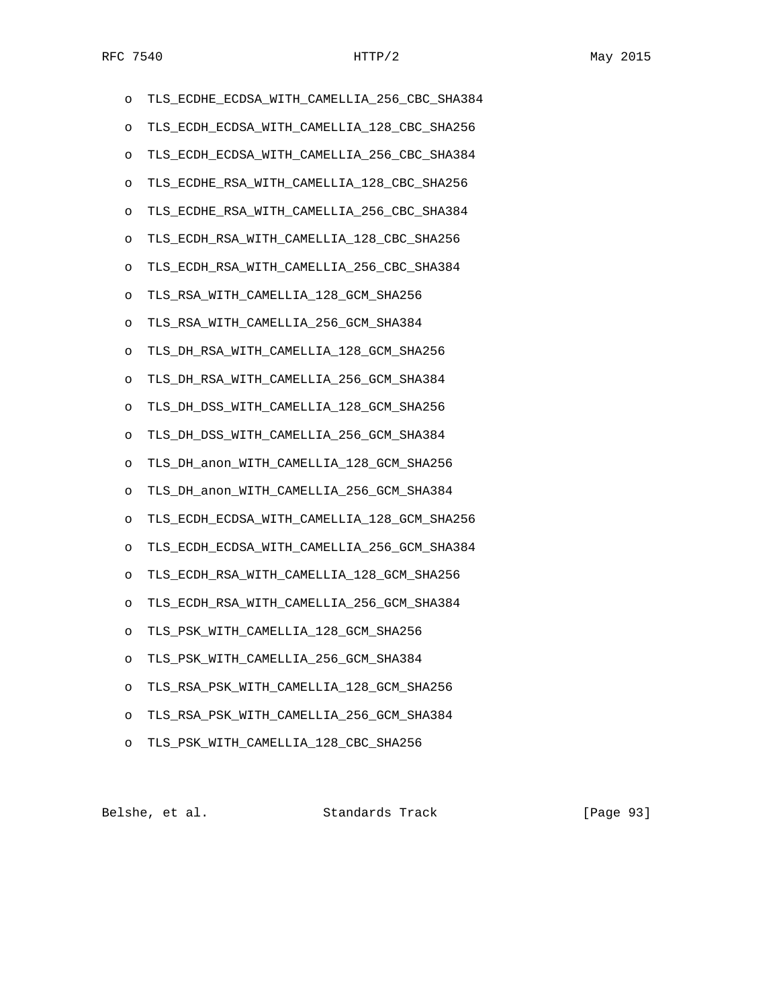| O       | TLS_ECDHE_ECDSA_WITH_CAMELLIA_256_CBC_SHA384 |
|---------|----------------------------------------------|
| O       | TLS_ECDH_ECDSA_WITH_CAMELLIA_128_CBC_SHA256  |
| O       | TLS_ECDH_ECDSA_WITH_CAMELLIA_256_CBC_SHA384  |
| O       | TLS_ECDHE_RSA_WITH_CAMELLIA_128_CBC_SHA256   |
| $\circ$ | TLS_ECDHE_RSA_WITH_CAMELLIA_256_CBC_SHA384   |
| O       | TLS_ECDH_RSA_WITH_CAMELLIA_128_CBC_SHA256    |
| O       | TLS ECDH RSA WITH CAMELLIA 256 CBC SHA384    |
| O       | TLS_RSA_WITH_CAMELLIA_128_GCM_SHA256         |
| O       | TLS_RSA_WITH_CAMELLIA_256_GCM_SHA384         |
| O       | TLS DH RSA WITH CAMELLIA 128 GCM SHA256      |
| $\circ$ | TLS DH RSA WITH CAMELLIA 256 GCM SHA384      |
| O       | TLS_DH_DSS_WITH_CAMELLIA_128_GCM_SHA256      |
| O       | TLS DH DSS WITH CAMELLIA 256 GCM SHA384      |
| O       | TLS_DH_anon_WITH_CAMELLIA_128_GCM_SHA256     |
| O       | TLS_DH_anon_WITH_CAMELLIA_256_GCM_SHA384     |
| $\circ$ | TLS_ECDH_ECDSA_WITH_CAMELLIA_128_GCM_SHA256  |
| O       | TLS_ECDH_ECDSA_WITH_CAMELLIA_256_GCM_SHA384  |
| O       | TLS_ECDH_RSA_WITH_CAMELLIA_128_GCM_SHA256    |
| O       | TLS_ECDH_RSA_WITH_CAMELLIA_256_GCM_SHA384    |
| O       | TLS_PSK_WITH_CAMELLIA_128_GCM_SHA256         |
| O       | TLS_PSK_WITH_CAMELLIA_256_GCM_SHA384         |
| O       | TLS_RSA_PSK_WITH_CAMELLIA_128_GCM_SHA256     |
| O       | TLS RSA PSK WITH CAMELLIA 256 GCM SHA384     |
| O       | TLS_PSK_WITH_CAMELLIA_128_CBC_SHA256         |

Belshe, et al. Standards Track [Page 93]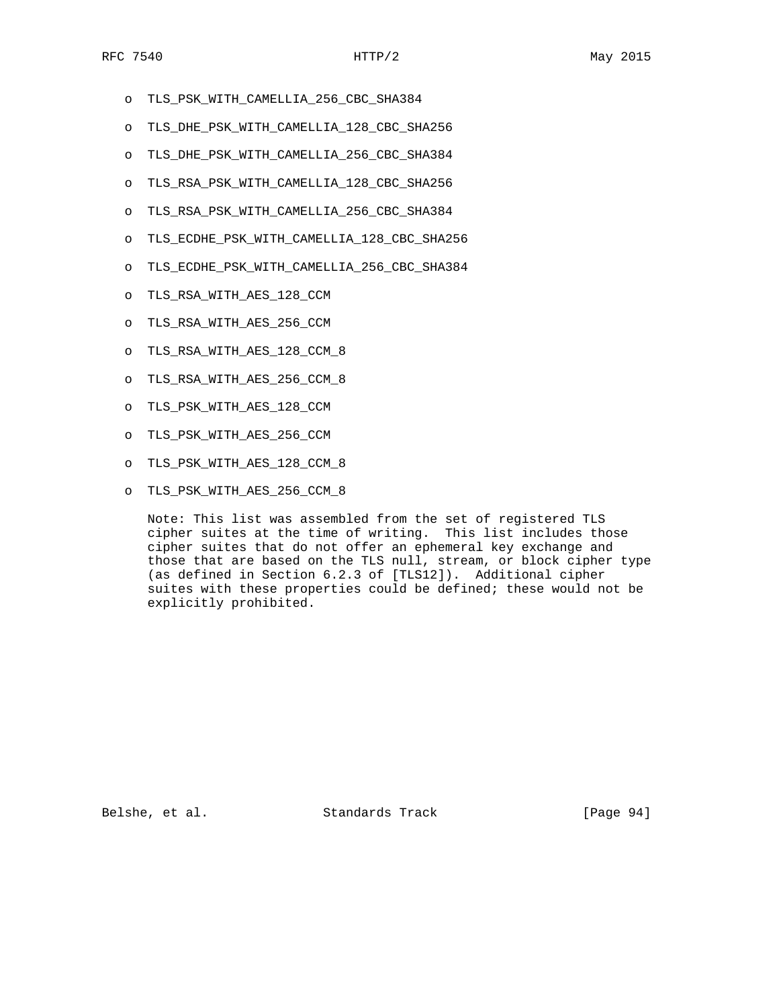- o TLS\_PSK\_WITH\_CAMELLIA\_256\_CBC\_SHA384
- o TLS\_DHE\_PSK\_WITH\_CAMELLIA\_128\_CBC\_SHA256
- o TLS\_DHE\_PSK\_WITH\_CAMELLIA\_256\_CBC\_SHA384
- o TLS\_RSA\_PSK\_WITH\_CAMELLIA\_128\_CBC\_SHA256
- o TLS\_RSA\_PSK\_WITH\_CAMELLIA\_256\_CBC\_SHA384
- o TLS\_ECDHE\_PSK\_WITH\_CAMELLIA\_128\_CBC\_SHA256
- o TLS\_ECDHE\_PSK\_WITH\_CAMELLIA\_256\_CBC\_SHA384
- o TLS\_RSA\_WITH\_AES\_128\_CCM
- o TLS\_RSA\_WITH\_AES\_256\_CCM
- o TLS\_RSA\_WITH\_AES\_128\_CCM\_8
- o TLS\_RSA\_WITH\_AES\_256\_CCM\_8
- o TLS\_PSK\_WITH\_AES\_128\_CCM
- o TLS\_PSK\_WITH\_AES\_256\_CCM
- o TLS\_PSK\_WITH\_AES\_128\_CCM\_8
- o TLS\_PSK\_WITH\_AES\_256\_CCM\_8

 Note: This list was assembled from the set of registered TLS cipher suites at the time of writing. This list includes those cipher suites that do not offer an ephemeral key exchange and those that are based on the TLS null, stream, or block cipher type (as defined in Section 6.2.3 of [TLS12]). Additional cipher suites with these properties could be defined; these would not be explicitly prohibited.

Belshe, et al. Standards Track [Page 94]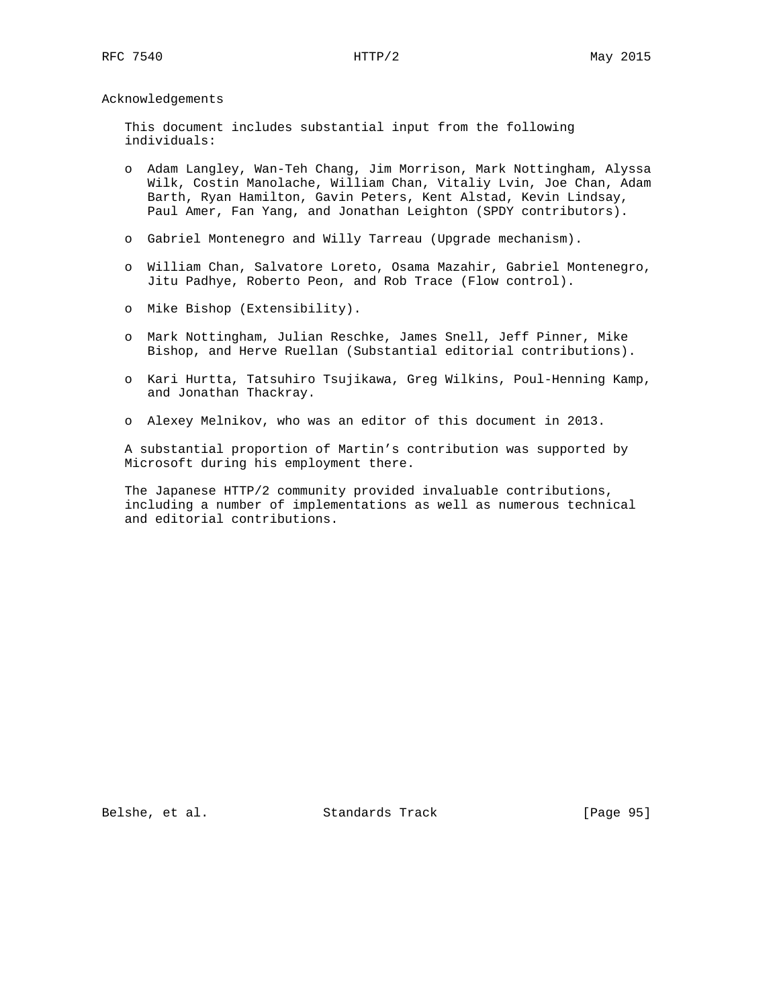Acknowledgements

 This document includes substantial input from the following individuals:

- o Adam Langley, Wan-Teh Chang, Jim Morrison, Mark Nottingham, Alyssa Wilk, Costin Manolache, William Chan, Vitaliy Lvin, Joe Chan, Adam Barth, Ryan Hamilton, Gavin Peters, Kent Alstad, Kevin Lindsay, Paul Amer, Fan Yang, and Jonathan Leighton (SPDY contributors).
- o Gabriel Montenegro and Willy Tarreau (Upgrade mechanism).
- o William Chan, Salvatore Loreto, Osama Mazahir, Gabriel Montenegro, Jitu Padhye, Roberto Peon, and Rob Trace (Flow control).
- o Mike Bishop (Extensibility).
- o Mark Nottingham, Julian Reschke, James Snell, Jeff Pinner, Mike Bishop, and Herve Ruellan (Substantial editorial contributions).
- o Kari Hurtta, Tatsuhiro Tsujikawa, Greg Wilkins, Poul-Henning Kamp, and Jonathan Thackray.
- o Alexey Melnikov, who was an editor of this document in 2013.

 A substantial proportion of Martin's contribution was supported by Microsoft during his employment there.

 The Japanese HTTP/2 community provided invaluable contributions, including a number of implementations as well as numerous technical and editorial contributions.

Belshe, et al. Standards Track [Page 95]